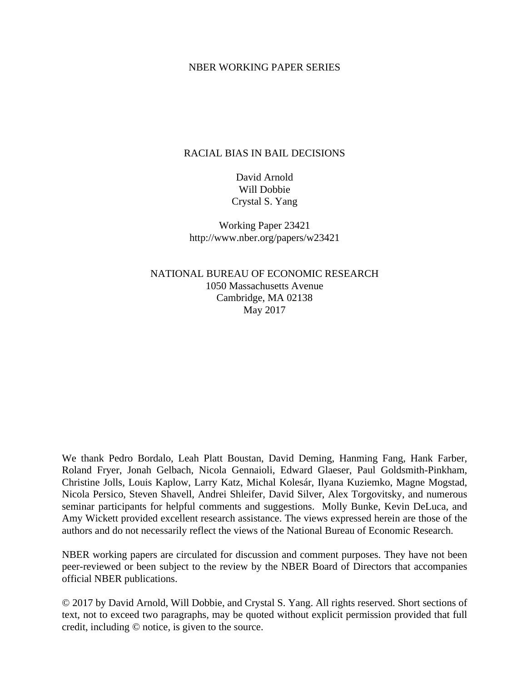# NBER WORKING PAPER SERIES

# RACIAL BIAS IN BAIL DECISIONS

David Arnold Will Dobbie Crystal S. Yang

Working Paper 23421 http://www.nber.org/papers/w23421

NATIONAL BUREAU OF ECONOMIC RESEARCH 1050 Massachusetts Avenue Cambridge, MA 02138 May 2017

We thank Pedro Bordalo, Leah Platt Boustan, David Deming, Hanming Fang, Hank Farber, Roland Fryer, Jonah Gelbach, Nicola Gennaioli, Edward Glaeser, Paul Goldsmith-Pinkham, Christine Jolls, Louis Kaplow, Larry Katz, Michal Kolesár, Ilyana Kuziemko, Magne Mogstad, Nicola Persico, Steven Shavell, Andrei Shleifer, David Silver, Alex Torgovitsky, and numerous seminar participants for helpful comments and suggestions. Molly Bunke, Kevin DeLuca, and Amy Wickett provided excellent research assistance. The views expressed herein are those of the authors and do not necessarily reflect the views of the National Bureau of Economic Research.

NBER working papers are circulated for discussion and comment purposes. They have not been peer-reviewed or been subject to the review by the NBER Board of Directors that accompanies official NBER publications.

© 2017 by David Arnold, Will Dobbie, and Crystal S. Yang. All rights reserved. Short sections of text, not to exceed two paragraphs, may be quoted without explicit permission provided that full credit, including © notice, is given to the source.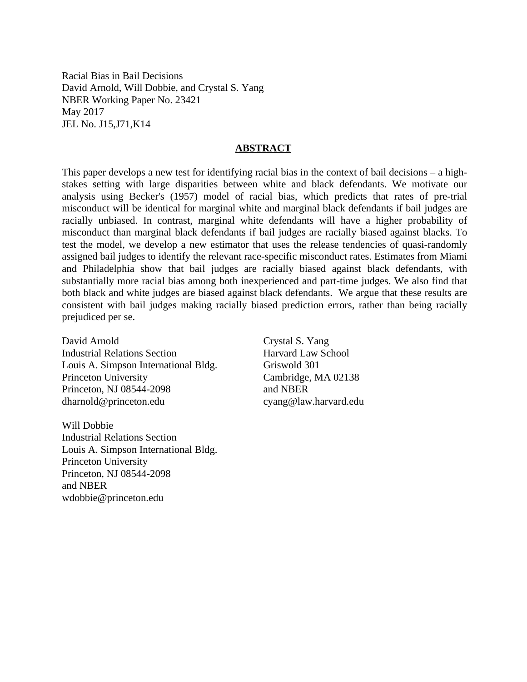Racial Bias in Bail Decisions David Arnold, Will Dobbie, and Crystal S. Yang NBER Working Paper No. 23421 May 2017 JEL No. J15,J71,K14

## **ABSTRACT**

This paper develops a new test for identifying racial bias in the context of bail decisions – a highstakes setting with large disparities between white and black defendants. We motivate our analysis using Becker's (1957) model of racial bias, which predicts that rates of pre-trial misconduct will be identical for marginal white and marginal black defendants if bail judges are racially unbiased. In contrast, marginal white defendants will have a higher probability of misconduct than marginal black defendants if bail judges are racially biased against blacks. To test the model, we develop a new estimator that uses the release tendencies of quasi-randomly assigned bail judges to identify the relevant race-specific misconduct rates. Estimates from Miami and Philadelphia show that bail judges are racially biased against black defendants, with substantially more racial bias among both inexperienced and part-time judges. We also find that both black and white judges are biased against black defendants. We argue that these results are consistent with bail judges making racially biased prediction errors, rather than being racially prejudiced per se.

David Arnold Industrial Relations Section Louis A. Simpson International Bldg. Princeton University Princeton, NJ 08544-2098 dharnold@princeton.edu

Will Dobbie Industrial Relations Section Louis A. Simpson International Bldg. Princeton University Princeton, NJ 08544-2098 and NBER wdobbie@princeton.edu

Crystal S. Yang Harvard Law School Griswold 301 Cambridge, MA 02138 and NBER cyang@law.harvard.edu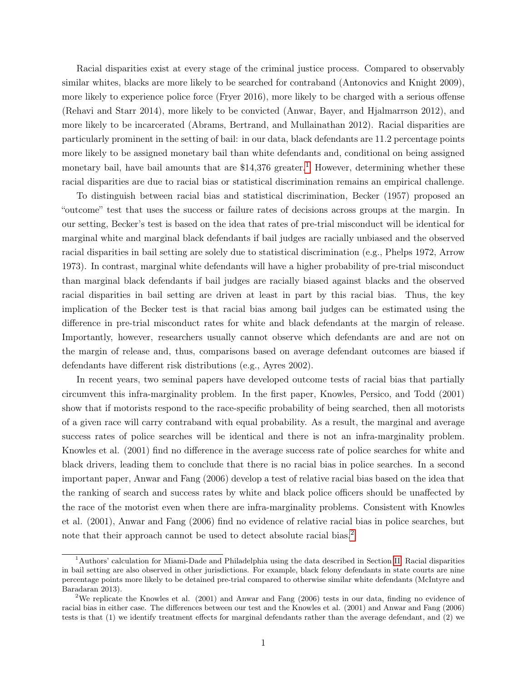Racial disparities exist at every stage of the criminal justice process. Compared to observably similar whites, blacks are more likely to be searched for contraband (Antonovics and Knight 2009), more likely to experience police force (Fryer 2016), more likely to be charged with a serious offense (Rehavi and Starr 2014), more likely to be convicted (Anwar, Bayer, and Hjalmarrson 2012), and more likely to be incarcerated (Abrams, Bertrand, and Mullainathan 2012). Racial disparities are particularly prominent in the setting of bail: in our data, black defendants are 11.2 percentage points more likely to be assigned monetary bail than white defendants and, conditional on being assigned monetary bail, have bail amounts that are  $$14,376$  $$14,376$  $$14,376$  greater.<sup>1</sup> However, determining whether these racial disparities are due to racial bias or statistical discrimination remains an empirical challenge.

To distinguish between racial bias and statistical discrimination, Becker (1957) proposed an "outcome" test that uses the success or failure rates of decisions across groups at the margin. In our setting, Becker's test is based on the idea that rates of pre-trial misconduct will be identical for marginal white and marginal black defendants if bail judges are racially unbiased and the observed racial disparities in bail setting are solely due to statistical discrimination (e.g., Phelps 1972, Arrow 1973). In contrast, marginal white defendants will have a higher probability of pre-trial misconduct than marginal black defendants if bail judges are racially biased against blacks and the observed racial disparities in bail setting are driven at least in part by this racial bias. Thus, the key implication of the Becker test is that racial bias among bail judges can be estimated using the difference in pre-trial misconduct rates for white and black defendants at the margin of release. Importantly, however, researchers usually cannot observe which defendants are and are not on the margin of release and, thus, comparisons based on average defendant outcomes are biased if defendants have different risk distributions (e.g., Ayres 2002).

In recent years, two seminal papers have developed outcome tests of racial bias that partially circumvent this infra-marginality problem. In the first paper, Knowles, Persico, and Todd (2001) show that if motorists respond to the race-specific probability of being searched, then all motorists of a given race will carry contraband with equal probability. As a result, the marginal and average success rates of police searches will be identical and there is not an infra-marginality problem. Knowles et al. (2001) find no difference in the average success rate of police searches for white and black drivers, leading them to conclude that there is no racial bias in police searches. In a second important paper, Anwar and Fang (2006) develop a test of relative racial bias based on the idea that the ranking of search and success rates by white and black police officers should be unaffected by the race of the motorist even when there are infra-marginality problems. Consistent with Knowles et al. (2001), Anwar and Fang (2006) find no evidence of relative racial bias in police searches, but note that their approach cannot be used to detect absolute racial bias.[2](#page-2-1)

<span id="page-2-0"></span><sup>&</sup>lt;sup>1</sup>Authors' calculation for Miami-Dade and Philadelphia using the data described in Section [II.](#page-17-0) Racial disparities in bail setting are also observed in other jurisdictions. For example, black felony defendants in state courts are nine percentage points more likely to be detained pre-trial compared to otherwise similar white defendants (McIntyre and Baradaran 2013).

<span id="page-2-1"></span><sup>&</sup>lt;sup>2</sup>We replicate the Knowles et al. (2001) and Anwar and Fang (2006) tests in our data, finding no evidence of racial bias in either case. The differences between our test and the Knowles et al. (2001) and Anwar and Fang (2006) tests is that (1) we identify treatment effects for marginal defendants rather than the average defendant, and (2) we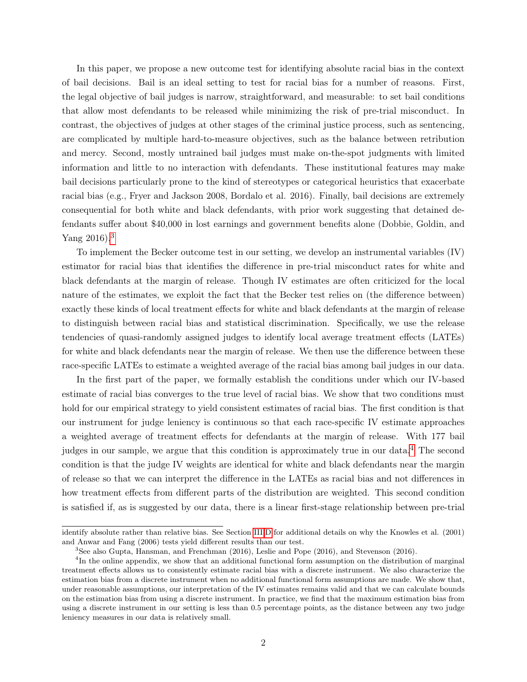In this paper, we propose a new outcome test for identifying absolute racial bias in the context of bail decisions. Bail is an ideal setting to test for racial bias for a number of reasons. First, the legal objective of bail judges is narrow, straightforward, and measurable: to set bail conditions that allow most defendants to be released while minimizing the risk of pre-trial misconduct. In contrast, the objectives of judges at other stages of the criminal justice process, such as sentencing, are complicated by multiple hard-to-measure objectives, such as the balance between retribution and mercy. Second, mostly untrained bail judges must make on-the-spot judgments with limited information and little to no interaction with defendants. These institutional features may make bail decisions particularly prone to the kind of stereotypes or categorical heuristics that exacerbate racial bias (e.g., Fryer and Jackson 2008, Bordalo et al. 2016). Finally, bail decisions are extremely consequential for both white and black defendants, with prior work suggesting that detained defendants suffer about \$40,000 in lost earnings and government benefits alone (Dobbie, Goldin, and Yang 2016).<sup>[3](#page-3-0)</sup>

To implement the Becker outcome test in our setting, we develop an instrumental variables (IV) estimator for racial bias that identifies the difference in pre-trial misconduct rates for white and black defendants at the margin of release. Though IV estimates are often criticized for the local nature of the estimates, we exploit the fact that the Becker test relies on (the difference between) exactly these kinds of local treatment effects for white and black defendants at the margin of release to distinguish between racial bias and statistical discrimination. Specifically, we use the release tendencies of quasi-randomly assigned judges to identify local average treatment effects (LATEs) for white and black defendants near the margin of release. We then use the difference between these race-specific LATEs to estimate a weighted average of the racial bias among bail judges in our data.

In the first part of the paper, we formally establish the conditions under which our IV-based estimate of racial bias converges to the true level of racial bias. We show that two conditions must hold for our empirical strategy to yield consistent estimates of racial bias. The first condition is that our instrument for judge leniency is continuous so that each race-specific IV estimate approaches a weighted average of treatment effects for defendants at the margin of release. With 177 bail judges in our sample, we argue that this condition is approximately true in our data.<sup>[4](#page-3-1)</sup> The second condition is that the judge IV weights are identical for white and black defendants near the margin of release so that we can interpret the difference in the LATEs as racial bias and not differences in how treatment effects from different parts of the distribution are weighted. This second condition is satisfied if, as is suggested by our data, there is a linear first-stage relationship between pre-trial

identify absolute rather than relative bias. See Section [III.](#page-22-0)[D](#page-26-0) for additional details on why the Knowles et al. (2001) and Anwar and Fang (2006) tests yield different results than our test.

<span id="page-3-1"></span><span id="page-3-0"></span><sup>&</sup>lt;sup>3</sup>See also Gupta, Hansman, and Frenchman  $(2016)$ , Leslie and Pope  $(2016)$ , and Stevenson  $(2016)$ .

<sup>&</sup>lt;sup>4</sup>In the online appendix, we show that an additional functional form assumption on the distribution of marginal treatment effects allows us to consistently estimate racial bias with a discrete instrument. We also characterize the estimation bias from a discrete instrument when no additional functional form assumptions are made. We show that, under reasonable assumptions, our interpretation of the IV estimates remains valid and that we can calculate bounds on the estimation bias from using a discrete instrument. In practice, we find that the maximum estimation bias from using a discrete instrument in our setting is less than 0.5 percentage points, as the distance between any two judge leniency measures in our data is relatively small.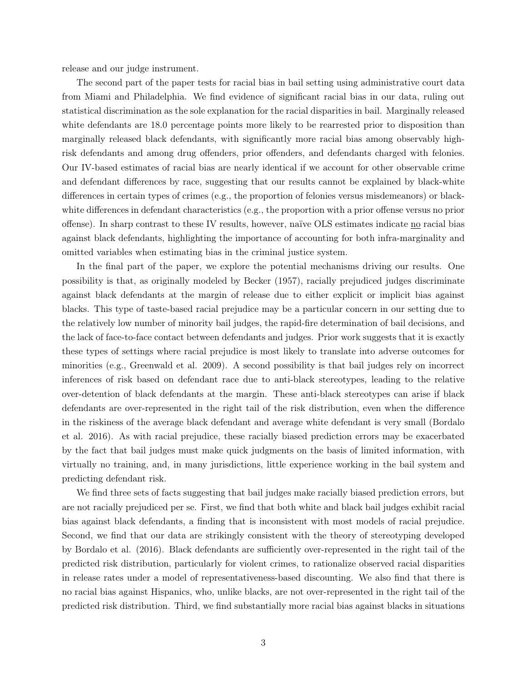release and our judge instrument.

The second part of the paper tests for racial bias in bail setting using administrative court data from Miami and Philadelphia. We find evidence of significant racial bias in our data, ruling out statistical discrimination as the sole explanation for the racial disparities in bail. Marginally released white defendants are 18.0 percentage points more likely to be rearrested prior to disposition than marginally released black defendants, with significantly more racial bias among observably highrisk defendants and among drug offenders, prior offenders, and defendants charged with felonies. Our IV-based estimates of racial bias are nearly identical if we account for other observable crime and defendant differences by race, suggesting that our results cannot be explained by black-white differences in certain types of crimes (e.g., the proportion of felonies versus misdemeanors) or blackwhite differences in defendant characteristics (e.g., the proportion with a prior offense versus no prior offense). In sharp contrast to these IV results, however, naïve OLS estimates indicate no racial bias against black defendants, highlighting the importance of accounting for both infra-marginality and omitted variables when estimating bias in the criminal justice system.

In the final part of the paper, we explore the potential mechanisms driving our results. One possibility is that, as originally modeled by Becker (1957), racially prejudiced judges discriminate against black defendants at the margin of release due to either explicit or implicit bias against blacks. This type of taste-based racial prejudice may be a particular concern in our setting due to the relatively low number of minority bail judges, the rapid-fire determination of bail decisions, and the lack of face-to-face contact between defendants and judges. Prior work suggests that it is exactly these types of settings where racial prejudice is most likely to translate into adverse outcomes for minorities (e.g., Greenwald et al. 2009). A second possibility is that bail judges rely on incorrect inferences of risk based on defendant race due to anti-black stereotypes, leading to the relative over-detention of black defendants at the margin. These anti-black stereotypes can arise if black defendants are over-represented in the right tail of the risk distribution, even when the difference in the riskiness of the average black defendant and average white defendant is very small (Bordalo et al. 2016). As with racial prejudice, these racially biased prediction errors may be exacerbated by the fact that bail judges must make quick judgments on the basis of limited information, with virtually no training, and, in many jurisdictions, little experience working in the bail system and predicting defendant risk.

We find three sets of facts suggesting that bail judges make racially biased prediction errors, but are not racially prejudiced per se. First, we find that both white and black bail judges exhibit racial bias against black defendants, a finding that is inconsistent with most models of racial prejudice. Second, we find that our data are strikingly consistent with the theory of stereotyping developed by Bordalo et al. (2016). Black defendants are sufficiently over-represented in the right tail of the predicted risk distribution, particularly for violent crimes, to rationalize observed racial disparities in release rates under a model of representativeness-based discounting. We also find that there is no racial bias against Hispanics, who, unlike blacks, are not over-represented in the right tail of the predicted risk distribution. Third, we find substantially more racial bias against blacks in situations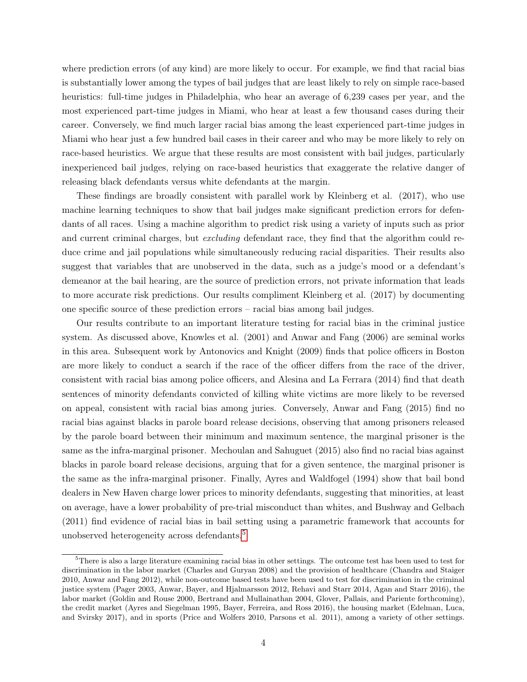where prediction errors (of any kind) are more likely to occur. For example, we find that racial bias is substantially lower among the types of bail judges that are least likely to rely on simple race-based heuristics: full-time judges in Philadelphia, who hear an average of 6,239 cases per year, and the most experienced part-time judges in Miami, who hear at least a few thousand cases during their career. Conversely, we find much larger racial bias among the least experienced part-time judges in Miami who hear just a few hundred bail cases in their career and who may be more likely to rely on race-based heuristics. We argue that these results are most consistent with bail judges, particularly inexperienced bail judges, relying on race-based heuristics that exaggerate the relative danger of releasing black defendants versus white defendants at the margin.

These findings are broadly consistent with parallel work by Kleinberg et al. (2017), who use machine learning techniques to show that bail judges make significant prediction errors for defendants of all races. Using a machine algorithm to predict risk using a variety of inputs such as prior and current criminal charges, but *excluding* defendant race, they find that the algorithm could reduce crime and jail populations while simultaneously reducing racial disparities. Their results also suggest that variables that are unobserved in the data, such as a judge's mood or a defendant's demeanor at the bail hearing, are the source of prediction errors, not private information that leads to more accurate risk predictions. Our results compliment Kleinberg et al. (2017) by documenting one specific source of these prediction errors – racial bias among bail judges.

Our results contribute to an important literature testing for racial bias in the criminal justice system. As discussed above, Knowles et al. (2001) and Anwar and Fang (2006) are seminal works in this area. Subsequent work by Antonovics and Knight (2009) finds that police officers in Boston are more likely to conduct a search if the race of the officer differs from the race of the driver, consistent with racial bias among police officers, and Alesina and La Ferrara (2014) find that death sentences of minority defendants convicted of killing white victims are more likely to be reversed on appeal, consistent with racial bias among juries. Conversely, Anwar and Fang (2015) find no racial bias against blacks in parole board release decisions, observing that among prisoners released by the parole board between their minimum and maximum sentence, the marginal prisoner is the same as the infra-marginal prisoner. Mechoulan and Sahuguet (2015) also find no racial bias against blacks in parole board release decisions, arguing that for a given sentence, the marginal prisoner is the same as the infra-marginal prisoner. Finally, Ayres and Waldfogel (1994) show that bail bond dealers in New Haven charge lower prices to minority defendants, suggesting that minorities, at least on average, have a lower probability of pre-trial misconduct than whites, and Bushway and Gelbach (2011) find evidence of racial bias in bail setting using a parametric framework that accounts for unobserved heterogeneity across defendants.[5](#page-5-0)

<span id="page-5-0"></span> $5$ There is also a large literature examining racial bias in other settings. The outcome test has been used to test for discrimination in the labor market (Charles and Guryan 2008) and the provision of healthcare (Chandra and Staiger 2010, Anwar and Fang 2012), while non-outcome based tests have been used to test for discrimination in the criminal justice system (Pager 2003, Anwar, Bayer, and Hjalmarsson 2012, Rehavi and Starr 2014, Agan and Starr 2016), the labor market (Goldin and Rouse 2000, Bertrand and Mullainathan 2004, Glover, Pallais, and Pariente forthcoming), the credit market (Ayres and Siegelman 1995, Bayer, Ferreira, and Ross 2016), the housing market (Edelman, Luca, and Svirsky 2017), and in sports (Price and Wolfers 2010, Parsons et al. 2011), among a variety of other settings.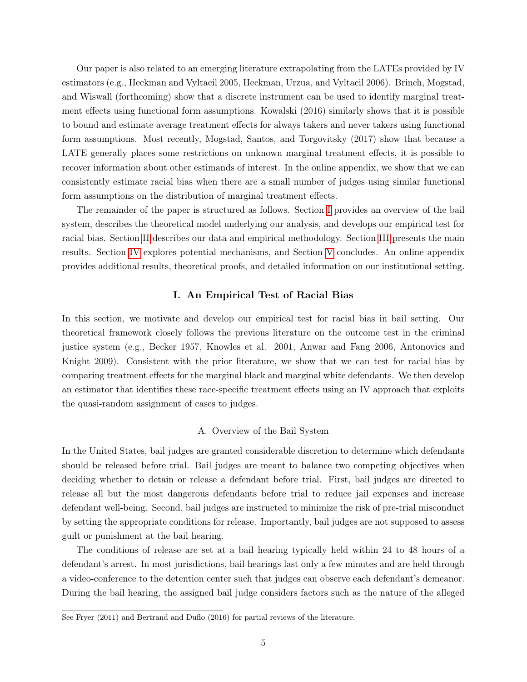Our paper is also related to an emerging literature extrapolating from the LATEs provided by IV estimators (e.g., Heckman and Vyltacil 2005, Heckman, Urzua, and Vyltacil 2006). Brinch, Mogstad, and Wiswall (forthcoming) show that a discrete instrument can be used to identify marginal treatment effects using functional form assumptions. Kowalski (2016) similarly shows that it is possible to bound and estimate average treatment effects for always takers and never takers using functional form assumptions. Most recently, Mogstad, Santos, and Torgovitsky (2017) show that because a LATE generally places some restrictions on unknown marginal treatment effects, it is possible to recover information about other estimands of interest. In the online appendix, we show that we can consistently estimate racial bias when there are a small number of judges using similar functional form assumptions on the distribution of marginal treatment effects.

The remainder of the paper is structured as follows. Section [I](#page-6-0) provides an overview of the bail system, describes the theoretical model underlying our analysis, and develops our empirical test for racial bias. Section [II](#page-17-0) describes our data and empirical methodology. Section [III](#page-22-0) presents the main results. Section [IV](#page-27-0) explores potential mechanisms, and Section [V](#page-31-0) concludes. An online appendix provides additional results, theoretical proofs, and detailed information on our institutional setting.

#### I. An Empirical Test of Racial Bias

<span id="page-6-0"></span>In this section, we motivate and develop our empirical test for racial bias in bail setting. Our theoretical framework closely follows the previous literature on the outcome test in the criminal justice system (e.g., Becker 1957, Knowles et al. 2001, Anwar and Fang 2006, Antonovics and Knight 2009). Consistent with the prior literature, we show that we can test for racial bias by comparing treatment effects for the marginal black and marginal white defendants. We then develop an estimator that identifies these race-specific treatment effects using an IV approach that exploits the quasi-random assignment of cases to judges.

# A. Overview of the Bail System

In the United States, bail judges are granted considerable discretion to determine which defendants should be released before trial. Bail judges are meant to balance two competing objectives when deciding whether to detain or release a defendant before trial. First, bail judges are directed to release all but the most dangerous defendants before trial to reduce jail expenses and increase defendant well-being. Second, bail judges are instructed to minimize the risk of pre-trial misconduct by setting the appropriate conditions for release. Importantly, bail judges are not supposed to assess guilt or punishment at the bail hearing.

The conditions of release are set at a bail hearing typically held within 24 to 48 hours of a defendant's arrest. In most jurisdictions, bail hearings last only a few minutes and are held through a video-conference to the detention center such that judges can observe each defendant's demeanor. During the bail hearing, the assigned bail judge considers factors such as the nature of the alleged

See Fryer (2011) and Bertrand and Duflo (2016) for partial reviews of the literature.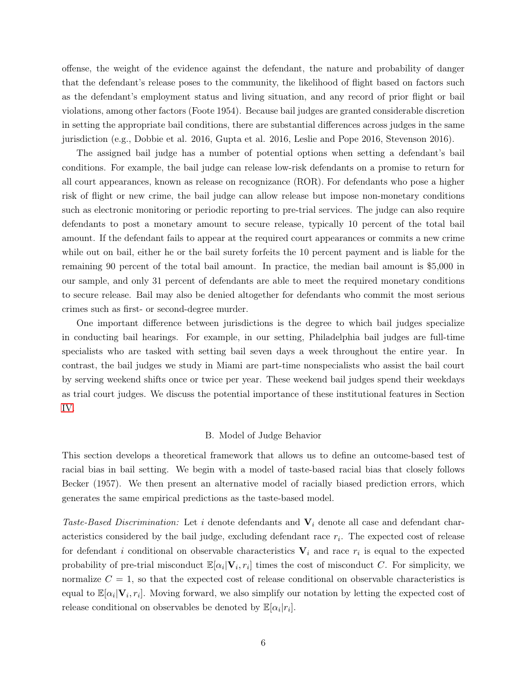offense, the weight of the evidence against the defendant, the nature and probability of danger that the defendant's release poses to the community, the likelihood of flight based on factors such as the defendant's employment status and living situation, and any record of prior flight or bail violations, among other factors (Foote 1954). Because bail judges are granted considerable discretion in setting the appropriate bail conditions, there are substantial differences across judges in the same jurisdiction (e.g., Dobbie et al. 2016, Gupta et al. 2016, Leslie and Pope 2016, Stevenson 2016).

The assigned bail judge has a number of potential options when setting a defendant's bail conditions. For example, the bail judge can release low-risk defendants on a promise to return for all court appearances, known as release on recognizance (ROR). For defendants who pose a higher risk of flight or new crime, the bail judge can allow release but impose non-monetary conditions such as electronic monitoring or periodic reporting to pre-trial services. The judge can also require defendants to post a monetary amount to secure release, typically 10 percent of the total bail amount. If the defendant fails to appear at the required court appearances or commits a new crime while out on bail, either he or the bail surety forfeits the 10 percent payment and is liable for the remaining 90 percent of the total bail amount. In practice, the median bail amount is \$5,000 in our sample, and only 31 percent of defendants are able to meet the required monetary conditions to secure release. Bail may also be denied altogether for defendants who commit the most serious crimes such as first- or second-degree murder.

One important difference between jurisdictions is the degree to which bail judges specialize in conducting bail hearings. For example, in our setting, Philadelphia bail judges are full-time specialists who are tasked with setting bail seven days a week throughout the entire year. In contrast, the bail judges we study in Miami are part-time nonspecialists who assist the bail court by serving weekend shifts once or twice per year. These weekend bail judges spend their weekdays as trial court judges. We discuss the potential importance of these institutional features in Section [IV.](#page-27-0)

#### B. Model of Judge Behavior

This section develops a theoretical framework that allows us to define an outcome-based test of racial bias in bail setting. We begin with a model of taste-based racial bias that closely follows Becker (1957). We then present an alternative model of racially biased prediction errors, which generates the same empirical predictions as the taste-based model.

Taste-Based Discrimination: Let i denote defendants and  $V_i$  denote all case and defendant characteristics considered by the bail judge, excluding defendant race  $r_i$ . The expected cost of release for defendant *i* conditional on observable characteristics  $V_i$  and race  $r_i$  is equal to the expected probability of pre-trial misconduct  $\mathbb{E}[\alpha_i|\mathbf{V}_i,r_i]$  times the cost of misconduct C. For simplicity, we normalize  $C = 1$ , so that the expected cost of release conditional on observable characteristics is equal to  $\mathbb{E}[\alpha_i | \mathbf{V}_i, r_i]$ . Moving forward, we also simplify our notation by letting the expected cost of release conditional on observables be denoted by  $\mathbb{E}[\alpha_i | r_i]$ .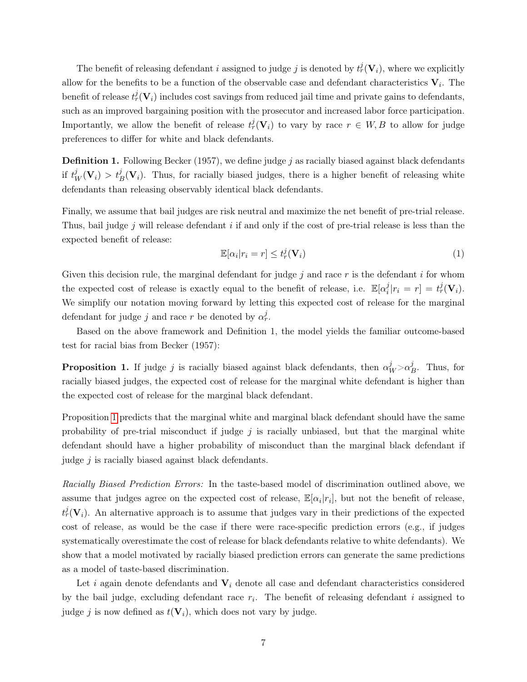The benefit of releasing defendant i assigned to judge j is denoted by  $t_r^j(\mathbf{V}_i)$ , where we explicitly allow for the benefits to be a function of the observable case and defendant characteristics  $V_i$ . The benefit of release  $t_r^j(\mathbf{V}_i)$  includes cost savings from reduced jail time and private gains to defendants, such as an improved bargaining position with the prosecutor and increased labor force participation. Importantly, we allow the benefit of release  $t_r^j(\mathbf{V}_i)$  to vary by race  $r \in W, B$  to allow for judge preferences to differ for white and black defendants.

**Definition 1.** Following Becker (1957), we define judge  $j$  as racially biased against black defendants if  $t_W^j(\mathbf{V}_i) > t_B^j(\mathbf{V}_i)$ . Thus, for racially biased judges, there is a higher benefit of releasing white defendants than releasing observably identical black defendants.

Finally, we assume that bail judges are risk neutral and maximize the net benefit of pre-trial release. Thus, bail judge j will release defendant i if and only if the cost of pre-trial release is less than the expected benefit of release:

$$
\mathbb{E}[\alpha_i|r_i = r] \le t_r^j(\mathbf{V}_i)
$$
\n(1)

Given this decision rule, the marginal defendant for judge  $j$  and race  $r$  is the defendant  $i$  for whom the expected cost of release is exactly equal to the benefit of release, i.e.  $\mathbb{E}[\alpha_i^j]$  $i^j | r_i = r \rbrack = t_r^j (\mathbf{V}_i).$ We simplify our notation moving forward by letting this expected cost of release for the marginal defendant for judge *j* and race *r* be denoted by  $\alpha_r^j$ .

Based on the above framework and Definition 1, the model yields the familiar outcome-based test for racial bias from Becker (1957):

<span id="page-8-0"></span>**Proposition 1.** If judge j is racially biased against black defendants, then  $\alpha_W^j > \alpha_I^j$  $B^J$ . Thus, for racially biased judges, the expected cost of release for the marginal white defendant is higher than the expected cost of release for the marginal black defendant.

Proposition [1](#page-8-0) predicts that the marginal white and marginal black defendant should have the same probability of pre-trial misconduct if judge  $j$  is racially unbiased, but that the marginal white defendant should have a higher probability of misconduct than the marginal black defendant if judge j is racially biased against black defendants.

Racially Biased Prediction Errors: In the taste-based model of discrimination outlined above, we assume that judges agree on the expected cost of release,  $\mathbb{E}[\alpha_i|r_i]$ , but not the benefit of release,  $t_r^j(\mathbf{V}_i)$ . An alternative approach is to assume that judges vary in their predictions of the expected cost of release, as would be the case if there were race-specific prediction errors (e.g., if judges systematically overestimate the cost of release for black defendants relative to white defendants). We show that a model motivated by racially biased prediction errors can generate the same predictions as a model of taste-based discrimination.

Let i again denote defendants and  $V_i$  denote all case and defendant characteristics considered by the bail judge, excluding defendant race  $r_i$ . The benefit of releasing defendant i assigned to judge j is now defined as  $t(\mathbf{V}_i)$ , which does not vary by judge.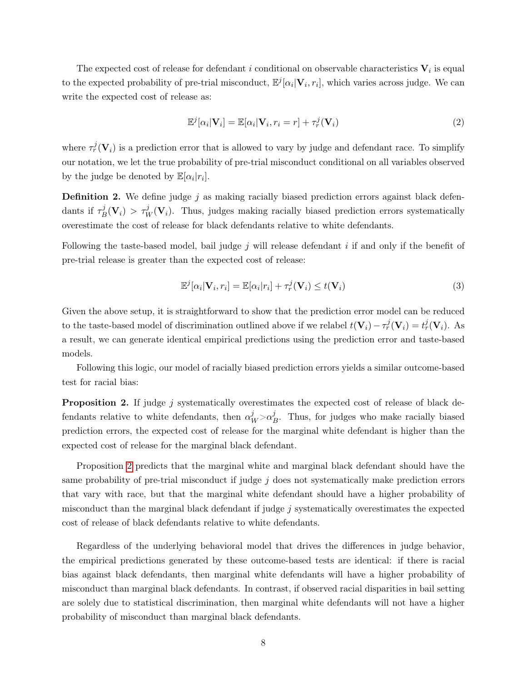The expected cost of release for defendant *i* conditional on observable characteristics  $V_i$  is equal to the expected probability of pre-trial misconduct,  $\mathbb{E}^j[\alpha_i|\mathbf{V}_i,r_i]$ , which varies across judge. We can write the expected cost of release as:

$$
\mathbb{E}^{j}[\alpha_{i}|\mathbf{V}_{i}] = \mathbb{E}[\alpha_{i}|\mathbf{V}_{i}, r_{i} = r] + \tau_{r}^{j}(\mathbf{V}_{i})
$$
\n(2)

where  $\tau_r^j(\mathbf{V}_i)$  is a prediction error that is allowed to vary by judge and defendant race. To simplify our notation, we let the true probability of pre-trial misconduct conditional on all variables observed by the judge be denoted by  $\mathbb{E}[\alpha_i | r_i]$ .

**Definition 2.** We define judge j as making racially biased prediction errors against black defendants if  $\tau_F^j$  $B_B^j(\mathbf{V}_i) > \tau_W^j(\mathbf{V}_i)$ . Thus, judges making racially biased prediction errors systematically overestimate the cost of release for black defendants relative to white defendants.

Following the taste-based model, bail judge  $j$  will release defendant  $i$  if and only if the benefit of pre-trial release is greater than the expected cost of release:

$$
\mathbb{E}^{j}[\alpha_{i}|\mathbf{V}_{i},r_{i}] = \mathbb{E}[\alpha_{i}|r_{i}] + \tau_{r}^{j}(\mathbf{V}_{i}) \leq t(\mathbf{V}_{i})
$$
\n(3)

Given the above setup, it is straightforward to show that the prediction error model can be reduced to the taste-based model of discrimination outlined above if we relabel  $t(\mathbf{V}_i) - \tau_r^j(\mathbf{V}_i) = t_r^j(\mathbf{V}_i)$ . As a result, we can generate identical empirical predictions using the prediction error and taste-based models.

Following this logic, our model of racially biased prediction errors yields a similar outcome-based test for racial bias:

<span id="page-9-0"></span>**Proposition 2.** If judge  $j$  systematically overestimates the expected cost of release of black defendants relative to white defendants, then  $\alpha_W^j \!\! > \!\! \alpha_I^j$  $B<sub>B</sub>$ . Thus, for judges who make racially biased prediction errors, the expected cost of release for the marginal white defendant is higher than the expected cost of release for the marginal black defendant.

Proposition [2](#page-9-0) predicts that the marginal white and marginal black defendant should have the same probability of pre-trial misconduct if judge  $j$  does not systematically make prediction errors that vary with race, but that the marginal white defendant should have a higher probability of misconduct than the marginal black defendant if judge  $j$  systematically overestimates the expected cost of release of black defendants relative to white defendants.

Regardless of the underlying behavioral model that drives the differences in judge behavior, the empirical predictions generated by these outcome-based tests are identical: if there is racial bias against black defendants, then marginal white defendants will have a higher probability of misconduct than marginal black defendants. In contrast, if observed racial disparities in bail setting are solely due to statistical discrimination, then marginal white defendants will not have a higher probability of misconduct than marginal black defendants.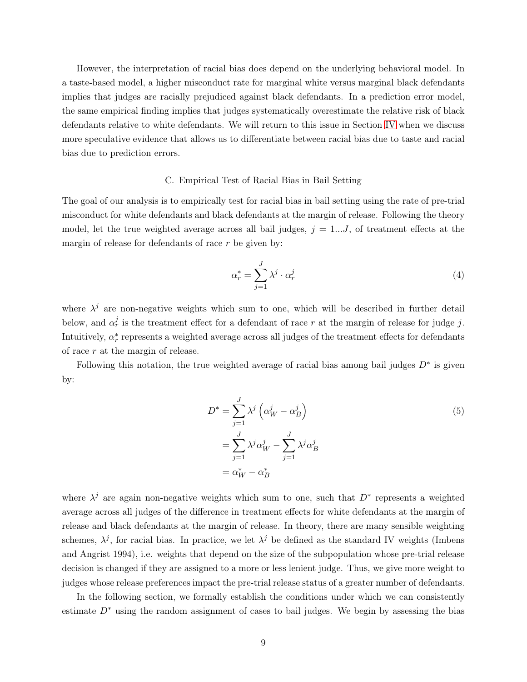However, the interpretation of racial bias does depend on the underlying behavioral model. In a taste-based model, a higher misconduct rate for marginal white versus marginal black defendants implies that judges are racially prejudiced against black defendants. In a prediction error model, the same empirical finding implies that judges systematically overestimate the relative risk of black defendants relative to white defendants. We will return to this issue in Section [IV](#page-27-0) when we discuss more speculative evidence that allows us to differentiate between racial bias due to taste and racial bias due to prediction errors.

### C. Empirical Test of Racial Bias in Bail Setting

The goal of our analysis is to empirically test for racial bias in bail setting using the rate of pre-trial misconduct for white defendants and black defendants at the margin of release. Following the theory model, let the true weighted average across all bail judges,  $j = 1...J$ , of treatment effects at the margin of release for defendants of race  $r$  be given by:

$$
\alpha_r^* = \sum_{j=1}^J \lambda^j \cdot \alpha_r^j \tag{4}
$$

where  $\lambda^{j}$  are non-negative weights which sum to one, which will be described in further detail below, and  $\alpha_r^j$  is the treatment effect for a defendant of race r at the margin of release for judge j. Intuitively,  $\alpha_r^*$  represents a weighted average across all judges of the treatment effects for defendants of race r at the margin of release.

Following this notation, the true weighted average of racial bias among bail judges  $D^*$  is given by:

<span id="page-10-0"></span>
$$
D^* = \sum_{j=1}^J \lambda^j \left( \alpha_W^j - \alpha_B^j \right)
$$
  
= 
$$
\sum_{j=1}^J \lambda^j \alpha_W^j - \sum_{j=1}^J \lambda^j \alpha_B^j
$$
  
= 
$$
\alpha_W^* - \alpha_B^*
$$
 (5)

where  $\lambda^{j}$  are again non-negative weights which sum to one, such that  $D^*$  represents a weighted average across all judges of the difference in treatment effects for white defendants at the margin of release and black defendants at the margin of release. In theory, there are many sensible weighting schemes,  $\lambda^j$ , for racial bias. In practice, we let  $\lambda^j$  be defined as the standard IV weights (Imbens and Angrist 1994), i.e. weights that depend on the size of the subpopulation whose pre-trial release decision is changed if they are assigned to a more or less lenient judge. Thus, we give more weight to judges whose release preferences impact the pre-trial release status of a greater number of defendants.

In the following section, we formally establish the conditions under which we can consistently estimate  $D^*$  using the random assignment of cases to bail judges. We begin by assessing the bias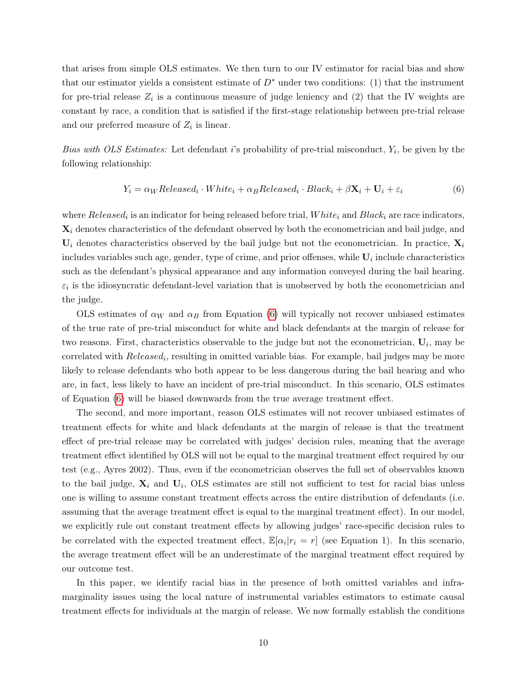that arises from simple OLS estimates. We then turn to our IV estimator for racial bias and show that our estimator yields a consistent estimate of  $D^*$  under two conditions: (1) that the instrument for pre-trial release  $Z_i$  is a continuous measure of judge leniency and (2) that the IV weights are constant by race, a condition that is satisfied if the first-stage relationship between pre-trial release and our preferred measure of  $Z_i$  is linear.

*Bias with OLS Estimates:* Let defendant i's probability of pre-trial misconduct,  $Y_i$ , be given by the following relationship:

<span id="page-11-0"></span>
$$
Y_i = \alpha_W Release d_i \cdot White_i + \alpha_B Release d_i \cdot Black_i + \beta \mathbf{X}_i + \mathbf{U}_i + \varepsilon_i
$$
 (6)

where  $Released_i$  is an indicator for being released before trial,  $White_i$  and  $Black_i$  are race indicators,  $\mathbf{X}_i$  denotes characteristics of the defendant observed by both the econometrician and bail judge, and  $U_i$  denotes characteristics observed by the bail judge but not the econometrician. In practice,  $X_i$ includes variables such age, gender, type of crime, and prior offenses, while  $U_i$  include characteristics such as the defendant's physical appearance and any information conveyed during the bail hearing.  $\varepsilon_i$  is the idiosyncratic defendant-level variation that is unobserved by both the econometrician and the judge.

OLS estimates of  $\alpha_W$  and  $\alpha_B$  from Equation [\(6\)](#page-11-0) will typically not recover unbiased estimates of the true rate of pre-trial misconduct for white and black defendants at the margin of release for two reasons. First, characteristics observable to the judge but not the econometrician,  $U_i$ , may be correlated with  $Released_i$ , resulting in omitted variable bias. For example, bail judges may be more likely to release defendants who both appear to be less dangerous during the bail hearing and who are, in fact, less likely to have an incident of pre-trial misconduct. In this scenario, OLS estimates of Equation [\(6\)](#page-11-0) will be biased downwards from the true average treatment effect.

The second, and more important, reason OLS estimates will not recover unbiased estimates of treatment effects for white and black defendants at the margin of release is that the treatment effect of pre-trial release may be correlated with judges' decision rules, meaning that the average treatment effect identified by OLS will not be equal to the marginal treatment effect required by our test (e.g., Ayres 2002). Thus, even if the econometrician observes the full set of observables known to the bail judge,  $X_i$  and  $U_i$ , OLS estimates are still not sufficient to test for racial bias unless one is willing to assume constant treatment effects across the entire distribution of defendants (i.e. assuming that the average treatment effect is equal to the marginal treatment effect). In our model, we explicitly rule out constant treatment effects by allowing judges' race-specific decision rules to be correlated with the expected treatment effect,  $\mathbb{E}[\alpha_i | r_i = r]$  (see Equation 1). In this scenario, the average treatment effect will be an underestimate of the marginal treatment effect required by our outcome test.

In this paper, we identify racial bias in the presence of both omitted variables and inframarginality issues using the local nature of instrumental variables estimators to estimate causal treatment effects for individuals at the margin of release. We now formally establish the conditions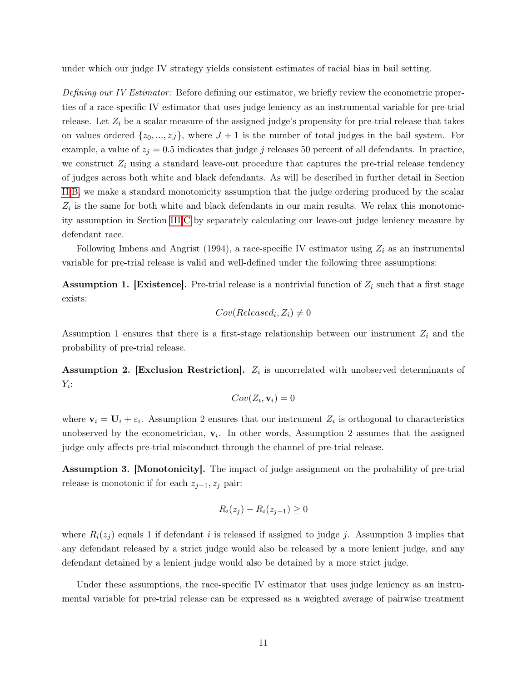under which our judge IV strategy yields consistent estimates of racial bias in bail setting.

Defining our IV Estimator: Before defining our estimator, we briefly review the econometric properties of a race-specific IV estimator that uses judge leniency as an instrumental variable for pre-trial release. Let  $Z_i$  be a scalar measure of the assigned judge's propensity for pre-trial release that takes on values ordered  $\{z_0, ..., z_J\}$ , where  $J + 1$  is the number of total judges in the bail system. For example, a value of  $z_j = 0.5$  indicates that judge j releases 50 percent of all defendants. In practice, we construct  $Z_i$  using a standard leave-out procedure that captures the pre-trial release tendency of judges across both white and black defendants. As will be described in further detail in Section [II](#page-17-0)[.B,](#page-18-0) we make a standard monotonicity assumption that the judge ordering produced by the scalar  $Z_i$  is the same for both white and black defendants in our main results. We relax this monotonicity assumption in Section [III](#page-22-0)[.C](#page-25-0) by separately calculating our leave-out judge leniency measure by defendant race.

Following Imbens and Angrist (1994), a race-specific IV estimator using  $Z_i$  as an instrumental variable for pre-trial release is valid and well-defined under the following three assumptions:

**Assumption 1. [Existence].** Pre-trial release is a nontrivial function of  $Z_i$  such that a first stage exists:

$$
Cov(Released_i, Z_i) \neq 0
$$

Assumption 1 ensures that there is a first-stage relationship between our instrument  $Z_i$  and the probability of pre-trial release.

Assumption 2. [Exclusion Restriction].  $Z_i$  is uncorrelated with unobserved determinants of  $Y_i$ :

$$
Cov(Z_i, \mathbf{v}_i) = 0
$$

where  $\mathbf{v}_i = \mathbf{U}_i + \varepsilon_i$ . Assumption 2 ensures that our instrument  $Z_i$  is orthogonal to characteristics unobserved by the econometrician,  $v_i$ . In other words, Assumption 2 assumes that the assigned judge only affects pre-trial misconduct through the channel of pre-trial release.

Assumption 3. [Monotonicity]. The impact of judge assignment on the probability of pre-trial release is monotonic if for each  $z_{i-1}, z_i$  pair:

$$
R_i(z_j) - R_i(z_{j-1}) \ge 0
$$

where  $R_i(z_j)$  equals 1 if defendant i is released if assigned to judge j. Assumption 3 implies that any defendant released by a strict judge would also be released by a more lenient judge, and any defendant detained by a lenient judge would also be detained by a more strict judge.

Under these assumptions, the race-specific IV estimator that uses judge leniency as an instrumental variable for pre-trial release can be expressed as a weighted average of pairwise treatment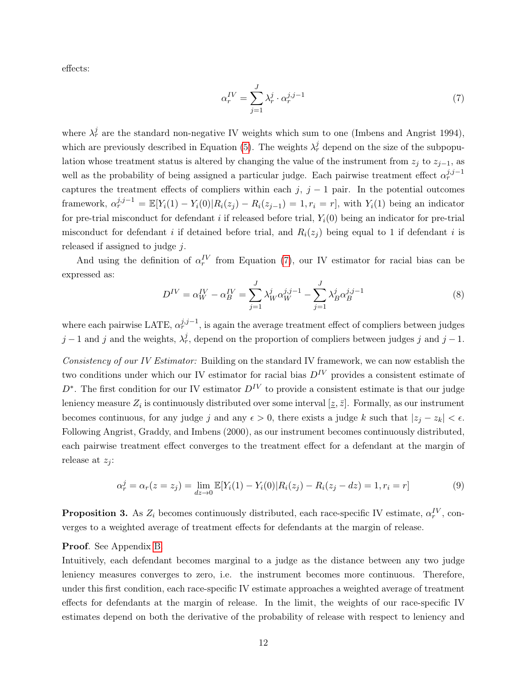effects:

<span id="page-13-0"></span>
$$
\alpha_r^{IV} = \sum_{j=1}^J \lambda_r^j \cdot \alpha_r^{j,j-1} \tag{7}
$$

where  $\lambda_r^j$  are the standard non-negative IV weights which sum to one (Imbens and Angrist 1994), which are previously described in Equation [\(5\)](#page-10-0). The weights  $\lambda_r^j$  depend on the size of the subpopulation whose treatment status is altered by changing the value of the instrument from  $z_j$  to  $z_{j-1}$ , as well as the probability of being assigned a particular judge. Each pairwise treatment effect  $\alpha_r^{j,j-1}$ captures the treatment effects of compliers within each j,  $j - 1$  pair. In the potential outcomes framework,  $\alpha_r^{j,j-1} = \mathbb{E}[Y_i(1) - Y_i(0)|R_i(z_j) - R_i(z_{j-1}) = 1, r_i = r]$ , with  $Y_i(1)$  being an indicator for pre-trial misconduct for defendant i if released before trial,  $Y_i(0)$  being an indicator for pre-trial misconduct for defendant i if detained before trial, and  $R_i(z_i)$  being equal to 1 if defendant i is released if assigned to judge  $j$ .

And using the definition of  $\alpha_r^{IV}$  from Equation [\(7\)](#page-13-0), our IV estimator for racial bias can be expressed as:

$$
D^{IV} = \alpha_W^{IV} - \alpha_B^{IV} = \sum_{j=1}^{J} \lambda_W^j \alpha_W^{j,j-1} - \sum_{j=1}^{J} \lambda_B^j \alpha_B^{j,j-1}
$$
(8)

where each pairwise LATE,  $\alpha_r^{j,j-1}$ , is again the average treatment effect of compliers between judges  $j-1$  and j and the weights,  $\lambda_r^j$ , depend on the proportion of compliers between judges j and  $j-1$ .

Consistency of our IV Estimator: Building on the standard IV framework, we can now establish the two conditions under which our IV estimator for racial bias  $D^{IV}$  provides a consistent estimate of  $D^*$ . The first condition for our IV estimator  $D^{IV}$  to provide a consistent estimate is that our judge leniency measure  $Z_i$  is continuously distributed over some interval  $[\underline{z}, \bar{z}]$ . Formally, as our instrument becomes continuous, for any judge j and any  $\epsilon > 0$ , there exists a judge k such that  $|z_j - z_k| < \epsilon$ . Following Angrist, Graddy, and Imbens (2000), as our instrument becomes continuously distributed, each pairwise treatment effect converges to the treatment effect for a defendant at the margin of release at  $z_i$ :

$$
\alpha_r^j = \alpha_r(z = z_j) = \lim_{dz \to 0} \mathbb{E}[Y_i(1) - Y_i(0)|R_i(z_j) - R_i(z_j - dz) = 1, r_i = r]
$$
\n(9)

**Proposition 3.** As  $Z_i$  becomes continuously distributed, each race-specific IV estimate,  $\alpha_r^{IV}$ , converges to a weighted average of treatment effects for defendants at the margin of release.

#### Proof. See Appendix [B.](#page-68-0)

Intuitively, each defendant becomes marginal to a judge as the distance between any two judge leniency measures converges to zero, i.e. the instrument becomes more continuous. Therefore, under this first condition, each race-specific IV estimate approaches a weighted average of treatment effects for defendants at the margin of release. In the limit, the weights of our race-specific IV estimates depend on both the derivative of the probability of release with respect to leniency and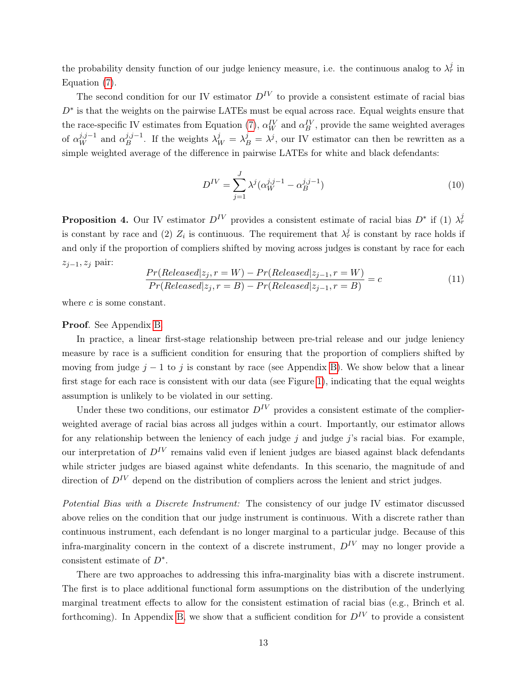the probability density function of our judge leniency measure, i.e. the continuous analog to  $\lambda_r^j$  in Equation [\(7\)](#page-13-0).

The second condition for our IV estimator  $D^{IV}$  to provide a consistent estimate of racial bias  $D^*$  is that the weights on the pairwise LATEs must be equal across race. Equal weights ensure that the race-specific IV estimates from Equation [\(7\)](#page-13-0),  $\alpha_W^{\{V\}}$  and  $\alpha_B^{\{V\}}$ , provide the same weighted averages of  $\alpha_W^{j,j-1}$  and  $\alpha_B^{j,j-1}$  $j_j^{j-1}$ . If the weights  $\lambda_W^j = \lambda_B^j = \lambda^j$ , our IV estimator can then be rewritten as a simple weighted average of the difference in pairwise LATEs for white and black defendants:

$$
D^{IV} = \sum_{j=1}^{J} \lambda^j (\alpha_W^{j,j-1} - \alpha_B^{j,j-1})
$$
\n(10)

<span id="page-14-0"></span>**Proposition 4.** Our IV estimator  $D^{IV}$  provides a consistent estimate of racial bias  $D^*$  if (1)  $\lambda_r^j$ is constant by race and (2)  $Z_i$  is continuous. The requirement that  $\lambda_r^j$  is constant by race holds if and only if the proportion of compliers shifted by moving across judges is constant by race for each  $z_{j-1}, z_j$  pair:

$$
\frac{Pr(Released|z_j, r = W) - Pr(Released|z_{j-1}, r = W)}{Pr(Released|z_j, r = B) - Pr(Released|z_{j-1}, r = B)} = c
$$
\n(11)

where  $c$  is some constant.

#### Proof. See Appendix [B.](#page-68-0)

In practice, a linear first-stage relationship between pre-trial release and our judge leniency measure by race is a sufficient condition for ensuring that the proportion of compliers shifted by moving from judge  $j - 1$  to j is constant by race (see Appendix [B\)](#page-68-0). We show below that a linear first stage for each race is consistent with our data (see Figure [1\)](#page-44-0), indicating that the equal weights assumption is unlikely to be violated in our setting.

Under these two conditions, our estimator  $D^{IV}$  provides a consistent estimate of the complierweighted average of racial bias across all judges within a court. Importantly, our estimator allows for any relationship between the leniency of each judge  $j$  and judge  $j$ 's racial bias. For example, our interpretation of  $D^{IV}$  remains valid even if lenient judges are biased against black defendants while stricter judges are biased against white defendants. In this scenario, the magnitude of and direction of  $D^{IV}$  depend on the distribution of compliers across the lenient and strict judges.

Potential Bias with a Discrete Instrument: The consistency of our judge IV estimator discussed above relies on the condition that our judge instrument is continuous. With a discrete rather than continuous instrument, each defendant is no longer marginal to a particular judge. Because of this infra-marginality concern in the context of a discrete instrument,  $D^{IV}$  may no longer provide a consistent estimate of  $D^*$ .

There are two approaches to addressing this infra-marginality bias with a discrete instrument. The first is to place additional functional form assumptions on the distribution of the underlying marginal treatment effects to allow for the consistent estimation of racial bias (e.g., Brinch et al. forthcoming). In Appendix [B,](#page-68-0) we show that a sufficient condition for  $D^{IV}$  to provide a consistent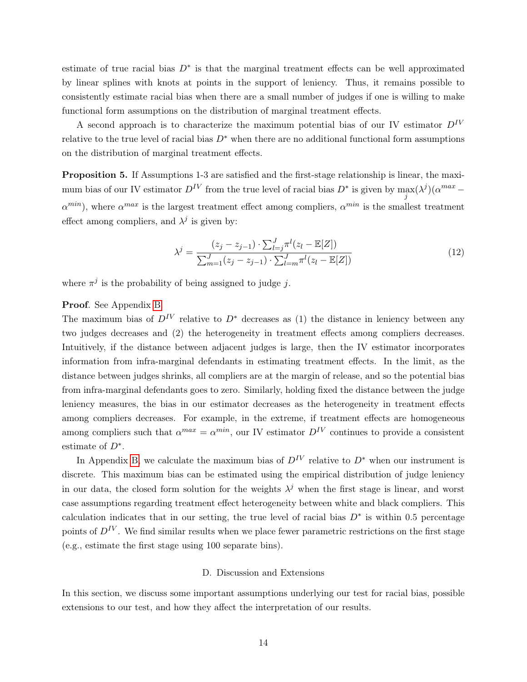estimate of true racial bias  $D^*$  is that the marginal treatment effects can be well approximated by linear splines with knots at points in the support of leniency. Thus, it remains possible to consistently estimate racial bias when there are a small number of judges if one is willing to make functional form assumptions on the distribution of marginal treatment effects.

A second approach is to characterize the maximum potential bias of our IV estimator  $D^{IV}$ relative to the true level of racial bias  $D^*$  when there are no additional functional form assumptions on the distribution of marginal treatment effects.

Proposition 5. If Assumptions 1-3 are satisfied and the first-stage relationship is linear, the maximum bias of our IV estimator  $D^{IV}$  from the true level of racial bias  $D^*$  is given by  $\max(\lambda^j)(\alpha^{max}-1)$ j  $\alpha^{min}$ ), where  $\alpha^{max}$  is the largest treatment effect among compliers,  $\alpha^{min}$  is the smallest treatment effect among compliers, and  $\lambda^j$  is given by:

$$
\lambda^{j} = \frac{(z_{j} - z_{j-1}) \cdot \sum_{l=j}^{J} \pi^{l}(z_{l} - \mathbb{E}[Z])}{\sum_{m=1}^{J} (z_{j} - z_{j-1}) \cdot \sum_{l=m}^{J} \pi^{l}(z_{l} - \mathbb{E}[Z])}
$$
(12)

where  $\pi^{j}$  is the probability of being assigned to judge j.

## Proof. See Appendix [B.](#page-68-0)

The maximum bias of  $D^{IV}$  relative to  $D^*$  decreases as (1) the distance in leniency between any two judges decreases and (2) the heterogeneity in treatment effects among compliers decreases. Intuitively, if the distance between adjacent judges is large, then the IV estimator incorporates information from infra-marginal defendants in estimating treatment effects. In the limit, as the distance between judges shrinks, all compliers are at the margin of release, and so the potential bias from infra-marginal defendants goes to zero. Similarly, holding fixed the distance between the judge leniency measures, the bias in our estimator decreases as the heterogeneity in treatment effects among compliers decreases. For example, in the extreme, if treatment effects are homogeneous among compliers such that  $\alpha^{max} = \alpha^{min}$ , our IV estimator  $D^{IV}$  continues to provide a consistent estimate of  $D^*$ .

In Appendix [B,](#page-68-0) we calculate the maximum bias of  $D^{IV}$  relative to  $D^*$  when our instrument is discrete. This maximum bias can be estimated using the empirical distribution of judge leniency in our data, the closed form solution for the weights  $\lambda^j$  when the first stage is linear, and worst case assumptions regarding treatment effect heterogeneity between white and black compliers. This calculation indicates that in our setting, the true level of racial bias  $D^*$  is within 0.5 percentage points of  $D^{IV}$ . We find similar results when we place fewer parametric restrictions on the first stage (e.g., estimate the first stage using 100 separate bins).

#### D. Discussion and Extensions

In this section, we discuss some important assumptions underlying our test for racial bias, possible extensions to our test, and how they affect the interpretation of our results.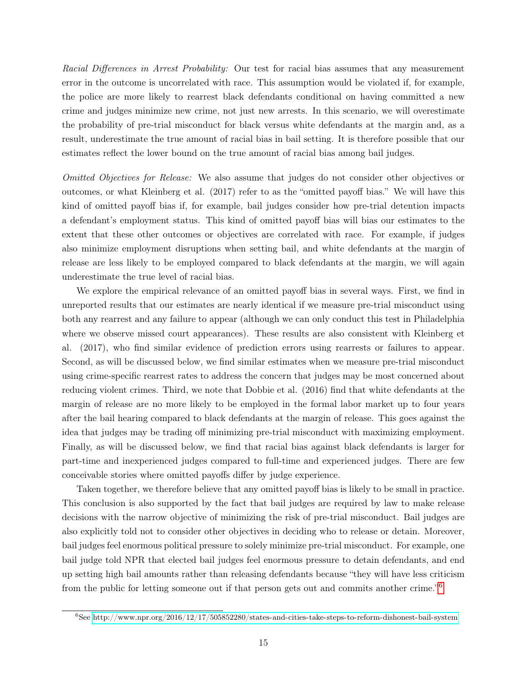Racial Differences in Arrest Probability: Our test for racial bias assumes that any measurement error in the outcome is uncorrelated with race. This assumption would be violated if, for example, the police are more likely to rearrest black defendants conditional on having committed a new crime and judges minimize new crime, not just new arrests. In this scenario, we will overestimate the probability of pre-trial misconduct for black versus white defendants at the margin and, as a result, underestimate the true amount of racial bias in bail setting. It is therefore possible that our estimates reflect the lower bound on the true amount of racial bias among bail judges.

Omitted Objectives for Release: We also assume that judges do not consider other objectives or outcomes, or what Kleinberg et al. (2017) refer to as the "omitted payoff bias." We will have this kind of omitted payoff bias if, for example, bail judges consider how pre-trial detention impacts a defendant's employment status. This kind of omitted payoff bias will bias our estimates to the extent that these other outcomes or objectives are correlated with race. For example, if judges also minimize employment disruptions when setting bail, and white defendants at the margin of release are less likely to be employed compared to black defendants at the margin, we will again underestimate the true level of racial bias.

We explore the empirical relevance of an omitted payoff bias in several ways. First, we find in unreported results that our estimates are nearly identical if we measure pre-trial misconduct using both any rearrest and any failure to appear (although we can only conduct this test in Philadelphia where we observe missed court appearances). These results are also consistent with Kleinberg et al. (2017), who find similar evidence of prediction errors using rearrests or failures to appear. Second, as will be discussed below, we find similar estimates when we measure pre-trial misconduct using crime-specific rearrest rates to address the concern that judges may be most concerned about reducing violent crimes. Third, we note that Dobbie et al. (2016) find that white defendants at the margin of release are no more likely to be employed in the formal labor market up to four years after the bail hearing compared to black defendants at the margin of release. This goes against the idea that judges may be trading off minimizing pre-trial misconduct with maximizing employment. Finally, as will be discussed below, we find that racial bias against black defendants is larger for part-time and inexperienced judges compared to full-time and experienced judges. There are few conceivable stories where omitted payoffs differ by judge experience.

Taken together, we therefore believe that any omitted payoff bias is likely to be small in practice. This conclusion is also supported by the fact that bail judges are required by law to make release decisions with the narrow objective of minimizing the risk of pre-trial misconduct. Bail judges are also explicitly told not to consider other objectives in deciding who to release or detain. Moreover, bail judges feel enormous political pressure to solely minimize pre-trial misconduct. For example, one bail judge told NPR that elected bail judges feel enormous pressure to detain defendants, and end up setting high bail amounts rather than releasing defendants because "they will have less criticism from the public for letting someone out if that person gets out and commits another crime."<sup>[6](#page-16-0)</sup>

<span id="page-16-0"></span> $^{6}$ See<http://www.npr.org/2016/12/17/505852280/states-and-cities-take-steps-to-reform-dishonest-bail-system>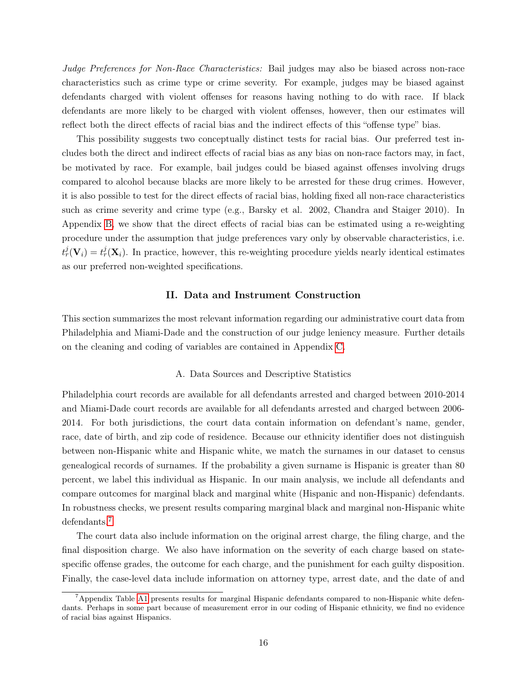Judge Preferences for Non-Race Characteristics: Bail judges may also be biased across non-race characteristics such as crime type or crime severity. For example, judges may be biased against defendants charged with violent offenses for reasons having nothing to do with race. If black defendants are more likely to be charged with violent offenses, however, then our estimates will reflect both the direct effects of racial bias and the indirect effects of this "offense type" bias.

This possibility suggests two conceptually distinct tests for racial bias. Our preferred test includes both the direct and indirect effects of racial bias as any bias on non-race factors may, in fact, be motivated by race. For example, bail judges could be biased against offenses involving drugs compared to alcohol because blacks are more likely to be arrested for these drug crimes. However, it is also possible to test for the direct effects of racial bias, holding fixed all non-race characteristics such as crime severity and crime type (e.g., Barsky et al. 2002, Chandra and Staiger 2010). In Appendix [B,](#page-68-0) we show that the direct effects of racial bias can be estimated using a re-weighting procedure under the assumption that judge preferences vary only by observable characteristics, i.e.  $t_r^j(\mathbf{V}_i) = t_r^j(\mathbf{X}_i)$ . In practice, however, this re-weighting procedure yields nearly identical estimates as our preferred non-weighted specifications.

#### II. Data and Instrument Construction

<span id="page-17-0"></span>This section summarizes the most relevant information regarding our administrative court data from Philadelphia and Miami-Dade and the construction of our judge leniency measure. Further details on the cleaning and coding of variables are contained in Appendix [C.](#page-80-0)

#### A. Data Sources and Descriptive Statistics

Philadelphia court records are available for all defendants arrested and charged between 2010-2014 and Miami-Dade court records are available for all defendants arrested and charged between 2006- 2014. For both jurisdictions, the court data contain information on defendant's name, gender, race, date of birth, and zip code of residence. Because our ethnicity identifier does not distinguish between non-Hispanic white and Hispanic white, we match the surnames in our dataset to census genealogical records of surnames. If the probability a given surname is Hispanic is greater than 80 percent, we label this individual as Hispanic. In our main analysis, we include all defendants and compare outcomes for marginal black and marginal white (Hispanic and non-Hispanic) defendants. In robustness checks, we present results comparing marginal black and marginal non-Hispanic white defendants.[7](#page-17-1)

The court data also include information on the original arrest charge, the filing charge, and the final disposition charge. We also have information on the severity of each charge based on statespecific offense grades, the outcome for each charge, and the punishment for each guilty disposition. Finally, the case-level data include information on attorney type, arrest date, and the date of and

<span id="page-17-1"></span><sup>&</sup>lt;sup>7</sup>Appendix Table [A1](#page-47-0) presents results for marginal Hispanic defendants compared to non-Hispanic white defendants. Perhaps in some part because of measurement error in our coding of Hispanic ethnicity, we find no evidence of racial bias against Hispanics.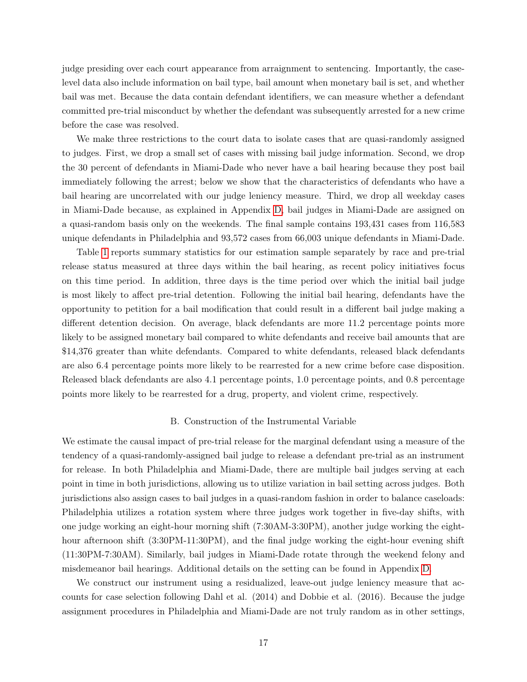judge presiding over each court appearance from arraignment to sentencing. Importantly, the caselevel data also include information on bail type, bail amount when monetary bail is set, and whether bail was met. Because the data contain defendant identifiers, we can measure whether a defendant committed pre-trial misconduct by whether the defendant was subsequently arrested for a new crime before the case was resolved.

We make three restrictions to the court data to isolate cases that are quasi-randomly assigned to judges. First, we drop a small set of cases with missing bail judge information. Second, we drop the 30 percent of defendants in Miami-Dade who never have a bail hearing because they post bail immediately following the arrest; below we show that the characteristics of defendants who have a bail hearing are uncorrelated with our judge leniency measure. Third, we drop all weekday cases in Miami-Dade because, as explained in Appendix [D,](#page-82-0) bail judges in Miami-Dade are assigned on a quasi-random basis only on the weekends. The final sample contains 193,431 cases from 116,583 unique defendants in Philadelphia and 93,572 cases from 66,003 unique defendants in Miami-Dade.

Table [1](#page-38-0) reports summary statistics for our estimation sample separately by race and pre-trial release status measured at three days within the bail hearing, as recent policy initiatives focus on this time period. In addition, three days is the time period over which the initial bail judge is most likely to affect pre-trial detention. Following the initial bail hearing, defendants have the opportunity to petition for a bail modification that could result in a different bail judge making a different detention decision. On average, black defendants are more 11.2 percentage points more likely to be assigned monetary bail compared to white defendants and receive bail amounts that are \$14,376 greater than white defendants. Compared to white defendants, released black defendants are also 6.4 percentage points more likely to be rearrested for a new crime before case disposition. Released black defendants are also 4.1 percentage points, 1.0 percentage points, and 0.8 percentage points more likely to be rearrested for a drug, property, and violent crime, respectively.

### B. Construction of the Instrumental Variable

<span id="page-18-0"></span>We estimate the causal impact of pre-trial release for the marginal defendant using a measure of the tendency of a quasi-randomly-assigned bail judge to release a defendant pre-trial as an instrument for release. In both Philadelphia and Miami-Dade, there are multiple bail judges serving at each point in time in both jurisdictions, allowing us to utilize variation in bail setting across judges. Both jurisdictions also assign cases to bail judges in a quasi-random fashion in order to balance caseloads: Philadelphia utilizes a rotation system where three judges work together in five-day shifts, with one judge working an eight-hour morning shift (7:30AM-3:30PM), another judge working the eighthour afternoon shift (3:30PM-11:30PM), and the final judge working the eight-hour evening shift (11:30PM-7:30AM). Similarly, bail judges in Miami-Dade rotate through the weekend felony and misdemeanor bail hearings. Additional details on the setting can be found in Appendix [D.](#page-82-0)

We construct our instrument using a residualized, leave-out judge leniency measure that accounts for case selection following Dahl et al. (2014) and Dobbie et al. (2016). Because the judge assignment procedures in Philadelphia and Miami-Dade are not truly random as in other settings,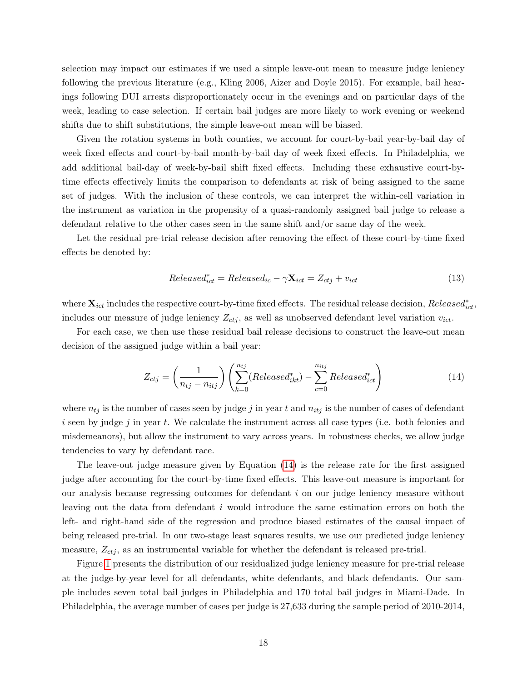selection may impact our estimates if we used a simple leave-out mean to measure judge leniency following the previous literature (e.g., Kling 2006, Aizer and Doyle 2015). For example, bail hearings following DUI arrests disproportionately occur in the evenings and on particular days of the week, leading to case selection. If certain bail judges are more likely to work evening or weekend shifts due to shift substitutions, the simple leave-out mean will be biased.

Given the rotation systems in both counties, we account for court-by-bail year-by-bail day of week fixed effects and court-by-bail month-by-bail day of week fixed effects. In Philadelphia, we add additional bail-day of week-by-bail shift fixed effects. Including these exhaustive court-bytime effects effectively limits the comparison to defendants at risk of being assigned to the same set of judges. With the inclusion of these controls, we can interpret the within-cell variation in the instrument as variation in the propensity of a quasi-randomly assigned bail judge to release a defendant relative to the other cases seen in the same shift and/or same day of the week.

Let the residual pre-trial release decision after removing the effect of these court-by-time fixed effects be denoted by:

$$
Released_{ict}^* = Released_{ic} - \gamma \mathbf{X}_{ict} = Z_{ctj} + v_{ict}
$$
\n(13)

where  $\mathbf{X}_{ict}$  includes the respective court-by-time fixed effects. The residual release decision,  $Released_{ict}^*$ , includes our measure of judge leniency  $Z_{ctj}$ , as well as unobserved defendant level variation  $v_{ict}$ .

For each case, we then use these residual bail release decisions to construct the leave-out mean decision of the assigned judge within a bail year:

<span id="page-19-0"></span>
$$
Z_{ctj} = \left(\frac{1}{n_{tj} - n_{itj}}\right) \left(\sum_{k=0}^{n_{tj}} (Released_{ikt}^*) - \sum_{c=0}^{n_{itj}} Released_{ict}^*\right)
$$
 (14)

where  $n_{tj}$  is the number of cases seen by judge j in year t and  $n_{itj}$  is the number of cases of defendant i seen by judge j in year t. We calculate the instrument across all case types (i.e. both felonies and misdemeanors), but allow the instrument to vary across years. In robustness checks, we allow judge tendencies to vary by defendant race.

The leave-out judge measure given by Equation [\(14\)](#page-19-0) is the release rate for the first assigned judge after accounting for the court-by-time fixed effects. This leave-out measure is important for our analysis because regressing outcomes for defendant i on our judge leniency measure without leaving out the data from defendant i would introduce the same estimation errors on both the left- and right-hand side of the regression and produce biased estimates of the causal impact of being released pre-trial. In our two-stage least squares results, we use our predicted judge leniency measure,  $Z_{ctj}$ , as an instrumental variable for whether the defendant is released pre-trial.

Figure [1](#page-44-0) presents the distribution of our residualized judge leniency measure for pre-trial release at the judge-by-year level for all defendants, white defendants, and black defendants. Our sample includes seven total bail judges in Philadelphia and 170 total bail judges in Miami-Dade. In Philadelphia, the average number of cases per judge is 27,633 during the sample period of 2010-2014,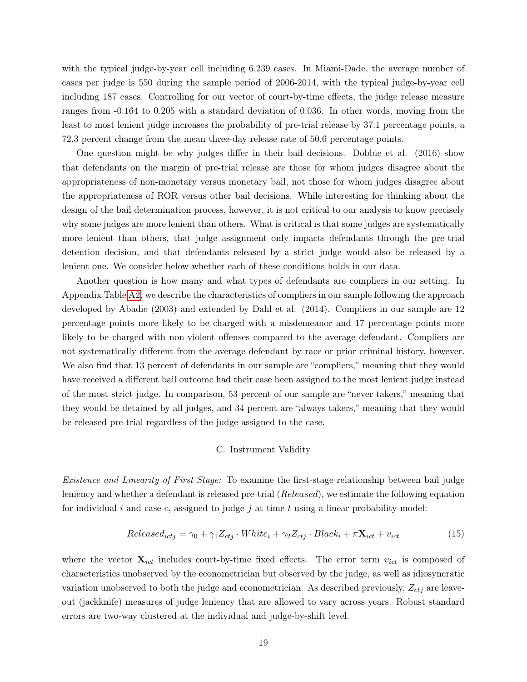with the typical judge-by-year cell including 6,239 cases. In Miami-Dade, the average number of cases per judge is 550 during the sample period of 2006-2014, with the typical judge-by-year cell including 187 cases. Controlling for our vector of court-by-time effects, the judge release measure ranges from -0.164 to 0.205 with a standard deviation of 0.036. In other words, moving from the least to most lenient judge increases the probability of pre-trial release by 37.1 percentage points, a 72.3 percent change from the mean three-day release rate of 50.6 percentage points.

One question might be why judges differ in their bail decisions. Dobbie et al. (2016) show that defendants on the margin of pre-trial release are those for whom judges disagree about the appropriateness of non-monetary versus monetary bail, not those for whom judges disagree about the appropriateness of ROR versus other bail decisions. While interesting for thinking about the design of the bail determination process, however, it is not critical to our analysis to know precisely why some judges are more lenient than others. What is critical is that some judges are systematically more lenient than others, that judge assignment only impacts defendants through the pre-trial detention decision, and that defendants released by a strict judge would also be released by a lenient one. We consider below whether each of these conditions holds in our data.

Another question is how many and what types of defendants are compliers in our setting. In Appendix Table [A2,](#page-48-0) we describe the characteristics of compliers in our sample following the approach developed by Abadie (2003) and extended by Dahl et al. (2014). Compliers in our sample are 12 percentage points more likely to be charged with a misdemeanor and 17 percentage points more likely to be charged with non-violent offenses compared to the average defendant. Compliers are not systematically different from the average defendant by race or prior criminal history, however. We also find that 13 percent of defendants in our sample are "compliers," meaning that they would have received a different bail outcome had their case been assigned to the most lenient judge instead of the most strict judge. In comparison, 53 percent of our sample are "never takers," meaning that they would be detained by all judges, and 34 percent are "always takers," meaning that they would be released pre-trial regardless of the judge assigned to the case.

#### C. Instrument Validity

Existence and Linearity of First Stage: To examine the first-stage relationship between bail judge leniency and whether a defendant is released pre-trial (Released), we estimate the following equation for individual i and case c, assigned to judge j at time t using a linear probability model:

<span id="page-20-0"></span>
$$
Released_{ictj} = \gamma_0 + \gamma_1 Z_{ctj} \cdot White_i + \gamma_2 Z_{ctj} \cdot Black_i + \pi \mathbf{X}_{ict} + v_{ict}
$$
\n
$$
\tag{15}
$$

where the vector  $\mathbf{X}_{ict}$  includes court-by-time fixed effects. The error term  $v_{ict}$  is composed of characteristics unobserved by the econometrician but observed by the judge, as well as idiosyncratic variation unobserved to both the judge and econometrician. As described previously,  $Z_{ctj}$  are leaveout (jackknife) measures of judge leniency that are allowed to vary across years. Robust standard errors are two-way clustered at the individual and judge-by-shift level.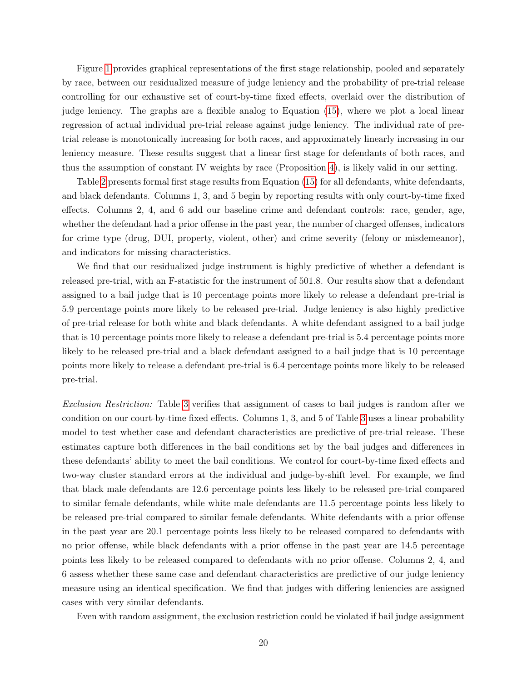Figure [1](#page-44-0) provides graphical representations of the first stage relationship, pooled and separately by race, between our residualized measure of judge leniency and the probability of pre-trial release controlling for our exhaustive set of court-by-time fixed effects, overlaid over the distribution of judge leniency. The graphs are a flexible analog to Equation [\(15\)](#page-20-0), where we plot a local linear regression of actual individual pre-trial release against judge leniency. The individual rate of pretrial release is monotonically increasing for both races, and approximately linearly increasing in our leniency measure. These results suggest that a linear first stage for defendants of both races, and thus the assumption of constant IV weights by race (Proposition [4\)](#page-14-0), is likely valid in our setting.

Table [2](#page-39-0) presents formal first stage results from Equation [\(15\)](#page-20-0) for all defendants, white defendants, and black defendants. Columns 1, 3, and 5 begin by reporting results with only court-by-time fixed effects. Columns 2, 4, and 6 add our baseline crime and defendant controls: race, gender, age, whether the defendant had a prior offense in the past year, the number of charged offenses, indicators for crime type (drug, DUI, property, violent, other) and crime severity (felony or misdemeanor), and indicators for missing characteristics.

We find that our residualized judge instrument is highly predictive of whether a defendant is released pre-trial, with an F-statistic for the instrument of 501.8. Our results show that a defendant assigned to a bail judge that is 10 percentage points more likely to release a defendant pre-trial is 5.9 percentage points more likely to be released pre-trial. Judge leniency is also highly predictive of pre-trial release for both white and black defendants. A white defendant assigned to a bail judge that is 10 percentage points more likely to release a defendant pre-trial is 5.4 percentage points more likely to be released pre-trial and a black defendant assigned to a bail judge that is 10 percentage points more likely to release a defendant pre-trial is 6.4 percentage points more likely to be released pre-trial.

Exclusion Restriction: Table [3](#page-40-0) verifies that assignment of cases to bail judges is random after we condition on our court-by-time fixed effects. Columns 1, 3, and 5 of Table [3](#page-40-0) uses a linear probability model to test whether case and defendant characteristics are predictive of pre-trial release. These estimates capture both differences in the bail conditions set by the bail judges and differences in these defendants' ability to meet the bail conditions. We control for court-by-time fixed effects and two-way cluster standard errors at the individual and judge-by-shift level. For example, we find that black male defendants are 12.6 percentage points less likely to be released pre-trial compared to similar female defendants, while white male defendants are 11.5 percentage points less likely to be released pre-trial compared to similar female defendants. White defendants with a prior offense in the past year are 20.1 percentage points less likely to be released compared to defendants with no prior offense, while black defendants with a prior offense in the past year are 14.5 percentage points less likely to be released compared to defendants with no prior offense. Columns 2, 4, and 6 assess whether these same case and defendant characteristics are predictive of our judge leniency measure using an identical specification. We find that judges with differing leniencies are assigned cases with very similar defendants.

Even with random assignment, the exclusion restriction could be violated if bail judge assignment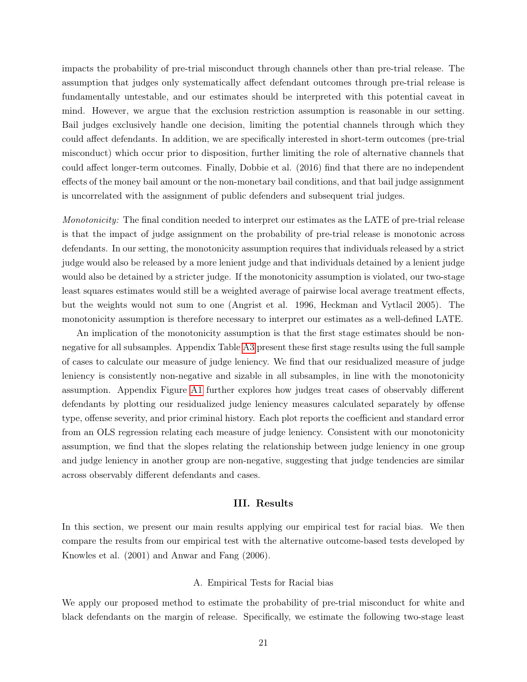impacts the probability of pre-trial misconduct through channels other than pre-trial release. The assumption that judges only systematically affect defendant outcomes through pre-trial release is fundamentally untestable, and our estimates should be interpreted with this potential caveat in mind. However, we argue that the exclusion restriction assumption is reasonable in our setting. Bail judges exclusively handle one decision, limiting the potential channels through which they could affect defendants. In addition, we are specifically interested in short-term outcomes (pre-trial misconduct) which occur prior to disposition, further limiting the role of alternative channels that could affect longer-term outcomes. Finally, Dobbie et al. (2016) find that there are no independent effects of the money bail amount or the non-monetary bail conditions, and that bail judge assignment is uncorrelated with the assignment of public defenders and subsequent trial judges.

Monotonicity: The final condition needed to interpret our estimates as the LATE of pre-trial release is that the impact of judge assignment on the probability of pre-trial release is monotonic across defendants. In our setting, the monotonicity assumption requires that individuals released by a strict judge would also be released by a more lenient judge and that individuals detained by a lenient judge would also be detained by a stricter judge. If the monotonicity assumption is violated, our two-stage least squares estimates would still be a weighted average of pairwise local average treatment effects, but the weights would not sum to one (Angrist et al. 1996, Heckman and Vytlacil 2005). The monotonicity assumption is therefore necessary to interpret our estimates as a well-defined LATE.

An implication of the monotonicity assumption is that the first stage estimates should be nonnegative for all subsamples. Appendix Table [A3](#page-49-0) present these first stage results using the full sample of cases to calculate our measure of judge leniency. We find that our residualized measure of judge leniency is consistently non-negative and sizable in all subsamples, in line with the monotonicity assumption. Appendix Figure [A1](#page-63-0) further explores how judges treat cases of observably different defendants by plotting our residualized judge leniency measures calculated separately by offense type, offense severity, and prior criminal history. Each plot reports the coefficient and standard error from an OLS regression relating each measure of judge leniency. Consistent with our monotonicity assumption, we find that the slopes relating the relationship between judge leniency in one group and judge leniency in another group are non-negative, suggesting that judge tendencies are similar across observably different defendants and cases.

## III. Results

<span id="page-22-0"></span>In this section, we present our main results applying our empirical test for racial bias. We then compare the results from our empirical test with the alternative outcome-based tests developed by Knowles et al. (2001) and Anwar and Fang (2006).

### A. Empirical Tests for Racial bias

We apply our proposed method to estimate the probability of pre-trial misconduct for white and black defendants on the margin of release. Specifically, we estimate the following two-stage least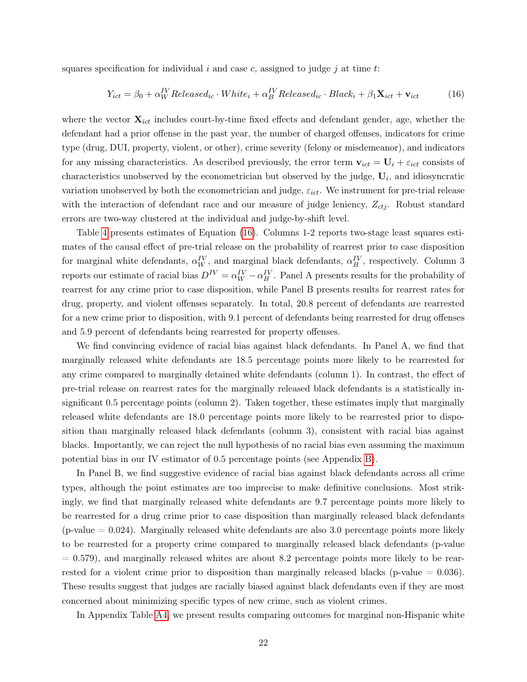squares specification for individual i and case c, assigned to judge j at time t:

<span id="page-23-0"></span>
$$
Y_{ict} = \beta_0 + \alpha_W^{IV} Release d_{ic} \cdot White_i + \alpha_B^{IV} Release d_{ic} \cdot Black_i + \beta_1 \mathbf{X}_{ict} + \mathbf{v}_{ict}
$$
 (16)

where the vector  $\mathbf{X}_{ict}$  includes court-by-time fixed effects and defendant gender, age, whether the defendant had a prior offense in the past year, the number of charged offenses, indicators for crime type (drug, DUI, property, violent, or other), crime severity (felony or misdemeanor), and indicators for any missing characteristics. As described previously, the error term  $\mathbf{v}_{ict} = \mathbf{U}_i + \varepsilon_{ict}$  consists of characteristics unobserved by the econometrician but observed by the judge,  $U_i$ , and idiosyncratic variation unobserved by both the econometrician and judge,  $\varepsilon_{ict}$ . We instrument for pre-trial release with the interaction of defendant race and our measure of judge leniency,  $Z_{ctj}$ . Robust standard errors are two-way clustered at the individual and judge-by-shift level.

Table [4](#page-41-0) presents estimates of Equation [\(16\)](#page-23-0). Columns 1-2 reports two-stage least squares estimates of the causal effect of pre-trial release on the probability of rearrest prior to case disposition for marginal white defendants,  $\alpha_W^{IV}$ , and marginal black defendants,  $\alpha_B^{IV}$ , respectively. Column 3 reports our estimate of racial bias  $D^{IV} = \alpha_W^{IV} - \alpha_B^{IV}$ . Panel A presents results for the probability of rearrest for any crime prior to case disposition, while Panel B presents results for rearrest rates for drug, property, and violent offenses separately. In total, 20.8 percent of defendants are rearrested for a new crime prior to disposition, with 9.1 percent of defendants being rearrested for drug offenses and 5.9 percent of defendants being rearrested for property offenses.

We find convincing evidence of racial bias against black defendants. In Panel A, we find that marginally released white defendants are 18.5 percentage points more likely to be rearrested for any crime compared to marginally detained white defendants (column 1). In contrast, the effect of pre-trial release on rearrest rates for the marginally released black defendants is a statistically insignificant 0.5 percentage points (column 2). Taken together, these estimates imply that marginally released white defendants are 18.0 percentage points more likely to be rearrested prior to disposition than marginally released black defendants (column 3), consistent with racial bias against blacks. Importantly, we can reject the null hypothesis of no racial bias even assuming the maximum potential bias in our IV estimator of 0.5 percentage points (see Appendix [B\)](#page-68-0).

In Panel B, we find suggestive evidence of racial bias against black defendants across all crime types, although the point estimates are too imprecise to make definitive conclusions. Most strikingly, we find that marginally released white defendants are 9.7 percentage points more likely to be rearrested for a drug crime prior to case disposition than marginally released black defendants (p-value  $= 0.024$ ). Marginally released white defendants are also 3.0 percentage points more likely to be rearrested for a property crime compared to marginally released black defendants (p-value  $= 0.579$ , and marginally released whites are about 8.2 percentage points more likely to be rearrested for a violent crime prior to disposition than marginally released blacks (p-value  $= 0.036$ ). These results suggest that judges are racially biased against black defendants even if they are most concerned about minimizing specific types of new crime, such as violent crimes.

In Appendix Table [A4,](#page-50-0) we present results comparing outcomes for marginal non-Hispanic white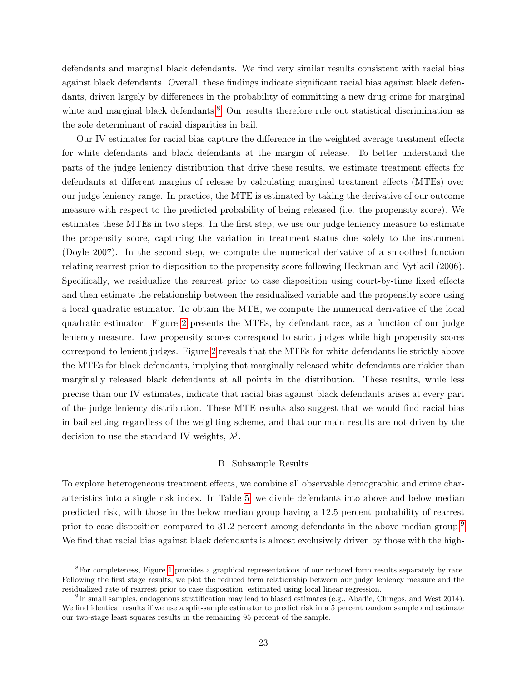defendants and marginal black defendants. We find very similar results consistent with racial bias against black defendants. Overall, these findings indicate significant racial bias against black defendants, driven largely by differences in the probability of committing a new drug crime for marginal white and marginal black defendants.<sup>[8](#page-24-0)</sup> Our results therefore rule out statistical discrimination as the sole determinant of racial disparities in bail.

Our IV estimates for racial bias capture the difference in the weighted average treatment effects for white defendants and black defendants at the margin of release. To better understand the parts of the judge leniency distribution that drive these results, we estimate treatment effects for defendants at different margins of release by calculating marginal treatment effects (MTEs) over our judge leniency range. In practice, the MTE is estimated by taking the derivative of our outcome measure with respect to the predicted probability of being released (i.e. the propensity score). We estimates these MTEs in two steps. In the first step, we use our judge leniency measure to estimate the propensity score, capturing the variation in treatment status due solely to the instrument (Doyle 2007). In the second step, we compute the numerical derivative of a smoothed function relating rearrest prior to disposition to the propensity score following Heckman and Vytlacil (2006). Specifically, we residualize the rearrest prior to case disposition using court-by-time fixed effects and then estimate the relationship between the residualized variable and the propensity score using a local quadratic estimator. To obtain the MTE, we compute the numerical derivative of the local quadratic estimator. Figure [2](#page-45-0) presents the MTEs, by defendant race, as a function of our judge leniency measure. Low propensity scores correspond to strict judges while high propensity scores correspond to lenient judges. Figure [2](#page-45-0) reveals that the MTEs for white defendants lie strictly above the MTEs for black defendants, implying that marginally released white defendants are riskier than marginally released black defendants at all points in the distribution. These results, while less precise than our IV estimates, indicate that racial bias against black defendants arises at every part of the judge leniency distribution. These MTE results also suggest that we would find racial bias in bail setting regardless of the weighting scheme, and that our main results are not driven by the decision to use the standard IV weights,  $\lambda^{j}$ .

### B. Subsample Results

To explore heterogeneous treatment effects, we combine all observable demographic and crime characteristics into a single risk index. In Table [5,](#page-42-0) we divide defendants into above and below median predicted risk, with those in the below median group having a 12.5 percent probability of rearrest prior to case disposition compared to 31.2 percent among defendants in the above median group.<sup>[9](#page-24-1)</sup> We find that racial bias against black defendants is almost exclusively driven by those with the high-

<span id="page-24-0"></span><sup>&</sup>lt;sup>8</sup>For completeness, Figure [1](#page-44-0) provides a graphical representations of our reduced form results separately by race. Following the first stage results, we plot the reduced form relationship between our judge leniency measure and the residualized rate of rearrest prior to case disposition, estimated using local linear regression.

<span id="page-24-1"></span> $^{9}$ In small samples, endogenous stratification may lead to biased estimates (e.g., Abadie, Chingos, and West 2014). We find identical results if we use a split-sample estimator to predict risk in a 5 percent random sample and estimate our two-stage least squares results in the remaining 95 percent of the sample.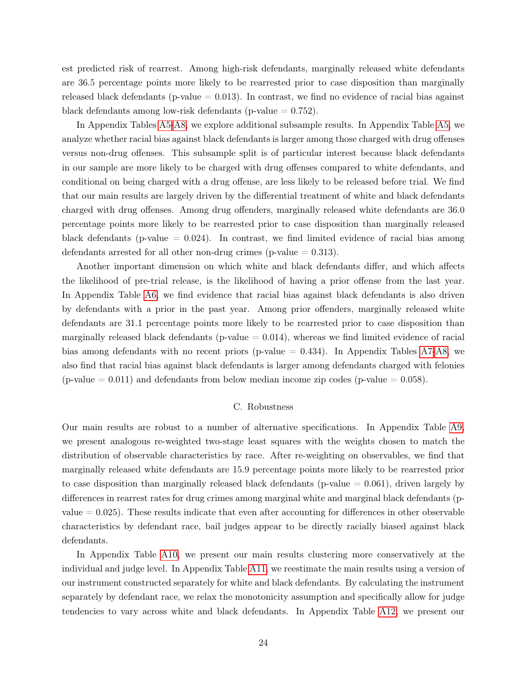est predicted risk of rearrest. Among high-risk defendants, marginally released white defendants are 36.5 percentage points more likely to be rearrested prior to case disposition than marginally released black defendants (p-value  $= 0.013$ ). In contrast, we find no evidence of racial bias against black defendants among low-risk defendants (p-value  $= 0.752$ ).

In Appendix Tables [A5-](#page-51-0)[A8,](#page-54-0) we explore additional subsample results. In Appendix Table [A5,](#page-51-0) we analyze whether racial bias against black defendants is larger among those charged with drug offenses versus non-drug offenses. This subsample split is of particular interest because black defendants in our sample are more likely to be charged with drug offenses compared to white defendants, and conditional on being charged with a drug offense, are less likely to be released before trial. We find that our main results are largely driven by the differential treatment of white and black defendants charged with drug offenses. Among drug offenders, marginally released white defendants are 36.0 percentage points more likely to be rearrested prior to case disposition than marginally released black defendants (p-value  $= 0.024$ ). In contrast, we find limited evidence of racial bias among defendants arrested for all other non-drug crimes (p-value  $= 0.313$ ).

Another important dimension on which white and black defendants differ, and which affects the likelihood of pre-trial release, is the likelihood of having a prior offense from the last year. In Appendix Table [A6,](#page-52-0) we find evidence that racial bias against black defendants is also driven by defendants with a prior in the past year. Among prior offenders, marginally released white defendants are 31.1 percentage points more likely to be rearrested prior to case disposition than marginally released black defendants (p-value  $= 0.014$ ), whereas we find limited evidence of racial bias among defendants with no recent priors (p-value  $= 0.434$ ). In Appendix Tables [A7-](#page-53-0)[A8,](#page-54-0) we also find that racial bias against black defendants is larger among defendants charged with felonies  $(p-value = 0.011)$  and defendants from below median income zip codes  $(p-value = 0.058)$ .

#### C. Robustness

<span id="page-25-0"></span>Our main results are robust to a number of alternative specifications. In Appendix Table [A9,](#page-55-0) we present analogous re-weighted two-stage least squares with the weights chosen to match the distribution of observable characteristics by race. After re-weighting on observables, we find that marginally released white defendants are 15.9 percentage points more likely to be rearrested prior to case disposition than marginally released black defendants (p-value  $= 0.061$ ), driven largely by differences in rearrest rates for drug crimes among marginal white and marginal black defendants (pvalue  $= 0.025$ ). These results indicate that even after accounting for differences in other observable characteristics by defendant race, bail judges appear to be directly racially biased against black defendants.

In Appendix Table [A10,](#page-56-0) we present our main results clustering more conservatively at the individual and judge level. In Appendix Table [A11,](#page-57-0) we reestimate the main results using a version of our instrument constructed separately for white and black defendants. By calculating the instrument separately by defendant race, we relax the monotonicity assumption and specifically allow for judge tendencies to vary across white and black defendants. In Appendix Table [A12,](#page-58-0) we present our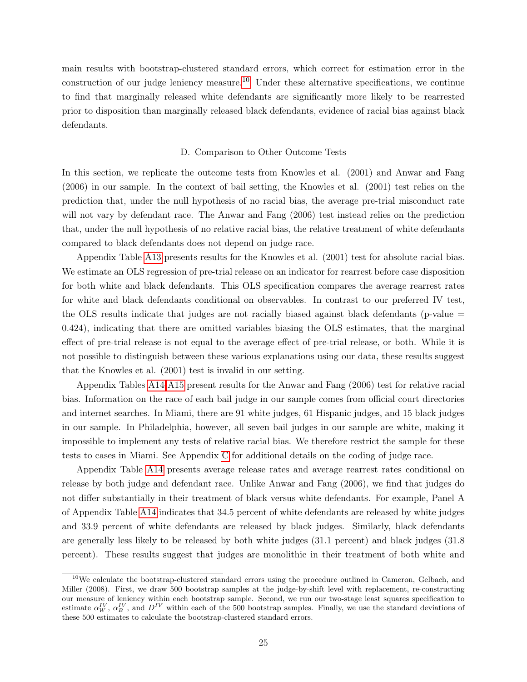main results with bootstrap-clustered standard errors, which correct for estimation error in the construction of our judge leniency measure.<sup>[10](#page-26-1)</sup> Under these alternative specifications, we continue to find that marginally released white defendants are significantly more likely to be rearrested prior to disposition than marginally released black defendants, evidence of racial bias against black defendants.

#### D. Comparison to Other Outcome Tests

<span id="page-26-0"></span>In this section, we replicate the outcome tests from Knowles et al. (2001) and Anwar and Fang (2006) in our sample. In the context of bail setting, the Knowles et al. (2001) test relies on the prediction that, under the null hypothesis of no racial bias, the average pre-trial misconduct rate will not vary by defendant race. The Anwar and Fang (2006) test instead relies on the prediction that, under the null hypothesis of no relative racial bias, the relative treatment of white defendants compared to black defendants does not depend on judge race.

Appendix Table [A13](#page-59-0) presents results for the Knowles et al. (2001) test for absolute racial bias. We estimate an OLS regression of pre-trial release on an indicator for rearrest before case disposition for both white and black defendants. This OLS specification compares the average rearrest rates for white and black defendants conditional on observables. In contrast to our preferred IV test, the OLS results indicate that judges are not racially biased against black defendants ( $p$ -value  $=$ 0.424), indicating that there are omitted variables biasing the OLS estimates, that the marginal effect of pre-trial release is not equal to the average effect of pre-trial release, or both. While it is not possible to distinguish between these various explanations using our data, these results suggest that the Knowles et al. (2001) test is invalid in our setting.

Appendix Tables [A14-](#page-60-0)[A15](#page-61-0) present results for the Anwar and Fang (2006) test for relative racial bias. Information on the race of each bail judge in our sample comes from official court directories and internet searches. In Miami, there are 91 white judges, 61 Hispanic judges, and 15 black judges in our sample. In Philadelphia, however, all seven bail judges in our sample are white, making it impossible to implement any tests of relative racial bias. We therefore restrict the sample for these tests to cases in Miami. See Appendix [C](#page-80-0) for additional details on the coding of judge race.

Appendix Table [A14](#page-60-0) presents average release rates and average rearrest rates conditional on release by both judge and defendant race. Unlike Anwar and Fang (2006), we find that judges do not differ substantially in their treatment of black versus white defendants. For example, Panel A of Appendix Table [A14](#page-60-0) indicates that 34.5 percent of white defendants are released by white judges and 33.9 percent of white defendants are released by black judges. Similarly, black defendants are generally less likely to be released by both white judges (31.1 percent) and black judges (31.8 percent). These results suggest that judges are monolithic in their treatment of both white and

<span id="page-26-1"></span><sup>&</sup>lt;sup>10</sup>We calculate the bootstrap-clustered standard errors using the procedure outlined in Cameron, Gelbach, and Miller (2008). First, we draw 500 bootstrap samples at the judge-by-shift level with replacement, re-constructing our measure of leniency within each bootstrap sample. Second, we run our two-stage least squares specification to estimate  $\alpha_W^{\{V}}$ ,  $\alpha_B^{\{V\}}$ , and  $D^{\{IV\}}$  within each of the 500 bootstrap samples. Finally, we use the standard deviations of these 500 estimates to calculate the bootstrap-clustered standard errors.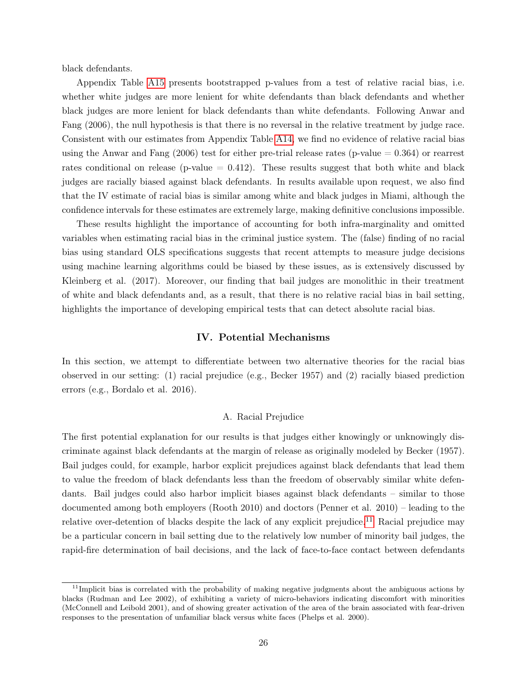black defendants.

Appendix Table [A15](#page-61-0) presents bootstrapped p-values from a test of relative racial bias, i.e. whether white judges are more lenient for white defendants than black defendants and whether black judges are more lenient for black defendants than white defendants. Following Anwar and Fang (2006), the null hypothesis is that there is no reversal in the relative treatment by judge race. Consistent with our estimates from Appendix Table [A14,](#page-60-0) we find no evidence of relative racial bias using the Anwar and Fang  $(2006)$  test for either pre-trial release rates (p-value  $= 0.364$ ) or rearrest rates conditional on release (p-value  $= 0.412$ ). These results suggest that both white and black judges are racially biased against black defendants. In results available upon request, we also find that the IV estimate of racial bias is similar among white and black judges in Miami, although the confidence intervals for these estimates are extremely large, making definitive conclusions impossible.

These results highlight the importance of accounting for both infra-marginality and omitted variables when estimating racial bias in the criminal justice system. The (false) finding of no racial bias using standard OLS specifications suggests that recent attempts to measure judge decisions using machine learning algorithms could be biased by these issues, as is extensively discussed by Kleinberg et al. (2017). Moreover, our finding that bail judges are monolithic in their treatment of white and black defendants and, as a result, that there is no relative racial bias in bail setting, highlights the importance of developing empirical tests that can detect absolute racial bias.

## IV. Potential Mechanisms

<span id="page-27-0"></span>In this section, we attempt to differentiate between two alternative theories for the racial bias observed in our setting: (1) racial prejudice (e.g., Becker 1957) and (2) racially biased prediction errors (e.g., Bordalo et al. 2016).

#### A. Racial Prejudice

The first potential explanation for our results is that judges either knowingly or unknowingly discriminate against black defendants at the margin of release as originally modeled by Becker (1957). Bail judges could, for example, harbor explicit prejudices against black defendants that lead them to value the freedom of black defendants less than the freedom of observably similar white defendants. Bail judges could also harbor implicit biases against black defendants – similar to those documented among both employers (Rooth 2010) and doctors (Penner et al. 2010) – leading to the relative over-detention of blacks despite the lack of any explicit prejudice.<sup>[11](#page-27-1)</sup> Racial prejudice may be a particular concern in bail setting due to the relatively low number of minority bail judges, the rapid-fire determination of bail decisions, and the lack of face-to-face contact between defendants

<span id="page-27-1"></span> $11$ Implicit bias is correlated with the probability of making negative judgments about the ambiguous actions by blacks (Rudman and Lee 2002), of exhibiting a variety of micro-behaviors indicating discomfort with minorities (McConnell and Leibold 2001), and of showing greater activation of the area of the brain associated with fear-driven responses to the presentation of unfamiliar black versus white faces (Phelps et al. 2000).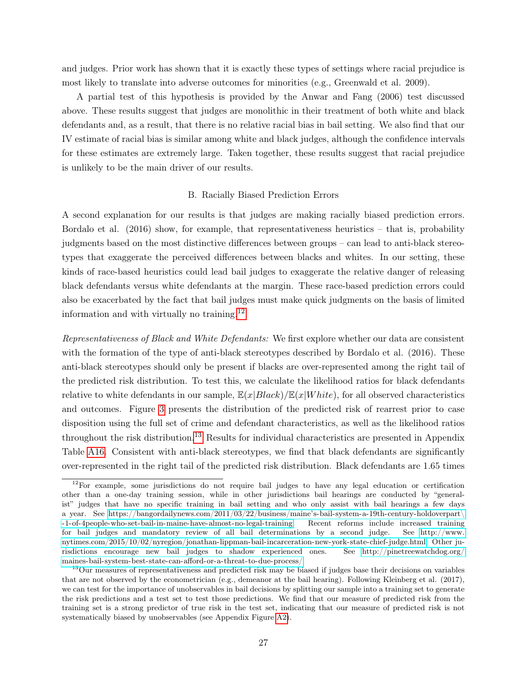and judges. Prior work has shown that it is exactly these types of settings where racial prejudice is most likely to translate into adverse outcomes for minorities (e.g., Greenwald et al. 2009).

A partial test of this hypothesis is provided by the Anwar and Fang (2006) test discussed above. These results suggest that judges are monolithic in their treatment of both white and black defendants and, as a result, that there is no relative racial bias in bail setting. We also find that our IV estimate of racial bias is similar among white and black judges, although the confidence intervals for these estimates are extremely large. Taken together, these results suggest that racial prejudice is unlikely to be the main driver of our results.

#### B. Racially Biased Prediction Errors

A second explanation for our results is that judges are making racially biased prediction errors. Bordalo et al. (2016) show, for example, that representativeness heuristics – that is, probability judgments based on the most distinctive differences between groups – can lead to anti-black stereotypes that exaggerate the perceived differences between blacks and whites. In our setting, these kinds of race-based heuristics could lead bail judges to exaggerate the relative danger of releasing black defendants versus white defendants at the margin. These race-based prediction errors could also be exacerbated by the fact that bail judges must make quick judgments on the basis of limited information and with virtually no training.<sup>[12](#page-28-0)</sup>

Representativeness of Black and White Defendants: We first explore whether our data are consistent with the formation of the type of anti-black stereotypes described by Bordalo et al. (2016). These anti-black stereotypes should only be present if blacks are over-represented among the right tail of the predicted risk distribution. To test this, we calculate the likelihood ratios for black defendants relative to white defendants in our sample,  $\mathbb{E}(x|Black)/\mathbb{E}(x|White)$ , for all observed characteristics and outcomes. Figure [3](#page-46-0) presents the distribution of the predicted risk of rearrest prior to case disposition using the full set of crime and defendant characteristics, as well as the likelihood ratios throughout the risk distribution.[13](#page-28-1) Results for individual characteristics are presented in Appendix Table [A16.](#page-62-0) Consistent with anti-black stereotypes, we find that black defendants are significantly over-represented in the right tail of the predicted risk distribution. Black defendants are 1.65 times

<span id="page-28-0"></span><sup>&</sup>lt;sup>12</sup>For example, some jurisdictions do not require bail judges to have any legal education or certification other than a one-day training session, while in other jurisdictions bail hearings are conducted by "generalist" judges that have no specific training in bail setting and who only assist with bail hearings a few days a year. See [https://bangordailynews.com/2011/03/22/business/maine's-bail-system-a-19th-century-holdoverpart\](https://bangordailynews.com/2011/03/22/business/maine) [-1-of-4people-who-set-bail-in-maine-have-almost-no-legal-training.](https://bangordailynews.com/2011/03/22/business/maine) Recent reforms include increased training for bail judges and mandatory review of all bail determinations by a second judge. See [http://www.](http://www.nytimes.com/2015/10/02/nyregion/jonathan-lippman-bail-incarceration-new-york-state-chief-judge.html) [nytimes.com/2015/10/02/nyregion/jonathan-lippman-bail-incarceration-new-york-state-chief-judge.html.](http://www.nytimes.com/2015/10/02/nyregion/jonathan-lippman-bail-incarceration-new-york-state-chief-judge.html) Other jurisdictions encourage new bail judges to shadow experienced ones. See [http://pinetreewatchdog.org/](http://pinetreewatchdog.org/maines-bail-system-best-state-can-afford-or-a-threat-to-due-process/) [maines-bail-system-best-state-can-afford-or-a-threat-to-due-process/.](http://pinetreewatchdog.org/maines-bail-system-best-state-can-afford-or-a-threat-to-due-process/)

<span id="page-28-1"></span><sup>&</sup>lt;sup>13</sup>Our measures of representativeness and predicted risk may be biased if judges base their decisions on variables that are not observed by the econometrician (e.g., demeanor at the bail hearing). Following Kleinberg et al. (2017), we can test for the importance of unobservables in bail decisions by splitting our sample into a training set to generate the risk predictions and a test set to test those predictions. We find that our measure of predicted risk from the training set is a strong predictor of true risk in the test set, indicating that our measure of predicted risk is not systematically biased by unobservables (see Appendix Figure [A2\)](#page-64-0).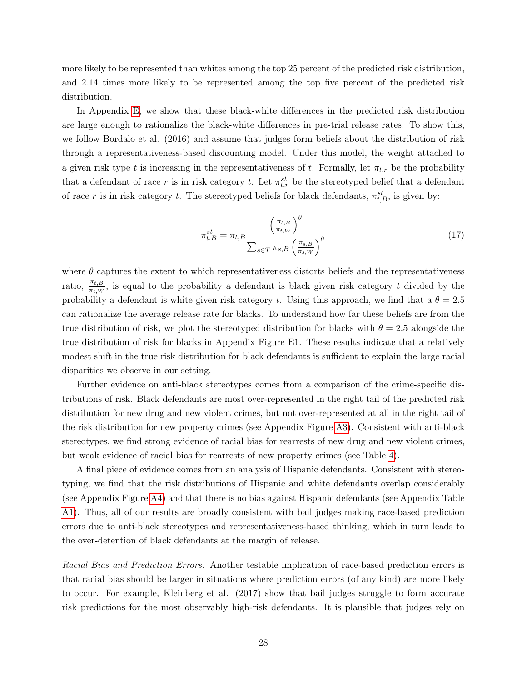more likely to be represented than whites among the top 25 percent of the predicted risk distribution, and 2.14 times more likely to be represented among the top five percent of the predicted risk distribution.

In Appendix [E,](#page-84-0) we show that these black-white differences in the predicted risk distribution are large enough to rationalize the black-white differences in pre-trial release rates. To show this, we follow Bordalo et al. (2016) and assume that judges form beliefs about the distribution of risk through a representativeness-based discounting model. Under this model, the weight attached to a given risk type t is increasing in the representativeness of t. Formally, let  $\pi_{t,r}$  be the probability that a defendant of race r is in risk category t. Let  $\pi_{t,r}^{st}$  be the stereotyped belief that a defendant of race r is in risk category t. The stereotyped beliefs for black defendants,  $\pi_{t,B}^{st}$ , is given by:

$$
\pi_{t,B}^{st} = \pi_{t,B} \frac{\left(\frac{\pi_{t,B}}{\pi_{t,W}}\right)^{\theta}}{\sum_{s \in T} \pi_{s,B} \left(\frac{\pi_{s,B}}{\pi_{s,W}}\right)^{\theta}}
$$
(17)

where  $\theta$  captures the extent to which representativeness distorts beliefs and the representativeness ratio,  $\frac{\pi_{t,B}}{\pi_{t,W}}$ , is equal to the probability a defendant is black given risk category t divided by the probability a defendant is white given risk category t. Using this approach, we find that a  $\theta = 2.5$ can rationalize the average release rate for blacks. To understand how far these beliefs are from the true distribution of risk, we plot the stereotyped distribution for blacks with  $\theta = 2.5$  alongside the true distribution of risk for blacks in Appendix Figure E1. These results indicate that a relatively modest shift in the true risk distribution for black defendants is sufficient to explain the large racial disparities we observe in our setting.

Further evidence on anti-black stereotypes comes from a comparison of the crime-specific distributions of risk. Black defendants are most over-represented in the right tail of the predicted risk distribution for new drug and new violent crimes, but not over-represented at all in the right tail of the risk distribution for new property crimes (see Appendix Figure [A3\)](#page-65-0). Consistent with anti-black stereotypes, we find strong evidence of racial bias for rearrests of new drug and new violent crimes, but weak evidence of racial bias for rearrests of new property crimes (see Table [4\)](#page-41-0).

A final piece of evidence comes from an analysis of Hispanic defendants. Consistent with stereotyping, we find that the risk distributions of Hispanic and white defendants overlap considerably (see Appendix Figure [A4\)](#page-66-0) and that there is no bias against Hispanic defendants (see Appendix Table [A1\)](#page-47-0). Thus, all of our results are broadly consistent with bail judges making race-based prediction errors due to anti-black stereotypes and representativeness-based thinking, which in turn leads to the over-detention of black defendants at the margin of release.

Racial Bias and Prediction Errors: Another testable implication of race-based prediction errors is that racial bias should be larger in situations where prediction errors (of any kind) are more likely to occur. For example, Kleinberg et al. (2017) show that bail judges struggle to form accurate risk predictions for the most observably high-risk defendants. It is plausible that judges rely on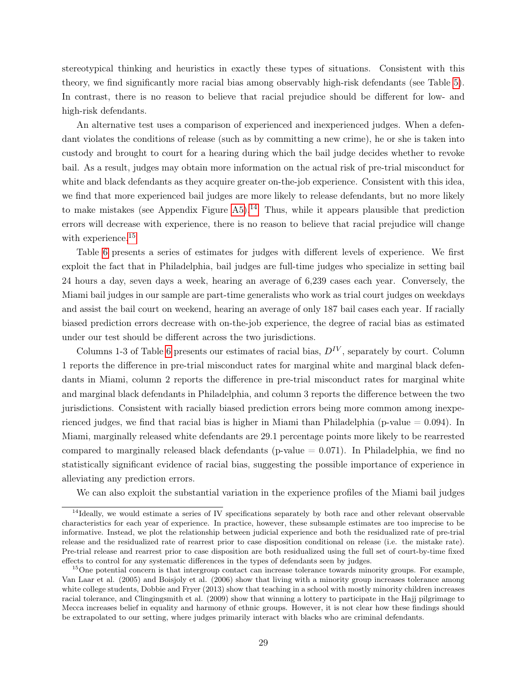stereotypical thinking and heuristics in exactly these types of situations. Consistent with this theory, we find significantly more racial bias among observably high-risk defendants (see Table [5\)](#page-42-0). In contrast, there is no reason to believe that racial prejudice should be different for low- and high-risk defendants.

An alternative test uses a comparison of experienced and inexperienced judges. When a defendant violates the conditions of release (such as by committing a new crime), he or she is taken into custody and brought to court for a hearing during which the bail judge decides whether to revoke bail. As a result, judges may obtain more information on the actual risk of pre-trial misconduct for white and black defendants as they acquire greater on-the-job experience. Consistent with this idea, we find that more experienced bail judges are more likely to release defendants, but no more likely to make mistakes (see Appendix Figure  $A5$ ).<sup>[14](#page-30-0)</sup> Thus, while it appears plausible that prediction errors will decrease with experience, there is no reason to believe that racial prejudice will change with experience.<sup>[15](#page-30-1)</sup>

Table [6](#page-43-0) presents a series of estimates for judges with different levels of experience. We first exploit the fact that in Philadelphia, bail judges are full-time judges who specialize in setting bail 24 hours a day, seven days a week, hearing an average of 6,239 cases each year. Conversely, the Miami bail judges in our sample are part-time generalists who work as trial court judges on weekdays and assist the bail court on weekend, hearing an average of only 187 bail cases each year. If racially biased prediction errors decrease with on-the-job experience, the degree of racial bias as estimated under our test should be different across the two jurisdictions.

Columns 1-3 of Table [6](#page-43-0) presents our estimates of racial bias,  $D^{IV}$ , separately by court. Column 1 reports the difference in pre-trial misconduct rates for marginal white and marginal black defendants in Miami, column 2 reports the difference in pre-trial misconduct rates for marginal white and marginal black defendants in Philadelphia, and column 3 reports the difference between the two jurisdictions. Consistent with racially biased prediction errors being more common among inexperienced judges, we find that racial bias is higher in Miami than Philadelphia (p-value  $= 0.094$ ). In Miami, marginally released white defendants are 29.1 percentage points more likely to be rearrested compared to marginally released black defendants ( $p$ -value  $= 0.071$ ). In Philadelphia, we find no statistically significant evidence of racial bias, suggesting the possible importance of experience in alleviating any prediction errors.

<span id="page-30-0"></span>We can also exploit the substantial variation in the experience profiles of the Miami bail judges

 $14$ Ideally, we would estimate a series of IV specifications separately by both race and other relevant observable characteristics for each year of experience. In practice, however, these subsample estimates are too imprecise to be informative. Instead, we plot the relationship between judicial experience and both the residualized rate of pre-trial release and the residualized rate of rearrest prior to case disposition conditional on release (i.e. the mistake rate). Pre-trial release and rearrest prior to case disposition are both residualized using the full set of court-by-time fixed effects to control for any systematic differences in the types of defendants seen by judges.

<span id="page-30-1"></span><sup>&</sup>lt;sup>15</sup>One potential concern is that intergroup contact can increase tolerance towards minority groups. For example, Van Laar et al. (2005) and Boisjoly et al. (2006) show that living with a minority group increases tolerance among white college students, Dobbie and Fryer (2013) show that teaching in a school with mostly minority children increases racial tolerance, and Clingingsmith et al. (2009) show that winning a lottery to participate in the Hajj pilgrimage to Mecca increases belief in equality and harmony of ethnic groups. However, it is not clear how these findings should be extrapolated to our setting, where judges primarily interact with blacks who are criminal defendants.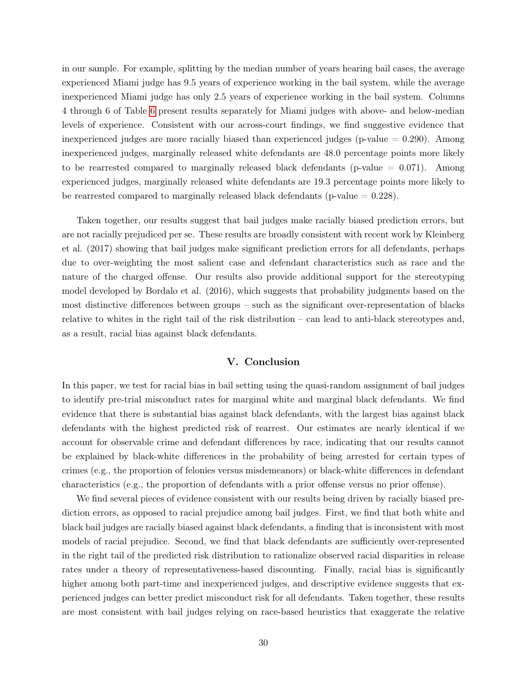in our sample. For example, splitting by the median number of years hearing bail cases, the average experienced Miami judge has 9.5 years of experience working in the bail system, while the average inexperienced Miami judge has only 2.5 years of experience working in the bail system. Columns 4 through 6 of Table [6](#page-43-0) present results separately for Miami judges with above- and below-median levels of experience. Consistent with our across-court findings, we find suggestive evidence that inexperienced judges are more racially biased than experienced judges (p-value  $= 0.290$ ). Among inexperienced judges, marginally released white defendants are 48.0 percentage points more likely to be rearrested compared to marginally released black defendants (p-value  $= 0.071$ ). Among experienced judges, marginally released white defendants are 19.3 percentage points more likely to be rearrested compared to marginally released black defendants (p-value  $= 0.228$ ).

Taken together, our results suggest that bail judges make racially biased prediction errors, but are not racially prejudiced per se. These results are broadly consistent with recent work by Kleinberg et al. (2017) showing that bail judges make significant prediction errors for all defendants, perhaps due to over-weighting the most salient case and defendant characteristics such as race and the nature of the charged offense. Our results also provide additional support for the stereotyping model developed by Bordalo et al. (2016), which suggests that probability judgments based on the most distinctive differences between groups – such as the significant over-representation of blacks relative to whites in the right tail of the risk distribution – can lead to anti-black stereotypes and, as a result, racial bias against black defendants.

#### V. Conclusion

<span id="page-31-0"></span>In this paper, we test for racial bias in bail setting using the quasi-random assignment of bail judges to identify pre-trial misconduct rates for marginal white and marginal black defendants. We find evidence that there is substantial bias against black defendants, with the largest bias against black defendants with the highest predicted risk of rearrest. Our estimates are nearly identical if we account for observable crime and defendant differences by race, indicating that our results cannot be explained by black-white differences in the probability of being arrested for certain types of crimes (e.g., the proportion of felonies versus misdemeanors) or black-white differences in defendant characteristics (e.g., the proportion of defendants with a prior offense versus no prior offense).

We find several pieces of evidence consistent with our results being driven by racially biased prediction errors, as opposed to racial prejudice among bail judges. First, we find that both white and black bail judges are racially biased against black defendants, a finding that is inconsistent with most models of racial prejudice. Second, we find that black defendants are sufficiently over-represented in the right tail of the predicted risk distribution to rationalize observed racial disparities in release rates under a theory of representativeness-based discounting. Finally, racial bias is significantly higher among both part-time and inexperienced judges, and descriptive evidence suggests that experienced judges can better predict misconduct risk for all defendants. Taken together, these results are most consistent with bail judges relying on race-based heuristics that exaggerate the relative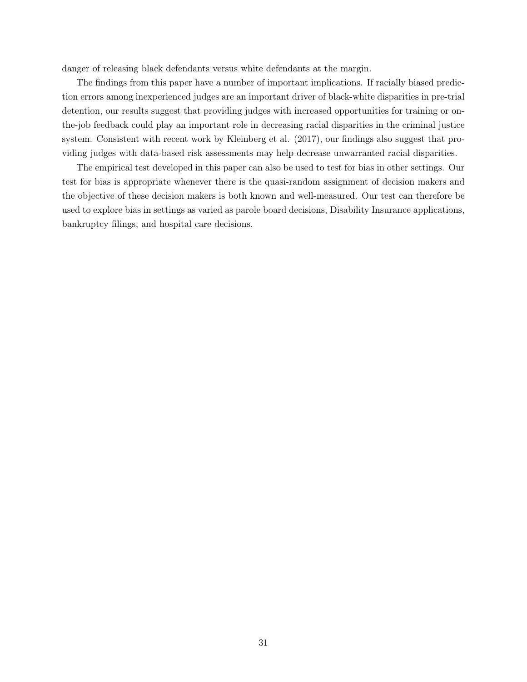danger of releasing black defendants versus white defendants at the margin.

The findings from this paper have a number of important implications. If racially biased prediction errors among inexperienced judges are an important driver of black-white disparities in pre-trial detention, our results suggest that providing judges with increased opportunities for training or onthe-job feedback could play an important role in decreasing racial disparities in the criminal justice system. Consistent with recent work by Kleinberg et al. (2017), our findings also suggest that providing judges with data-based risk assessments may help decrease unwarranted racial disparities.

The empirical test developed in this paper can also be used to test for bias in other settings. Our test for bias is appropriate whenever there is the quasi-random assignment of decision makers and the objective of these decision makers is both known and well-measured. Our test can therefore be used to explore bias in settings as varied as parole board decisions, Disability Insurance applications, bankruptcy filings, and hospital care decisions.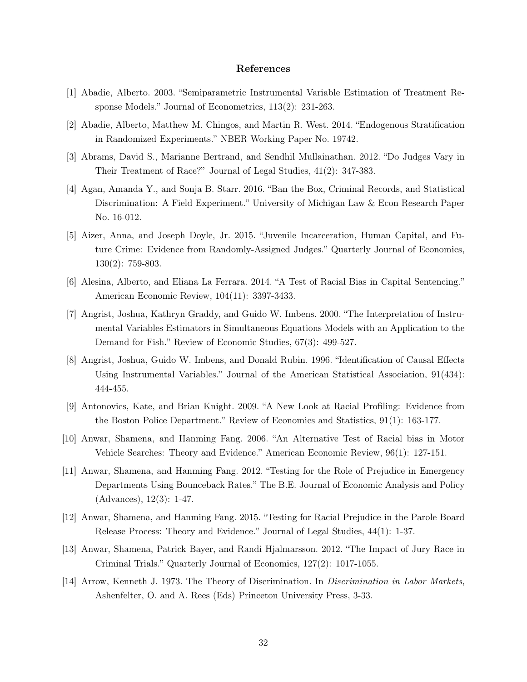#### References

- [1] Abadie, Alberto. 2003. "Semiparametric Instrumental Variable Estimation of Treatment Response Models." Journal of Econometrics, 113(2): 231-263.
- [2] Abadie, Alberto, Matthew M. Chingos, and Martin R. West. 2014. "Endogenous Stratification in Randomized Experiments." NBER Working Paper No. 19742.
- [3] Abrams, David S., Marianne Bertrand, and Sendhil Mullainathan. 2012. "Do Judges Vary in Their Treatment of Race?" Journal of Legal Studies, 41(2): 347-383.
- [4] Agan, Amanda Y., and Sonja B. Starr. 2016. "Ban the Box, Criminal Records, and Statistical Discrimination: A Field Experiment." University of Michigan Law & Econ Research Paper No. 16-012.
- [5] Aizer, Anna, and Joseph Doyle, Jr. 2015. "Juvenile Incarceration, Human Capital, and Future Crime: Evidence from Randomly-Assigned Judges." Quarterly Journal of Economics, 130(2): 759-803.
- [6] Alesina, Alberto, and Eliana La Ferrara. 2014. "A Test of Racial Bias in Capital Sentencing." American Economic Review, 104(11): 3397-3433.
- [7] Angrist, Joshua, Kathryn Graddy, and Guido W. Imbens. 2000. "The Interpretation of Instrumental Variables Estimators in Simultaneous Equations Models with an Application to the Demand for Fish." Review of Economic Studies, 67(3): 499-527.
- [8] Angrist, Joshua, Guido W. Imbens, and Donald Rubin. 1996. "Identification of Causal Effects Using Instrumental Variables." Journal of the American Statistical Association, 91(434): 444-455.
- [9] Antonovics, Kate, and Brian Knight. 2009. "A New Look at Racial Profiling: Evidence from the Boston Police Department." Review of Economics and Statistics, 91(1): 163-177.
- [10] Anwar, Shamena, and Hanming Fang. 2006. "An Alternative Test of Racial bias in Motor Vehicle Searches: Theory and Evidence." American Economic Review, 96(1): 127-151.
- [11] Anwar, Shamena, and Hanming Fang. 2012. "Testing for the Role of Prejudice in Emergency Departments Using Bounceback Rates." The B.E. Journal of Economic Analysis and Policy (Advances), 12(3): 1-47.
- [12] Anwar, Shamena, and Hanming Fang. 2015. "Testing for Racial Prejudice in the Parole Board Release Process: Theory and Evidence." Journal of Legal Studies, 44(1): 1-37.
- [13] Anwar, Shamena, Patrick Bayer, and Randi Hjalmarsson. 2012. "The Impact of Jury Race in Criminal Trials." Quarterly Journal of Economics, 127(2): 1017-1055.
- [14] Arrow, Kenneth J. 1973. The Theory of Discrimination. In Discrimination in Labor Markets, Ashenfelter, O. and A. Rees (Eds) Princeton University Press, 3-33.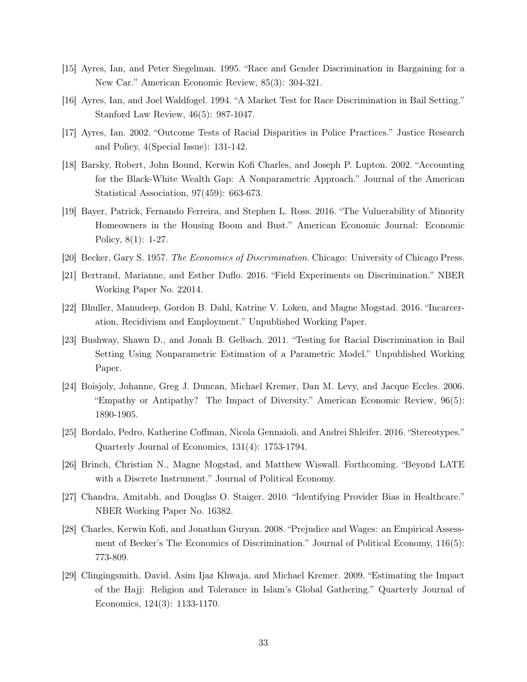- [15] Ayres, Ian, and Peter Siegelman. 1995. "Race and Gender Discrimination in Bargaining for a New Car." American Economic Review, 85(3): 304-321.
- [16] Ayres, Ian, and Joel Waldfogel. 1994. "A Market Test for Race Discrimination in Bail Setting." Stanford Law Review, 46(5): 987-1047.
- [17] Ayres, Ian. 2002. "Outcome Tests of Racial Disparities in Police Practices." Justice Research and Policy, 4(Special Issue): 131-142.
- [18] Barsky, Robert, John Bound, Kerwin Kofi Charles, and Joseph P. Lupton. 2002. "Accounting for the Black-White Wealth Gap: A Nonparametric Approach." Journal of the American Statistical Association, 97(459): 663-673.
- [19] Bayer, Patrick, Fernando Ferreira, and Stephen L. Ross. 2016. "The Vulnerability of Minority Homeowners in the Housing Boom and Bust." American Economic Journal: Economic Policy, 8(1): 1-27.
- [20] Becker, Gary S. 1957. The Economics of Discrimination. Chicago: University of Chicago Press.
- [21] Bertrand, Marianne, and Esther Duflo. 2016. "Field Experiments on Discrimination." NBER Working Paper No. 22014.
- [22] Bhuller, Manudeep, Gordon B. Dahl, Katrine V. Loken, and Magne Mogstad. 2016. "Incarceration, Recidivism and Employment." Unpublished Working Paper.
- [23] Bushway, Shawn D., and Jonah B. Gelbach. 2011. "Testing for Racial Discrimination in Bail Setting Using Nonparametric Estimation of a Parametric Model." Unpublished Working Paper.
- [24] Boisjoly, Johanne, Greg J. Duncan, Michael Kremer, Dan M. Levy, and Jacque Eccles. 2006. "Empathy or Antipathy? The Impact of Diversity." American Economic Review, 96(5): 1890-1905.
- [25] Bordalo, Pedro, Katherine Coffman, Nicola Gennaioli, and Andrei Shleifer. 2016. "Stereotypes." Quarterly Journal of Economics, 131(4): 1753-1794.
- [26] Brinch, Christian N., Magne Mogstad, and Matthew Wiswall. Forthcoming. "Beyond LATE with a Discrete Instrument." Journal of Political Economy.
- [27] Chandra, Amitabh, and Douglas O. Staiger. 2010. "Identifying Provider Bias in Healthcare." NBER Working Paper No. 16382.
- [28] Charles, Kerwin Kofi, and Jonathan Guryan. 2008. "Prejudice and Wages: an Empirical Assessment of Becker's The Economics of Discrimination." Journal of Political Economy, 116(5): 773-809.
- [29] Clingingsmith, David, Asim Ijaz Khwaja, and Michael Kremer. 2009. "Estimating the Impact of the Hajj: Religion and Tolerance in Islam's Global Gathering." Quarterly Journal of Economics, 124(3): 1133-1170.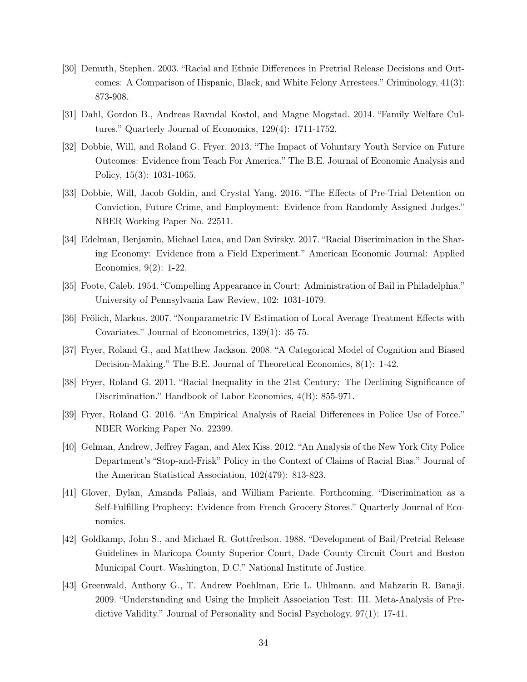- [30] Demuth, Stephen. 2003. "Racial and Ethnic Differences in Pretrial Release Decisions and Outcomes: A Comparison of Hispanic, Black, and White Felony Arrestees." Criminology, 41(3): 873-908.
- [31] Dahl, Gordon B., Andreas Ravndal Kostol, and Magne Mogstad. 2014. "Family Welfare Cultures." Quarterly Journal of Economics, 129(4): 1711-1752.
- [32] Dobbie, Will, and Roland G. Fryer. 2013. "The Impact of Voluntary Youth Service on Future Outcomes: Evidence from Teach For America." The B.E. Journal of Economic Analysis and Policy, 15(3): 1031-1065.
- [33] Dobbie, Will, Jacob Goldin, and Crystal Yang. 2016. "The Effects of Pre-Trial Detention on Conviction, Future Crime, and Employment: Evidence from Randomly Assigned Judges." NBER Working Paper No. 22511.
- [34] Edelman, Benjamin, Michael Luca, and Dan Svirsky. 2017. "Racial Discrimination in the Sharing Economy: Evidence from a Field Experiment." American Economic Journal: Applied Economics, 9(2): 1-22.
- [35] Foote, Caleb. 1954. "Compelling Appearance in Court: Administration of Bail in Philadelphia." University of Pennsylvania Law Review, 102: 1031-1079.
- [36] Frölich, Markus. 2007. "Nonparametric IV Estimation of Local Average Treatment Effects with Covariates." Journal of Econometrics, 139(1): 35-75.
- [37] Fryer, Roland G., and Matthew Jackson. 2008. "A Categorical Model of Cognition and Biased Decision-Making." The B.E. Journal of Theoretical Economics, 8(1): 1-42.
- [38] Fryer, Roland G. 2011. "Racial Inequality in the 21st Century: The Declining Significance of Discrimination." Handbook of Labor Economics, 4(B): 855-971.
- [39] Fryer, Roland G. 2016. "An Empirical Analysis of Racial Differences in Police Use of Force." NBER Working Paper No. 22399.
- [40] Gelman, Andrew, Jeffrey Fagan, and Alex Kiss. 2012. "An Analysis of the New York City Police Department's "Stop-and-Frisk" Policy in the Context of Claims of Racial Bias." Journal of the American Statistical Association, 102(479): 813-823.
- [41] Glover, Dylan, Amanda Pallais, and William Pariente. Forthcoming. "Discrimination as a Self-Fulfilling Prophecy: Evidence from French Grocery Stores." Quarterly Journal of Economics.
- [42] Goldkamp, John S., and Michael R. Gottfredson. 1988. "Development of Bail/Pretrial Release Guidelines in Maricopa County Superior Court, Dade County Circuit Court and Boston Municipal Court. Washington, D.C." National Institute of Justice.
- [43] Greenwald, Anthony G., T. Andrew Poehlman, Eric L. Uhlmann, and Mahzarin R. Banaji. 2009. "Understanding and Using the Implicit Association Test: III. Meta-Analysis of Predictive Validity." Journal of Personality and Social Psychology, 97(1): 17-41.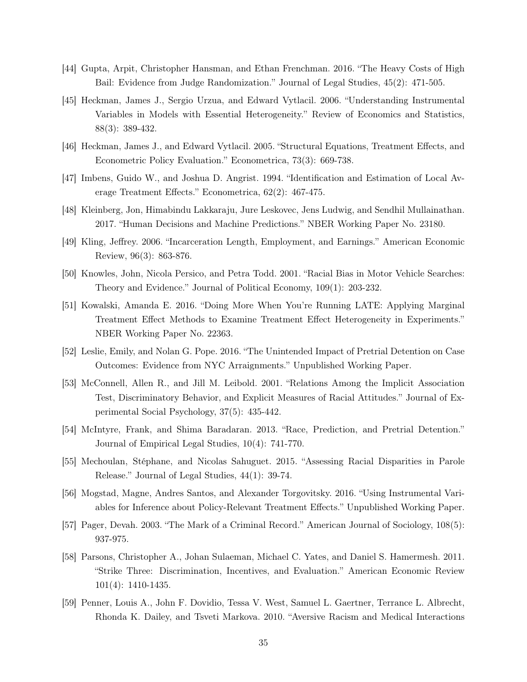- [44] Gupta, Arpit, Christopher Hansman, and Ethan Frenchman. 2016. "The Heavy Costs of High Bail: Evidence from Judge Randomization." Journal of Legal Studies, 45(2): 471-505.
- [45] Heckman, James J., Sergio Urzua, and Edward Vytlacil. 2006. "Understanding Instrumental Variables in Models with Essential Heterogeneity." Review of Economics and Statistics, 88(3): 389-432.
- [46] Heckman, James J., and Edward Vytlacil. 2005. "Structural Equations, Treatment Effects, and Econometric Policy Evaluation." Econometrica, 73(3): 669-738.
- [47] Imbens, Guido W., and Joshua D. Angrist. 1994. "Identification and Estimation of Local Average Treatment Effects." Econometrica, 62(2): 467-475.
- [48] Kleinberg, Jon, Himabindu Lakkaraju, Jure Leskovec, Jens Ludwig, and Sendhil Mullainathan. 2017. "Human Decisions and Machine Predictions." NBER Working Paper No. 23180.
- [49] Kling, Jeffrey. 2006. "Incarceration Length, Employment, and Earnings." American Economic Review, 96(3): 863-876.
- [50] Knowles, John, Nicola Persico, and Petra Todd. 2001. "Racial Bias in Motor Vehicle Searches: Theory and Evidence." Journal of Political Economy, 109(1): 203-232.
- [51] Kowalski, Amanda E. 2016. "Doing More When You're Running LATE: Applying Marginal Treatment Effect Methods to Examine Treatment Effect Heterogeneity in Experiments." NBER Working Paper No. 22363.
- [52] Leslie, Emily, and Nolan G. Pope. 2016. "The Unintended Impact of Pretrial Detention on Case Outcomes: Evidence from NYC Arraignments." Unpublished Working Paper.
- [53] McConnell, Allen R., and Jill M. Leibold. 2001. "Relations Among the Implicit Association Test, Discriminatory Behavior, and Explicit Measures of Racial Attitudes." Journal of Experimental Social Psychology, 37(5): 435-442.
- [54] McIntyre, Frank, and Shima Baradaran. 2013. "Race, Prediction, and Pretrial Detention." Journal of Empirical Legal Studies, 10(4): 741-770.
- [55] Mechoulan, Stéphane, and Nicolas Sahuguet. 2015. "Assessing Racial Disparities in Parole Release." Journal of Legal Studies, 44(1): 39-74.
- [56] Mogstad, Magne, Andres Santos, and Alexander Torgovitsky. 2016. "Using Instrumental Variables for Inference about Policy-Relevant Treatment Effects." Unpublished Working Paper.
- [57] Pager, Devah. 2003. "The Mark of a Criminal Record." American Journal of Sociology, 108(5): 937-975.
- [58] Parsons, Christopher A., Johan Sulaeman, Michael C. Yates, and Daniel S. Hamermesh. 2011. "Strike Three: Discrimination, Incentives, and Evaluation." American Economic Review 101(4): 1410-1435.
- [59] Penner, Louis A., John F. Dovidio, Tessa V. West, Samuel L. Gaertner, Terrance L. Albrecht, Rhonda K. Dailey, and Tsveti Markova. 2010. "Aversive Racism and Medical Interactions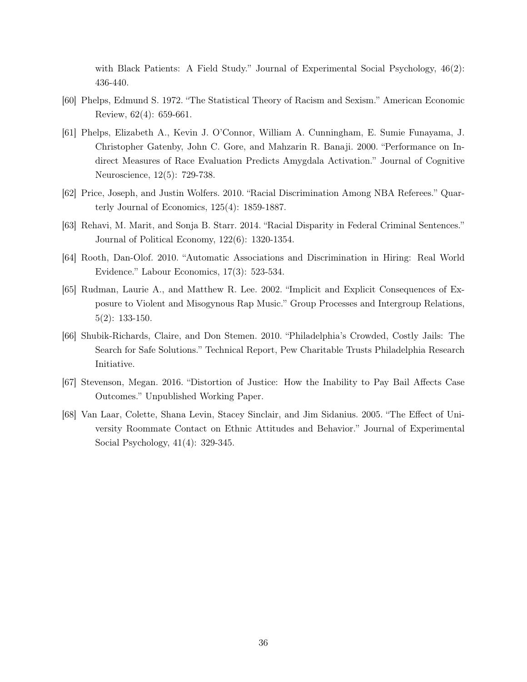with Black Patients: A Field Study." Journal of Experimental Social Psychology,  $46(2)$ : 436-440.

- [60] Phelps, Edmund S. 1972. "The Statistical Theory of Racism and Sexism." American Economic Review, 62(4): 659-661.
- [61] Phelps, Elizabeth A., Kevin J. O'Connor, William A. Cunningham, E. Sumie Funayama, J. Christopher Gatenby, John C. Gore, and Mahzarin R. Banaji. 2000. "Performance on Indirect Measures of Race Evaluation Predicts Amygdala Activation." Journal of Cognitive Neuroscience, 12(5): 729-738.
- [62] Price, Joseph, and Justin Wolfers. 2010. "Racial Discrimination Among NBA Referees." Quarterly Journal of Economics, 125(4): 1859-1887.
- [63] Rehavi, M. Marit, and Sonja B. Starr. 2014. "Racial Disparity in Federal Criminal Sentences." Journal of Political Economy, 122(6): 1320-1354.
- [64] Rooth, Dan-Olof. 2010. "Automatic Associations and Discrimination in Hiring: Real World Evidence." Labour Economics, 17(3): 523-534.
- [65] Rudman, Laurie A., and Matthew R. Lee. 2002. "Implicit and Explicit Consequences of Exposure to Violent and Misogynous Rap Music." Group Processes and Intergroup Relations, 5(2): 133-150.
- [66] Shubik-Richards, Claire, and Don Stemen. 2010. "Philadelphia's Crowded, Costly Jails: The Search for Safe Solutions." Technical Report, Pew Charitable Trusts Philadelphia Research Initiative.
- [67] Stevenson, Megan. 2016. "Distortion of Justice: How the Inability to Pay Bail Affects Case Outcomes." Unpublished Working Paper.
- [68] Van Laar, Colette, Shana Levin, Stacey Sinclair, and Jim Sidanius. 2005. "The Effect of University Roommate Contact on Ethnic Attitudes and Behavior." Journal of Experimental Social Psychology, 41(4): 329-345.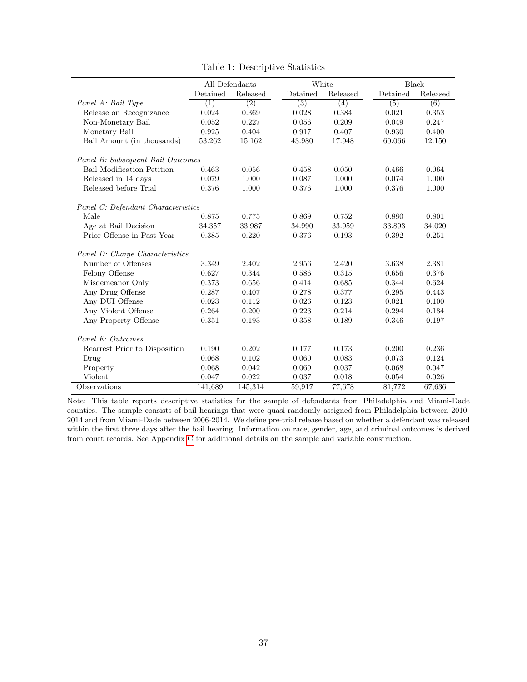|                                    | All Defendants   |                  | White            |                  | <b>Black</b> |          |
|------------------------------------|------------------|------------------|------------------|------------------|--------------|----------|
|                                    | Detained         | Released         | Detained         | Released         | Detained     | Released |
| Panel A: Bail Type                 | $\overline{(1)}$ | $\overline{(2)}$ | $\overline{(3)}$ | $\overline{(4)}$ | (5)          | (6)      |
| Release on Recognizance            | 0.024            | 0.369            | 0.028            | 0.384            | 0.021        | 0.353    |
| Non-Monetary Bail                  | 0.052            | 0.227            | 0.056            | 0.209            | 0.049        | 0.247    |
| Monetary Bail                      | 0.925            | 0.404            | 0.917            | 0.407            | 0.930        | 0.400    |
| Bail Amount (in thousands)         | 53.262           | 15.162           | 43.980           | 17.948           | 60.066       | 12.150   |
| Panel B: Subsequent Bail Outcomes  |                  |                  |                  |                  |              |          |
| Bail Modification Petition         | 0.463            | 0.056            | 0.458            | 0.050            | 0.466        | 0.064    |
| Released in 14 days                | 0.079            | 1.000            | 0.087            | 1.000            | 0.074        | 1.000    |
| Released before Trial              | 0.376            | 1.000            | 0.376            | 1.000            | 0.376        | 1.000    |
| Panel C: Defendant Characteristics |                  |                  |                  |                  |              |          |
| Male                               | 0.875            | 0.775            | 0.869            | 0.752            | 0.880        | 0.801    |
| Age at Bail Decision               | 34.357           | 33.987           | 34.990           | 33.959           | 33.893       | 34.020   |
| Prior Offense in Past Year         | 0.385            | 0.220            | 0.376            | 0.193            | 0.392        | 0.251    |
| Panel D: Charge Characteristics    |                  |                  |                  |                  |              |          |
| Number of Offenses                 | 3.349            | 2.402            | 2.956            | 2.420            | 3.638        | 2.381    |
| Felony Offense                     | 0.627            | 0.344            | 0.586            | 0.315            | 0.656        | 0.376    |
| Misdemeanor Only                   | 0.373            | 0.656            | 0.414            | 0.685            | 0.344        | 0.624    |
| Any Drug Offense                   | 0.287            | 0.407            | 0.278            | 0.377            | 0.295        | 0.443    |
| Any DUI Offense                    | 0.023            | 0.112            | 0.026            | 0.123            | 0.021        | 0.100    |
| Any Violent Offense                | 0.264            | 0.200            | 0.223            | 0.214            | 0.294        | 0.184    |
| Any Property Offense               | 0.351            | 0.193            | 0.358            | 0.189            | 0.346        | 0.197    |
| Panel E: Outcomes                  |                  |                  |                  |                  |              |          |
| Rearrest Prior to Disposition      | 0.190            | 0.202            | 0.177            | 0.173            | 0.200        | 0.236    |
| Drug                               | 0.068            | 0.102            | 0.060            | 0.083            | 0.073        | 0.124    |
| Property                           | 0.068            | 0.042            | 0.069            | 0.037            | 0.068        | 0.047    |
| Violent                            | 0.047            | 0.022            | 0.037            | 0.018            | 0.054        | 0.026    |
| Observations                       | 141,689          | 145,314          | 59,917           | 77,678           | 81,772       | 67,636   |

Table 1: Descriptive Statistics

Note: This table reports descriptive statistics for the sample of defendants from Philadelphia and Miami-Dade counties. The sample consists of bail hearings that were quasi-randomly assigned from Philadelphia between 2010- 2014 and from Miami-Dade between 2006-2014. We define pre-trial release based on whether a defendant was released within the first three days after the bail hearing. Information on race, gender, age, and criminal outcomes is derived from court records. See Appendix [C](#page-80-0) for additional details on the sample and variable construction.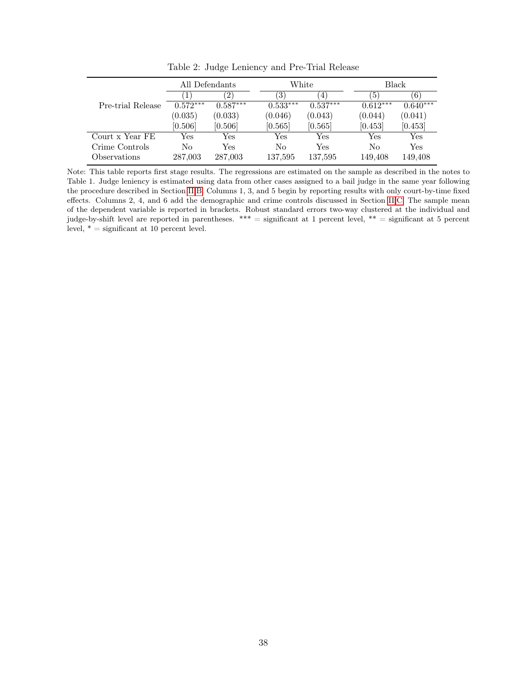|                   | All Defendants |               | White                 |                   | <b>Black</b>         |            |
|-------------------|----------------|---------------|-----------------------|-------------------|----------------------|------------|
|                   |                | $^{\prime}2)$ | $\mathbf{3}^{\prime}$ | $\left( 4\right)$ | 5                    | (6)        |
| Pre-trial Release | $0.572***$     | $0.587***$    | $0.533***$            | $0.537***$        | $0.612***$           | $0.640***$ |
|                   | (0.035)        | (0.033)       | (0.046)               | (0.043)           | (0.044)              | (0.041)    |
|                   | [0.506]        | [0.506]       | [0.565]               | [0.565]           | [0.453]              | [0.453]    |
| Court x Year FE   | Yes            | Yes           | Yes                   | Yes               | $\operatorname{Yes}$ | Yes        |
| Crime Controls    | No             | Yes           | No                    | Yes               | No                   | Yes        |
| Observations      | 287,003        | 287,003       | 137,595               | 137,595           | 149,408              | 149,408    |

Table 2: Judge Leniency and Pre-Trial Release

Note: This table reports first stage results. The regressions are estimated on the sample as described in the notes to Table 1. Judge leniency is estimated using data from other cases assigned to a bail judge in the same year following the procedure described in Section [II.](#page-17-0)[B.](#page-18-0) Columns 1, 3, and 5 begin by reporting results with only court-by-time fixed effects. Columns 2, 4, and 6 add the demographic and crime controls discussed in Section [II.](#page-17-0)[C.](#page-20-0) The sample mean of the dependent variable is reported in brackets. Robust standard errors two-way clustered at the individual and judge-by-shift level are reported in parentheses. \*\*\* = significant at 1 percent level, \*\* = significant at 5 percent level,  $* =$  significant at 10 percent level.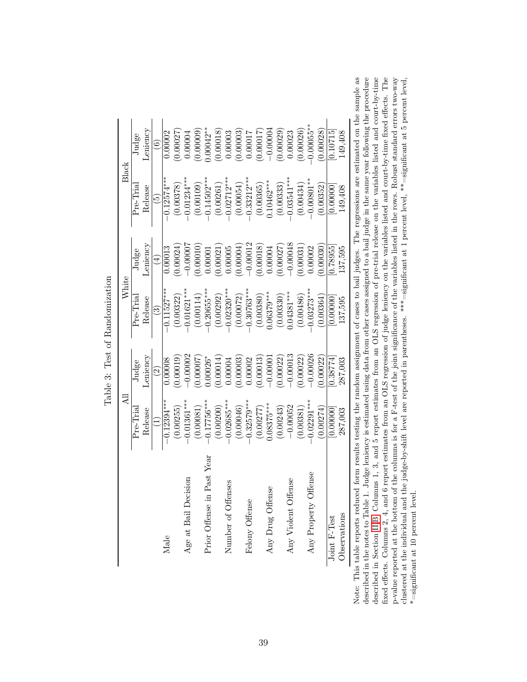|                              | 깈             |                          | White         |                | Black                |                          |
|------------------------------|---------------|--------------------------|---------------|----------------|----------------------|--------------------------|
|                              | $Pre$ Tria    | Judge                    | $Pre-Tria$    | Judge          | $Pre-Tria$           | Judge                    |
|                              | Release       | Leniency                 | Release       | Leniency       | Release              | Leniency                 |
|                              |               | $\widehat{\mathfrak{S}}$ | ව             | $\overline{4}$ | $\widetilde{\Theta}$ | $\widetilde{\mathbf{e}}$ |
| Male                         | $-0.12394***$ | 0.00008                  | $-0.11527**$  | 0.00013        | $-0.12574***$        | 0.00002                  |
|                              | (0.00255)     | 0.00019                  | (0.00322)     | 0.00024        | (0.00378)            | 0.00027                  |
| Age at Bail Decision         | $-0.01361***$ | $-0.00002$               | $0.01621***$  | $-0.00007$     | $-0.01234***$        | 0.00004                  |
|                              | (0.00081)     | 0.00007                  | (0.00114)     | 0.00010        | (0.00109)            | 0.00009                  |
| ast Year<br>Prior Offense in | $0.17756***$  | 0.00026                  | $-0.20655***$ | 0.00001        | $-0.14502***$        | $0.00042***$             |
|                              | (0.00200)     | 0.00014                  | (0.00292)     | 0.00021        | (0.00261)            | 0.00018                  |
| Number of Offenses           | $-0.02685***$ | 0.00004                  | $0.02320***$  | 0.00005        | $0.02712***$         | 0.00003                  |
|                              | (0.00046)     | 0.00003                  | (0.00072)     | 0.00004        | (0.00054)            | (0.00003)                |
| Felony Offense               | $0.32579***$  | 0.00002                  | $-0.30763***$ | $-0.00012$     | $0.33212***$         | 0.00017                  |
|                              | (0.00277)     | 0.00013                  | (0.00380)     | 0.00018        | (0.00365)            | (0.000.7)                |
| Any Drug Offense             | $0.08375***$  | $-0.00001$               | $0.06379***$  | 0.00004        | $0.10462***$         | $-0.00004$               |
|                              | (0.00243)     | 0.00022                  | (0.00330)     | 0.00027        | (0.00333)            | (0.00029)                |
| Any Violent Offense          | $-0.00052$    | $-0.00013$               | $0.04381***$  | $-0.00048$     | $-0.03541***$        | 0.00023                  |
|                              | (0.00381)     | 0.00022                  | (0.00486)     | 0.00031        | (0.00434)            | 0.00026                  |
| Any Property Offense         | $0.02291***$  | $-0.00026$               | $0.03273***$  | 0.00002        | $0.00801***$         | $-0.00055***$            |
|                              | 0.00274)      | 0.00022                  | (0.00364)     | 0.00030        | (0.00352)            | 0.00028                  |
| Joint F-Test                 | 0.00000       | 0.38774                  | 0.00000       | 0.78955        | 0.00000              | 0.10715                  |
| Observations                 | 287,003       | 287,003                  | 137,595       | 137,595        | 149,408              | 149,408                  |

Table 3: Test of Randomization Table 3: Test of Randomization

mple as described in the notes to Table 1. Judge leniency is estimated using data from other cases assigned to a bail judge in the same year following the procedure described in Section II.B. Columns 1, 3, and 5 report estimates from an OLS regression of pre-trial release on the variables listed and court-by-time fixed effects. Columns 2, 4, and 6 report estimates from an OLS regression of judge leniency on the variables listed and court-by-time fixed effects. The p-value reported at the bottom of the columns is for a F-test of th clustered at the individual and the judge-by-shift level are reported in parentheses. \*\*\*=significant at 1 percent level, \*\*=significant at 5 percent level, Note: This table reports reduced form results testing the random assignment of cases to bail judges. The regressions are estimated on the sample as described in the notes to Table 1. Judge leniency is estimated using data from other cases assigned to a bail judge in the same year following the procedure described in Section [II.](#page-17-0)[B.](#page-18-0) Columns 1, 3, and 5 report estimates from an OLS regression of pre-trial release on the variables listed and court-by-time fixed effects. Columns 2, 4, and 6 report estimates from an OLS regression of judge leniency on the variables listed and court-by-time fixed effects. The p-value reported at the bottom of the columns is for a F-test of the joint significance of the variables listed in the rows. Robust standard errors two-way clustered at the individual and the judge-by-shift level are reported in parentheses. \*\*\*=significant at 1 percent level, \*\*=significant at 5 percent level, \*=significant at 10 percent level. \*=significant at 10 percent level. Note: Tl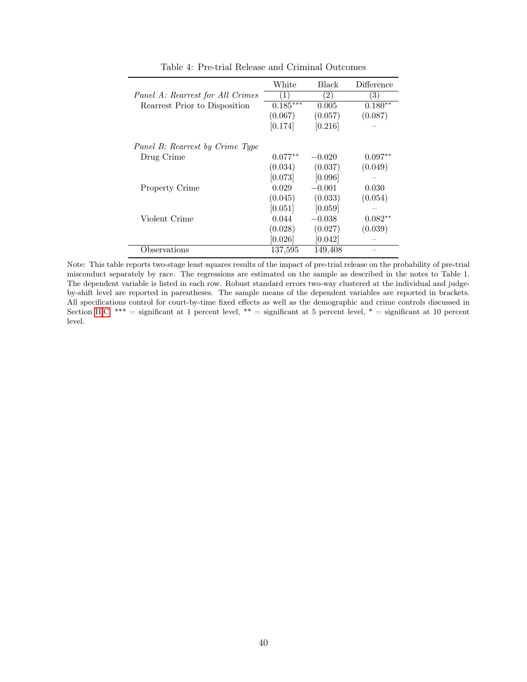|                                  | White      | Black    | Difference |
|----------------------------------|------------|----------|------------|
| Panel A: Rearrest for All Crimes | $\perp$    | (2)      | 3)         |
| Rearrest Prior to Disposition    | $0.185***$ | 0.005    | $0.180**$  |
|                                  | (0.067)    | (0.057)  | (0.087)    |
|                                  | [0.174]    | [0.216]  |            |
| Panel B: Rearrest by Crime Type  |            |          |            |
| Drug Crime                       | $0.077**$  | $-0.020$ | $0.097**$  |
|                                  | (0.034)    | (0.037)  | (0.049)    |
|                                  | [0.073]    | [0.096]  |            |
| <b>Property Crime</b>            | 0.029      | $-0.001$ | 0.030      |
|                                  | (0.045)    | (0.033)  | (0.054)    |
|                                  | [0.051]    | [0.059]  |            |
| Violent Crime                    | 0.044      | $-0.038$ | $0.082**$  |
|                                  | (0.028)    | (0.027)  | (0.039)    |
|                                  | [0.026]    | [0.042]  |            |
| Observations                     | 137,595    | 149,408  |            |

Table 4: Pre-trial Release and Criminal Outcomes

Note: This table reports two-stage least squares results of the impact of pre-trial release on the probability of pre-trial misconduct separately by race. The regressions are estimated on the sample as described in the notes to Table 1. The dependent variable is listed in each row. Robust standard errors two-way clustered at the individual and judgeby-shift level are reported in parentheses. The sample means of the dependent variables are reported in brackets. All specifications control for court-by-time fixed effects as well as the demographic and crime controls discussed in Section [II.](#page-17-0)[C.](#page-20-0) \*\*\* = significant at 1 percent level, \*\* = significant at 5 percent level, \* = significant at 10 percent level.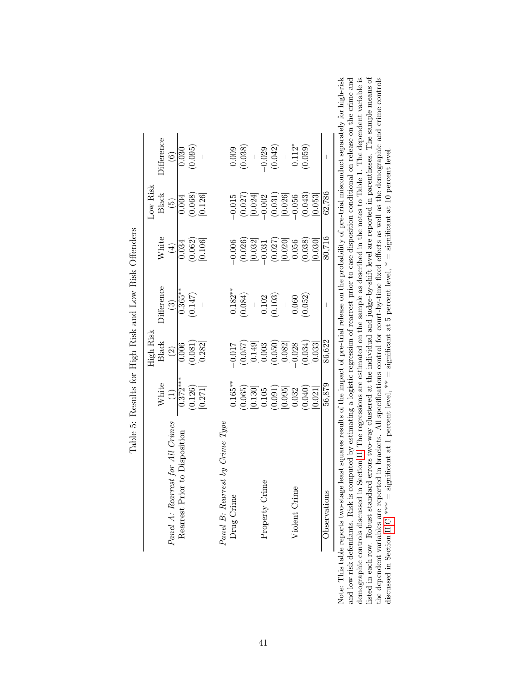|                                  |              | High Risk          |            |           | $_{\rm Low\; Risk}$ |                   |
|----------------------------------|--------------|--------------------|------------|-----------|---------------------|-------------------|
|                                  | $\rm{Wlate}$ | Black              | Difference | White     | Black               | Difference        |
| Panel A: Rearrest for All Crimes |              | $\widehat{\Omega}$ | ତି         | ਚ         | 6                   | $\widehat{\circ}$ |
| Rearrest Prior to Disposition    | $0.372***$   | 0.006              | $0.365**$  | 0.034     | 0.004               | 0.030             |
|                                  | (0.126)      | (0.081)            | (0.147)    | (0.062)   | (0.068)             | (0.095)           |
|                                  | [0.271]      | [0.282]            |            | [0.106]   | 0.126               |                   |
| Panel B: Rearrest by Crime Type  |              |                    |            |           |                     |                   |
| Drug Crime                       | $0.165***$   | $-0.017$           | $0.182**$  | $-0.006$  | $-0.015$            | 0.009             |
|                                  | (0.065)      | (0.057)            | (0.084)    | (0.026)   | (0.027)             | (0.038)           |
|                                  | [0.130]      | [0.149]            |            | [0.032]   | [0.024]             |                   |
| Property Crime                   | 0.105        | 0.003              | 0.102      | $-0.031$  | $-0.002$            | $-0.029$          |
|                                  | (0.091)      | (0.050)            | (0.103)    | (0.027)   | (0.031)             | (0.042)           |
|                                  | [0.095]      | [0.082]            |            | [0.020]   | [0.026]             |                   |
| Violent Crime                    | 0.032        | $-0.028$           | 0.060      | 0.056     | $-0.056$            | $0.112*$          |
|                                  | (0.040)      | (0.034)            | (0.052)    | (0.038)   | (0.043)             | (0.059)           |
|                                  | 0.021        | [0.033]            |            | $0.030\,$ | [0.053]             |                   |
| Observations                     | 56,879       | 86,622             |            | 80,716    | 62,786              |                   |

Table 5: Results for High Risk and Low Risk Offenders Table 5: Results for High Risk and Low Risk Offenders

high-risk<br>:ime and demographic controls discussed in Section II. The regressions are estimated on the sample as described in the notes to Table 1. The dependent variable is listed in each row. Robust standard errors two-way clustered at the individual and judge-by-shift level are reported in parentheses. The sample means of the dependent variables are reported in brackets. All specifications control for court-by-time fixed effects as well as the demographic and crime controls discussed in Section II.C. \*\*\* = significant at 1 percent level, \* demographic controls discussed in Section [II.](#page-17-0) The regressions are estimated on the sample as described in the notes to Table 1. The dependent variable is listed in each row. Robust standard errors two-way clustered at the individual and judge-by-shift level are reported in parentheses. The sample means of Note: This table reports two-stage least squares results of the impact of pre-trial release on the probability of pre-trial misconduct separately for high-risk and low-risk defendants. Risk is computed by estimating a logistic regression of rearrest prior to case disposition conditional on release on the crime and the dependent variables are reported in brackets. All specifications control for court-by-time fixed effects as well as the demographic and crime controls discussed in Section [II.](#page-17-0)[C.](#page-20-0) \*\*\* = significant at 1 percent level, \*\* = significant at 5 percent level, \* = significant at 10 percent level. Note: This ta and low-risk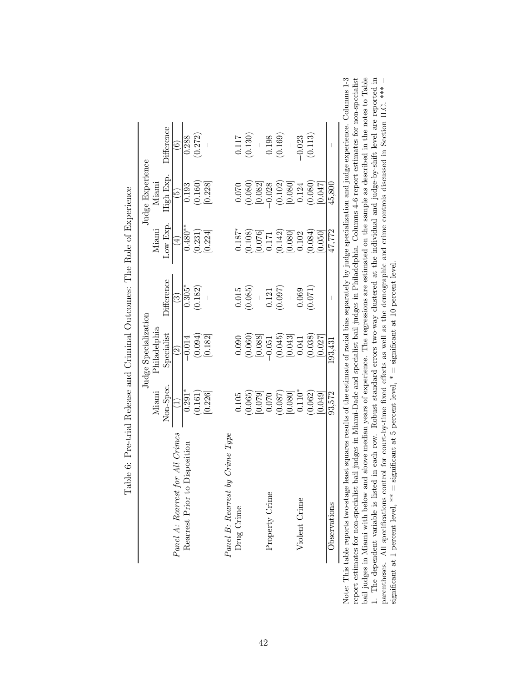|                                         |           | Judge Specialization |            |           | Judge Experience |                     |
|-----------------------------------------|-----------|----------------------|------------|-----------|------------------|---------------------|
|                                         | Miami     | Philadelphia         |            | Miami     | Miami            |                     |
|                                         | Non-Spec. | Specialist           | Difference | Low Exp.  | High Exp.        | Difference          |
| Panel A: Rearrest for All Crimes        |           | $\widehat{\Omega}$   | ි          | Ā         | <u>ی</u>         | $\widetilde{\circ}$ |
| Rearrest Prior to Disposition           | $0.291*$  | $-0.014$             | $0.305*$   | $0.480**$ | 0.193            | 0.288               |
|                                         | (0.161)   | (0.094)              | (0.182)    | (0.231)   | (0.160)          | (0.272)             |
|                                         | [0.226]   | [0.182]              |            | [0.224]   | [0.228]          |                     |
| by $C$ rime $Type$<br>Panel B: Rearrest |           |                      |            |           |                  |                     |
| Drug Crime                              | 0.105     | 0.090                | $0.015$    | $0.187*$  | 0.070            | 0.117               |
|                                         | (0.065)   | (0.060)              | (0.085)    | (0.108)   | (0.080)          | (0.130)             |
|                                         | [0.079]   | [0.088]              |            | [0.076]   | [0.082]          |                     |
| Property Crime                          | 0.070     | $-0.051$             | 0.121      | 0.171     | $-0.028$         | 0.198               |
|                                         | (0.087)   | (0.045)              | (0.097)    | (0.142)   | (0.102)          | (0.169)             |
|                                         | [0.080]   | [0.043]              |            | [0.080]   | [0.080]          |                     |
| Violent Crime                           | $0.110*$  | 0.041                | 0.069      | 0.102     | 0.124            | $-0.023$            |
|                                         | (0.062)   | (0.038)              | (0.071)    | (0.084)   | (0.080)          | (0.113)             |
|                                         | [0.049]   | [0.027]              |            | 0.050]    | [250.0]          |                     |
| Observations                            | 93,572    | 193,431              |            | 47,772    | 45,800           |                     |

Table 6: Pre-trial Release and Criminal Outcomes: The Role of Experience Table 6: Pre-trial Release and Criminal Outcomes: The Role of Experience

 $\text{mns } 1-3$ pecialist bail judges in Miami with below and above median years of experience. The regressions are estimated on the sample as described in the notes to Table 1. The dependent variable is listed in each row. Robust standard errors two-way clustered at the individual and judge-by-shift level are reported in parentheses. All specifications control for court-by-time fixed effects Note: This table reports two-stage least squares results of the estimate of racial bias separately by judge specialization and judge experience. Columns 1-3 report estimates for non-specialist bail judges in Miami-Dade and specialist bail judges in Philadelphia. Columns 4-6 report estimates for non-specialist bail judges in Miami with below and above median years of experience. The regressions are estimated on the sample as described in the notes to Table 1. The dependent variable is listed in each row. Robust standard errors two-way clustered at the individual and judge-by-shift level are reported in parentheses. All specifications control for court-by-time fixed effects as well as the demographic and crime controls discussed in Section II.C. \*\*\* = significant at 1 percent level,  $** =$  significant at 5 percent level,  $* =$  significant at 10 percent level. report est Note: Th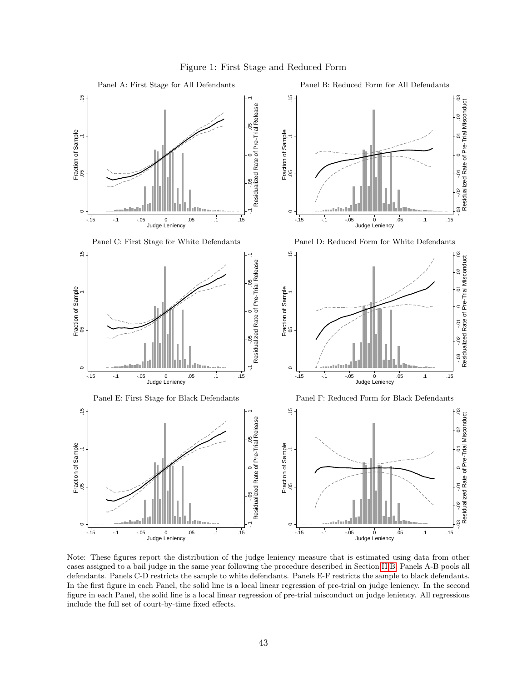

Note: These figures report the distribution of the judge leniency measure that is estimated using data from other cases assigned to a bail judge in the same year following the procedure described in Section [II.](#page-17-0)[B.](#page-18-0) Panels A-B pools all defendants. Panels C-D restricts the sample to white defendants. Panels E-F restricts the sample to black defendants. In the first figure in each Panel, the solid line is a local linear regression of pre-trial on judge leniency. In the second figure in each Panel, the solid line is a local linear regression of pre-trial misconduct on judge leniency. All regressions include the full set of court-by-time fixed effects.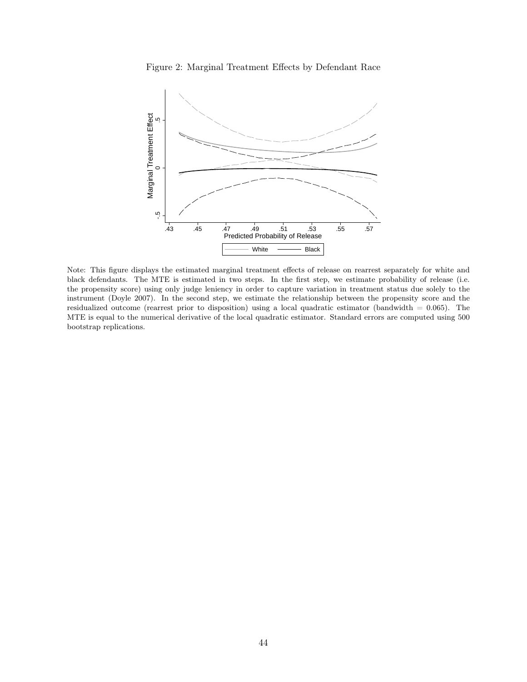



Note: This figure displays the estimated marginal treatment effects of release on rearrest separately for white and black defendants. The MTE is estimated in two steps. In the first step, we estimate probability of release (i.e. the propensity score) using only judge leniency in order to capture variation in treatment status due solely to the instrument (Doyle 2007). In the second step, we estimate the relationship between the propensity score and the residualized outcome (rearrest prior to disposition) using a local quadratic estimator (bandwidth = 0.065). The MTE is equal to the numerical derivative of the local quadratic estimator. Standard errors are computed using 500 bootstrap replications.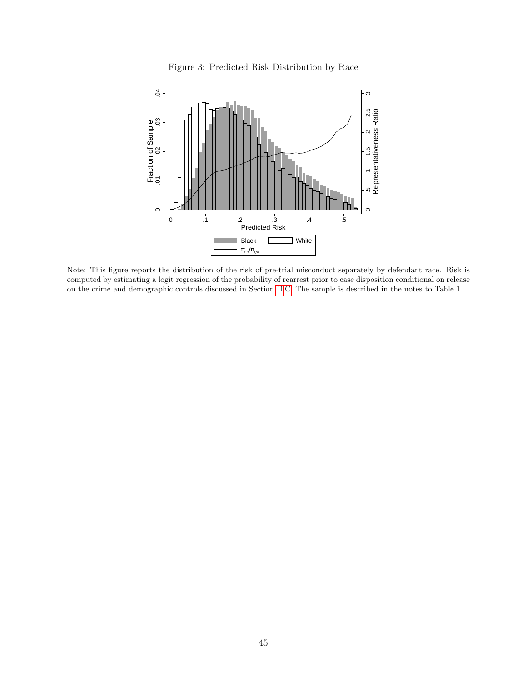



Note: This figure reports the distribution of the risk of pre-trial misconduct separately by defendant race. Risk is computed by estimating a logit regression of the probability of rearrest prior to case disposition conditional on release on the crime and demographic controls discussed in Section [II.](#page-17-0)[C.](#page-20-0) The sample is described in the notes to Table 1.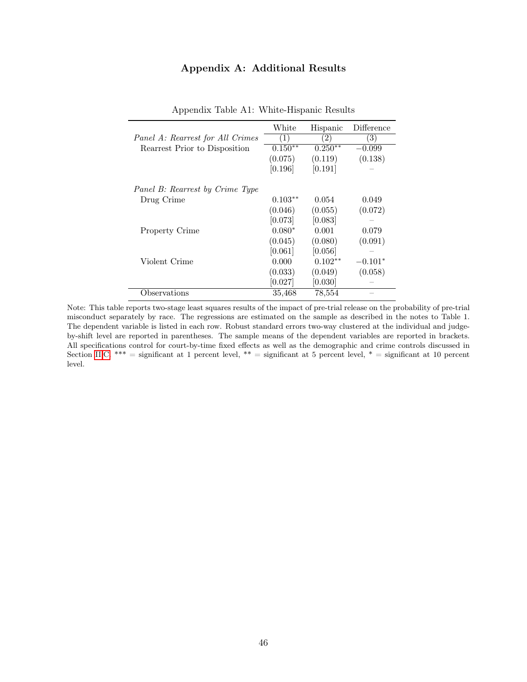## Appendix A: Additional Results

|                                  | White     | Hispanic          | Difference |
|----------------------------------|-----------|-------------------|------------|
| Panel A: Rearrest for All Crimes | $\perp$   | $\left( 2\right)$ | 3)         |
| Rearrest Prior to Disposition    | $0.150**$ | $0.250**$         | $-0.099$   |
|                                  | (0.075)   | (0.119)           | (0.138)    |
|                                  | [0.196]   | [0.191]           |            |
| Panel B: Rearrest by Crime Type  |           |                   |            |
| Drug Crime                       | $0.103**$ | 0.054             | 0.049      |
|                                  | (0.046)   | (0.055)           | (0.072)    |
|                                  | [0.073]   | [0.083]           |            |
| <b>Property Crime</b>            | $0.080*$  | 0.001             | 0.079      |
|                                  | (0.045)   | (0.080)           | (0.091)    |
|                                  | [0.061]   | [0.056]           |            |
| Violent Crime                    | 0.000     | $0.102**$         | $-0.101*$  |
|                                  | (0.033)   | (0.049)           | (0.058)    |
|                                  | [0.027]   | [0.030]           |            |
| Observations                     | 35,468    | 78,554            |            |

Appendix Table A1: White-Hispanic Results

Note: This table reports two-stage least squares results of the impact of pre-trial release on the probability of pre-trial misconduct separately by race. The regressions are estimated on the sample as described in the notes to Table 1. The dependent variable is listed in each row. Robust standard errors two-way clustered at the individual and judgeby-shift level are reported in parentheses. The sample means of the dependent variables are reported in brackets. All specifications control for court-by-time fixed effects as well as the demographic and crime controls discussed in Section [II.](#page-17-0)[C.](#page-20-0) \*\*\* = significant at 1 percent level, \*\* = significant at 5 percent level, \* = significant at 10 percent level.

L.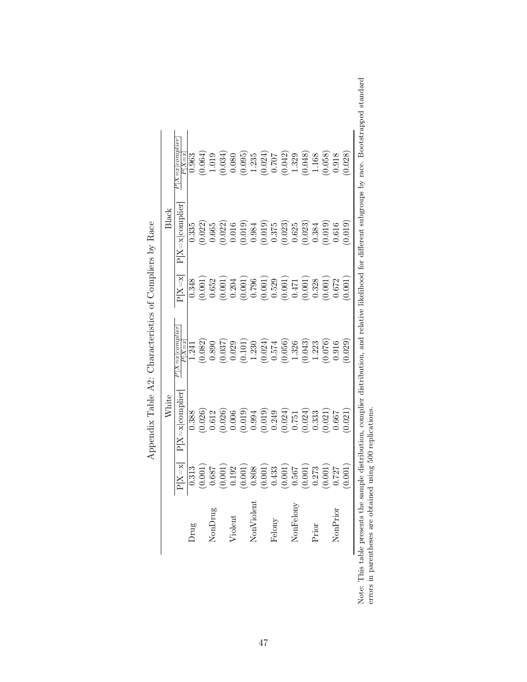|             |                                                                      | White                                                     |                                                                     |                                                                               | Black                                                                                                                                                                                    |                                                                                                                                                                                 |
|-------------|----------------------------------------------------------------------|-----------------------------------------------------------|---------------------------------------------------------------------|-------------------------------------------------------------------------------|------------------------------------------------------------------------------------------------------------------------------------------------------------------------------------------|---------------------------------------------------------------------------------------------------------------------------------------------------------------------------------|
|             | $P[X=x]$                                                             | $P[X=x complier$                                          | $P[X=x complier$<br>$x = X _G$                                      | $P[X=x]$                                                                      | $P[X=x $ complier                                                                                                                                                                        | $P[X=x complier]$<br>$x = X _G$                                                                                                                                                 |
| <b>Jrug</b> | 0.313                                                                | 0.388                                                     | 1.241                                                               | 0.348                                                                         | 0.335                                                                                                                                                                                    | 0.963                                                                                                                                                                           |
|             |                                                                      |                                                           | (0.082)                                                             | (0.001)                                                                       |                                                                                                                                                                                          |                                                                                                                                                                                 |
| VonDrug     |                                                                      | $\begin{array}{c} 0.026 \\ 0.612 \end{array}$             | 0.890                                                               | 0.652                                                                         | $(0.022)$<br>0.665                                                                                                                                                                       |                                                                                                                                                                                 |
|             |                                                                      | $(0.026)$<br>0.006                                        |                                                                     | $(0.001)$<br>0.204                                                            |                                                                                                                                                                                          |                                                                                                                                                                                 |
| /iolent     |                                                                      |                                                           |                                                                     |                                                                               |                                                                                                                                                                                          |                                                                                                                                                                                 |
|             | $(0.001)$<br>$0.687$<br>$(0.001)$<br>$0.192$<br>$(0.001)$<br>$0.808$ | $\begin{array}{c} 7660 \\ 6100 \end{array}$               | $\begin{array}{c} (0.037) \\ 0.029 \end{array}$                     | $\begin{array}{c} (0.001) \\ 0.796 \end{array}$                               | $\begin{array}{l} (0.022)\\ 0.016\\ 0.019\\ 0.019\\ 0.019\\ 0.019\\ 0.019\\ 0.019\\ 0.023\\ 0.023\\ 0.019\\ 0.019\\ 0.019\\ 0.019\\ 0.019\\ 0.016\\ 0.016\\ 0.016\\ 0.016\\ \end{array}$ | $\begin{array}{l} (0.064) \\ (0.019) \\ (0.034) \\ (0.035) \\ (0.095) \\ (0.024) \\ (0.024) \\ (0.024) \\ (0.0024) \\ (0.0048) \\ (0.058) \\ (0.058) \\ (0.058) \\ \end{array}$ |
| NonViolen   |                                                                      |                                                           | 1.230                                                               |                                                                               |                                                                                                                                                                                          |                                                                                                                                                                                 |
|             | $\begin{array}{c} (0.001) \\ 0.433 \\ (0.001) \\ 0.567 \end{array}$  |                                                           | $\begin{array}{c} (0.024) \\ 0.574 \\ (0.056) \\ 1.326 \end{array}$ | $\begin{array}{c} (0.001) \\ 0.529 \\ (0.001) \\ (0.01) \\ 0.471 \end{array}$ |                                                                                                                                                                                          |                                                                                                                                                                                 |
| vuoler      |                                                                      |                                                           |                                                                     |                                                                               |                                                                                                                                                                                          |                                                                                                                                                                                 |
|             |                                                                      | $(0.019)$<br>$0.249$<br>$(0.024)$<br>$(0.024)$<br>$0.751$ |                                                                     |                                                                               |                                                                                                                                                                                          |                                                                                                                                                                                 |
| NonFelony   |                                                                      |                                                           |                                                                     |                                                                               |                                                                                                                                                                                          |                                                                                                                                                                                 |
|             |                                                                      | (0.024)                                                   |                                                                     | $(0.001)$<br>0.328                                                            |                                                                                                                                                                                          |                                                                                                                                                                                 |
| Prior       |                                                                      | 0.333                                                     |                                                                     |                                                                               |                                                                                                                                                                                          |                                                                                                                                                                                 |
|             | $\begin{array}{c} 0.001 \\ 0.273 \\ 0.001 \\ 0.727 \end{array}$      | (0.021)                                                   | $\begin{array}{c} (0.043) \\ 1.223 \\ 0.076) \end{array}$           | (100.0)                                                                       |                                                                                                                                                                                          |                                                                                                                                                                                 |
| NonPrior    |                                                                      | 0.667                                                     | 0.916                                                               | 0.672                                                                         |                                                                                                                                                                                          | 0.918                                                                                                                                                                           |
|             | 0.001                                                                | 0.021                                                     | 0.029                                                               | 0.001                                                                         | (0.019)                                                                                                                                                                                  | 0.028)                                                                                                                                                                          |

Appendix Table A2: Characteristics of Compliers by Race Appendix Table A2: Characteristics of Compliers by Race Note: This table presents the sample distribution, complier distribution, and relative likelihood for different subgroups by race. Bootstrapped standard<br>errors in parentheses are obtained using 500 replications. Note: This table presents the sample distribution, complier distribution, and relative likelihood for different subgroups by race. Bootstrapped standard errors in parentheses are obtained using 500 replications.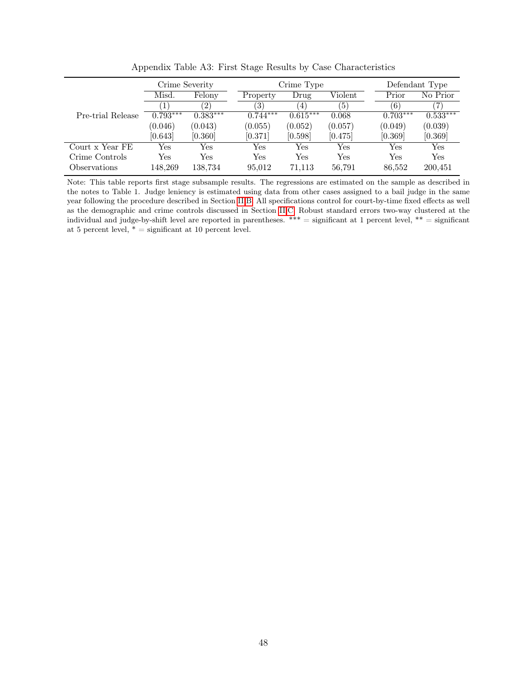|                   | Crime Severity |            |            | Crime Type      |                  |            | Defendant Type |
|-------------------|----------------|------------|------------|-----------------|------------------|------------|----------------|
|                   | Misd.          | Felony     | Property   | Drug            | $\rm Violent$    | Prior      | No Prior       |
|                   |                | (2)        | (3)        | $\vert 4 \vert$ | $\left(5\right)$ | (6)        |                |
| Pre-trial Release | $0.793***$     | $0.383***$ | $0.744***$ | $0.615***$      | 0.068            | $0.703***$ | $0.533***$     |
|                   | (0.046)        | (0.043)    | (0.055)    | (0.052)         | (0.057)          | (0.049)    | (0.039)        |
|                   | [0.643]        | [0.360]    | [0.371]    | [0.598]         | [0.475]          | [0.369]    | [0.369]        |
| Court x Year FE   | Yes            | Yes        | Yes        | Yes             | Yes              | Yes        | Yes            |
| Crime Controls    | Yes            | Yes        | Yes        | Yes             | Yes              | Yes        | Yes            |
| Observations      | 148,269        | 138,734    | 95,012     | 71,113          | 56,791           | 86,552     | 200,451        |

Appendix Table A3: First Stage Results by Case Characteristics

Note: This table reports first stage subsample results. The regressions are estimated on the sample as described in the notes to Table 1. Judge leniency is estimated using data from other cases assigned to a bail judge in the same year following the procedure described in Section [II.](#page-17-0)[B.](#page-18-0) All specifications control for court-by-time fixed effects as well as the demographic and crime controls discussed in Section [II.](#page-17-0)[C.](#page-20-0) Robust standard errors two-way clustered at the individual and judge-by-shift level are reported in parentheses. \*\*\* = significant at 1 percent level, \*\* = significant at 5 percent level,  $* =$  significant at 10 percent level.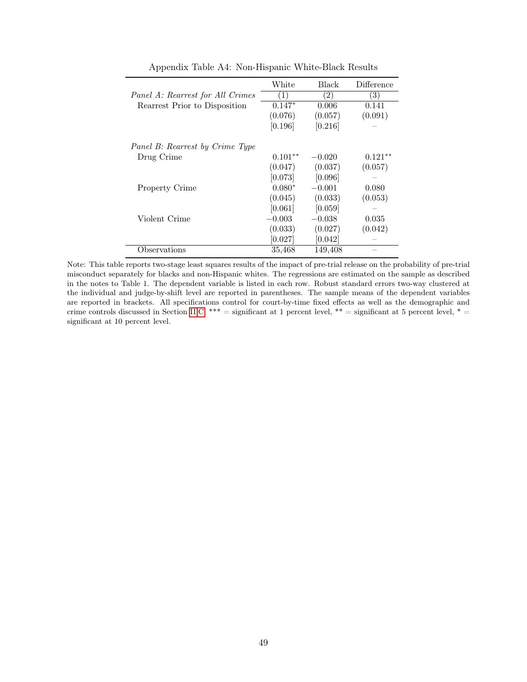|                                  | White             | <b>Black</b> | Difference |
|----------------------------------|-------------------|--------------|------------|
| Panel A: Rearrest for All Crimes | $\cdot$ 1 $\cdot$ | $^{(2)}$     | 3)         |
| Rearrest Prior to Disposition    | $0.147*$          | 0.006        | 0.141      |
|                                  | (0.076)           | (0.057)      | (0.091)    |
|                                  | [0.196]           | [0.216]      |            |
| Panel B: Rearrest by Crime Type  |                   |              |            |
| Drug Crime                       | $0.101**$         | $-0.020$     | $0.121**$  |
|                                  | (0.047)           | (0.037)      | (0.057)    |
|                                  | [0.073]           | [0.096]      |            |
| <b>Property Crime</b>            | $0.080*$          | $-0.001$     | 0.080      |
|                                  | (0.045)           | (0.033)      | (0.053)    |
|                                  | [0.061]           | [0.059]      |            |
| Violent Crime                    | $-0.003$          | $-0.038$     | 0.035      |
|                                  | (0.033)           | (0.027)      | (0.042)    |
|                                  | [0.027]           | [0.042]      |            |
| Observations                     | 35,468            | 149,408      |            |

Note: This table reports two-stage least squares results of the impact of pre-trial release on the probability of pre-trial misconduct separately for blacks and non-Hispanic whites. The regressions are estimated on the sample as described in the notes to Table 1. The dependent variable is listed in each row. Robust standard errors two-way clustered at the individual and judge-by-shift level are reported in parentheses. The sample means of the dependent variables are reported in brackets. All specifications control for court-by-time fixed effects as well as the demographic and crime controls discussed in Section [II.](#page-17-0)[C.](#page-20-0) \*\*\* = significant at 1 percent level, \*\* = significant at 5 percent level, \* = significant at 10 percent level.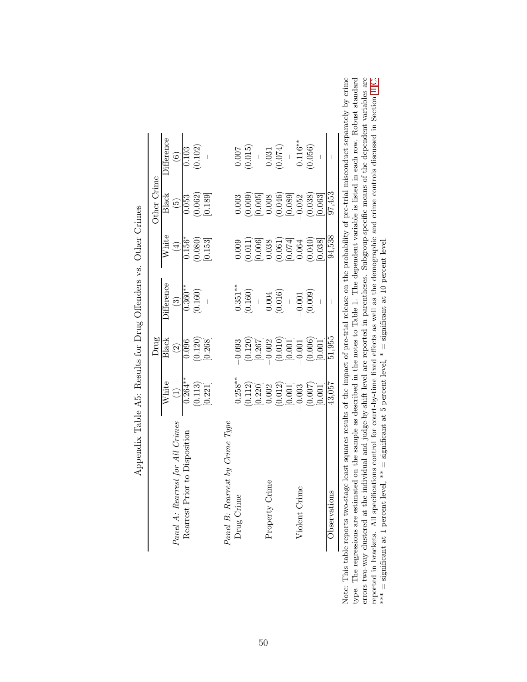|                                  |            | Drug                 |                        |               | Other Crime   |                 |
|----------------------------------|------------|----------------------|------------------------|---------------|---------------|-----------------|
|                                  | White      | Black                | Difference             | White         | Black         | Difference      |
| Panel A: Rearrest for All Crimes |            | $\widehat{\Omega}$   | $\widehat{\mathbb{C}}$ | $\frac{4}{3}$ | $\widehat{5}$ | $\ddot{\theta}$ |
| Rearrest Prior to Disposition    | $0.264**$  | $-0.096$             | $0.360**$              | $0.156*$      | 0.053         | 0.103           |
|                                  | (0.113)    | (0.120)              | (0.160)                | (0.080)       | (0.062)       | (0.102)         |
|                                  | [0.221]    | [0.268]              |                        | [0.153]       | 0.189         |                 |
| Panel B: Rearrest by Crime Type  |            |                      |                        |               |               |                 |
| Drug Crime                       | $0.258***$ | $-0.093$             | $0.351***$             | 0.009         | 0.003         | 0.007           |
|                                  | (0.112)    | (0.120)              | (0.160)                | 0.011         | (0.009)       | (0.015)         |
|                                  | [0.220]    | $\left[0.267\right]$ |                        | [0.006]       | [0.005]       |                 |
| Property Crime                   | 0.002      | $-0.002$             | 0.004                  | 0.038         | 0.008         | 0.031           |
|                                  | (0.012)    | (0.010)              | (0.016)                | (0.061)       | (0.046)       | (0.074)         |
|                                  | [0.001]    | [0.001]              |                        | [0.074]       | [0.089]       |                 |
| Violent Crime                    | $-0.003$   | $-0.001$             | $-0.001$               | 0.064         | $-0.052$      | $0.116**$       |
|                                  | (0.007)    | (0.006)              | (0.009)                | (0.040)       | (0.038)       | (0.056)         |
|                                  | [0.001]    | [0.001]              |                        | 0.038         | [0.063]       |                 |
| Observations                     | 43,057     | 51,955               |                        | 94,538        | 97,453        |                 |

| Ì                                                                                                                                                                           |
|-----------------------------------------------------------------------------------------------------------------------------------------------------------------------------|
| ı<br>$\frac{1}{2}$<br>١<br>ı<br>ı<br>١                                                                                                                                      |
| ŗ<br>$\frac{1}{2}$                                                                                                                                                          |
| ļ<br>l<br>j<br>֖֖֖֧֧֧ׅ֧֧֧֧֧֧֧֧֧֧֧֧֧֧֧֧֧֧֧֧֧֚֚֚֚֚֚֚֚֚֚֚֚֚֚֚֚֚֚֚֡֝֓֝֓֝֬֓֓֝֬֝֓֝֬֓֓֝֬֓֝֬֝֬֝֬֝֬֝֬֝֬֝֬֝֬֓֝֬֝֬<br>֧֧֧֧֧֧֧֧֧֧֧֧֧֧֧֧֧֧֧֧֧֧֧֧֧֧֧֧֧֧֧֜֩֩<br>֧֪֪֧<br>j<br>$\vdots$<br>I |
| an<br>1<br>$25 - 25$<br>ļ                                                                                                                                                   |
| i<br>C<br>ו<br>ג                                                                                                                                                            |
| .<br>ا<br>I<br>ı                                                                                                                                                            |
| I                                                                                                                                                                           |
| l                                                                                                                                                                           |
| ֕<br>ׇ֚֘<br>I<br>ı                                                                                                                                                          |

Note: This table reports two-stage least squares results of the impact of pre-trial release on the probability of pre-trial misconduct separately by crime type. The regressions are estimated on the sample as described in Note: This table reports two-stage least squares results of the impact of pre-trial release on the probability of pre-trial misconduct separately by crime type. The regressions are estimated on the sample as described in the notes to Table 1. The dependent variable is listed in each row. Robust standard errors two-way clustered at the individual and judge-by-shift level are reported in parentheses. Subgroup-specific means of the dependent variables are reported in brackets. All specifications control for court-by-time fixed effects as well as the demographic and crime controls discussed in Section [II.](#page-17-0)[C.](#page-20-0) \*\* = significant at 1 percent level, \*\* = significant at 5 percent level, \* = significant at 10 percent level.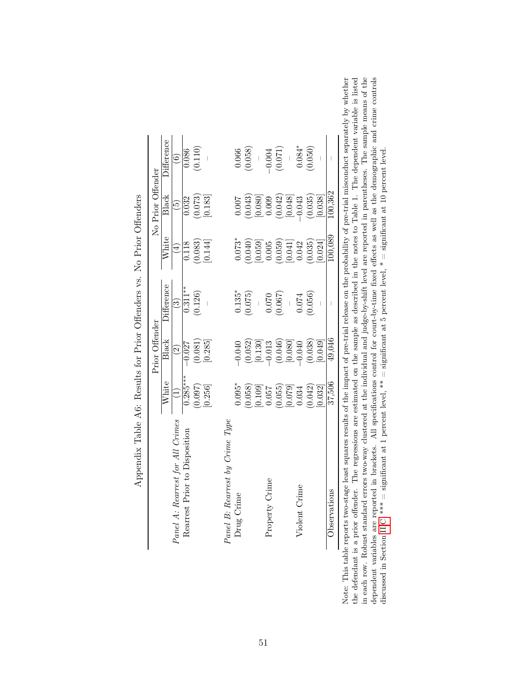|                                  |                                                | Prior Offender |            |          | No Prior Offender    |                |
|----------------------------------|------------------------------------------------|----------------|------------|----------|----------------------|----------------|
|                                  | White                                          | Black          | Difference | White    | Black                | Difference     |
| Panel A: Rearrest for All Crimes |                                                | $\widehat{c}$  | ල          | $(\pm)$  | $\widetilde{\Theta}$ | $\overline{6}$ |
| Rearrest Prior to Disposition    | $0.285***$                                     | 0.027          | $0.311***$ | 0.118    | 0.032                | 0.086          |
|                                  | (0.097)                                        | (0.081)        | (0.126)    | (0.083)  | (0.073)              | (0.110)        |
|                                  | [0.256]                                        | [0.285]        |            | [0.144]  | [0.183]              |                |
| Panel B: Rearrest by Crime Type  |                                                |                |            |          |                      |                |
| Drug Crime                       | $0.095*$                                       | $-0.040$       | $0.135*$   | $0.073*$ | 0.007                | 0.066          |
|                                  | 0.058)                                         | (0.052)        | (0.075)    | (0.040)  | (0.043)              | (0.058)        |
|                                  |                                                | [0.130]        |            | [0.059]  |                      |                |
| Property Crime                   | $\begin{bmatrix} 0.109 \\ 0.057 \end{bmatrix}$ | $-0.013$       | 0.070      | 0.005    | $[0.080]$<br>$0.009$ | $-0.004$       |
|                                  | 0.055)                                         | (0.046)        | (0.067)    | (0.059)  | (0.042)              | (0.071)        |
|                                  | [620.0]                                        | [0.080]        |            | [0.041]  | [0.048]              |                |
| Violent Crime                    | 0.034                                          | $-0.040$       | 0.074      | 0.042    | $-0.043$             | $0.084*$       |
|                                  | 0.042)                                         | (0.038)        | (0.056)    | (0.035)  | (0.035)              | (0.050)        |
|                                  | 0.032                                          | 0.049          |            | 0.024]   | [0.038]              |                |
| Observations                     | 37,506                                         | 49,046         |            | .00,089  | 100,362              |                |

| ı<br>١<br>ı<br>Ι                                                          |
|---------------------------------------------------------------------------|
| ı<br>)<br>ı<br>l<br>ı                                                     |
| ı                                                                         |
| しょう<br>$\overline{\phantom{a}}$<br>Į<br>l<br>j<br>J                       |
| 5<br>Ī<br>I<br>$\frac{1}{2}$<br>ı<br>ĵ<br>֚֚֬<br>$\overline{\mathcal{L}}$ |
| i<br>l<br>١<br>l<br>ı<br>l<br>ļ<br>١                                      |
| ı<br>i<br>Ç<br>ì                                                          |
| ļ<br>}<br>ו<br>ו<br>2<br>١<br>ļ<br>ı                                      |
| ì<br>ı                                                                    |
| ١<br>١<br>ı<br>Ż<br>S<br>ĺ<br>١                                           |
| .<br>ו<br>ı<br>l<br>5<br>l<br>ı<br>$\sim$ $\sim$                          |
| I<br>I<br>1                                                               |

by whether<br>ble is listed the detendant is a prior offender. The regressions are estimated on the sample as described in the notes to lable 1. The dependent variable is listed<br>in each row. Robust standard errors two-way clustered at the individual Note: This table reports two-stage least squares results of the impact of pre-trial release on the probability of pre-trial misconduct separately by whether the defendant is a prior offender. The regressions are estimated on the sample as described in the notes to Table 1. The dependent variable is listed in each row. Robust standard errors two-way clustered at the individual and judge-by-shift level are reported in parentheses. The sample means of the dependent variables are reported in brackets. All specifications control for court-by-time fixed effects as well as the demographic and crime controls discussed in Section [II.](#page-17-0)[C.](#page-20-0) \*\*\* = significant at 1 percent level, \*\* = significant at 5 percent level, \* = significant at 10 percent level. the defendant Note: This tab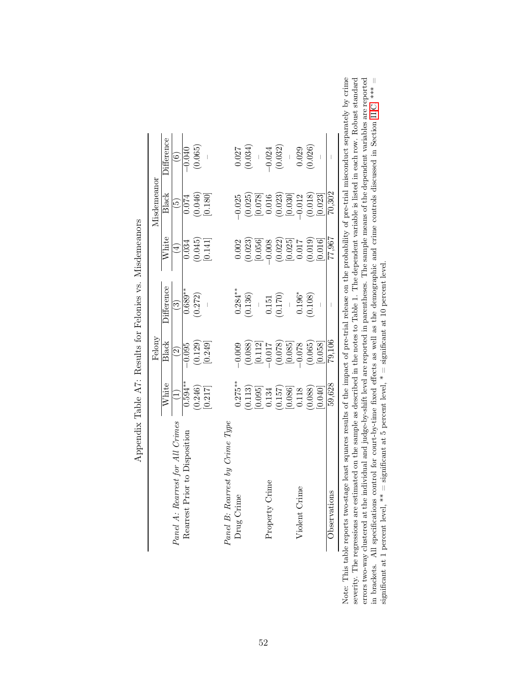|                                  |            | Felony                                                       |                                       |                            | Misdemeanor        |            |
|----------------------------------|------------|--------------------------------------------------------------|---------------------------------------|----------------------------|--------------------|------------|
|                                  | White      | Black                                                        | Difference                            | White                      | Black              | Difference |
| Panel A: Rearrest for All Crimes |            | $\widehat{\mathfrak{O}}$                                     | ව                                     | $\left(\frac{1}{2}\right)$ | $\widetilde{5}$    | $\circ$    |
| Rearrest Prior to Disposition    | $0.594***$ | $-0.095$                                                     | $0.689**$                             | 0.034                      | 0.074              | $-0.040$   |
|                                  | (0.246)    | (0.129)                                                      | (0.272)                               | (0.045)                    | (0.046)            | (0.065)    |
|                                  | [0.217]    | [0.249]                                                      |                                       | [0.141]                    | [0.180]            |            |
| Panel B: Rearrest by Crime Type  |            |                                                              |                                       |                            |                    |            |
| Drug Crime                       | $0.275***$ | $-0.009$                                                     | $0.284***$                            | 0.002                      | $-0.025$           | 0.027      |
|                                  | (0.113)    | (0.088)                                                      | (0.136)                               | (0.023)                    | (0.025)            | (0.034)    |
|                                  | [0.095]    |                                                              |                                       | [0.056]                    | $[0.078]$<br>0.016 |            |
| Property Crime                   | 0.134      | $\begin{array}{c} \left[ 0.112\right] \\ -0.017 \end{array}$ | 0.151                                 | 0.008                      |                    | $-0.024$   |
|                                  | (0.157)    | (0.078)                                                      | (0.170)                               | (0.022)                    | (0.023)            | (0.032)    |
|                                  | [0.086]    | [0.085]                                                      |                                       | [0.025]                    | [0.030]            |            |
| Violent Crime                    | 0.118      | $-0.078$                                                     | $0.196*$                              | 0.017                      | $-0.012$           | 0.029      |
|                                  | 0.088      | (0.065)                                                      | (0.108)                               | (0.019)                    | (0.018)            | (0.026)    |
|                                  | 0.040      | [0.058]                                                      |                                       | [0.016]                    | 0.023              |            |
| Observations                     | 59,628     | 79,106                                                       | $\begin{array}{c} \hline \end{array}$ | 77,967                     | 70,302             |            |

Appendix Table A7: Results for Felonies vs Misdemeanors Appendix Table A7: Results for Felonies vs. Misdemeanors  $y$  by crime severity. The regressions are estimated on the sample as described in the notes to Table 1. The dependent variable is listed in each row. Robust standard<br>errors two-way clustered at the individual and judge-by-shift level Note: This table reports two-stage least squares results of the impact of pre-trial release on the probability of pre-trial misconduct separately by crime severity. The regressions are estimated on the sample as described in the notes to Table 1. The dependent variable is listed in each row. Robust standard errors two-way clustered at the individual and judge-by-shift level are reported in parentheses. The sample means of the dependent variables are reported in brackets. All specifications control for court-by-time fixed effects as well as the demographic and crime controls discussed in Section [II.](#page-17-0)[C.](#page-20-0) \*\*\* = significant at 1 percent level,  $** =$  significant at 5 percent level,  $* =$  significant at 10 percent level. Note: This tal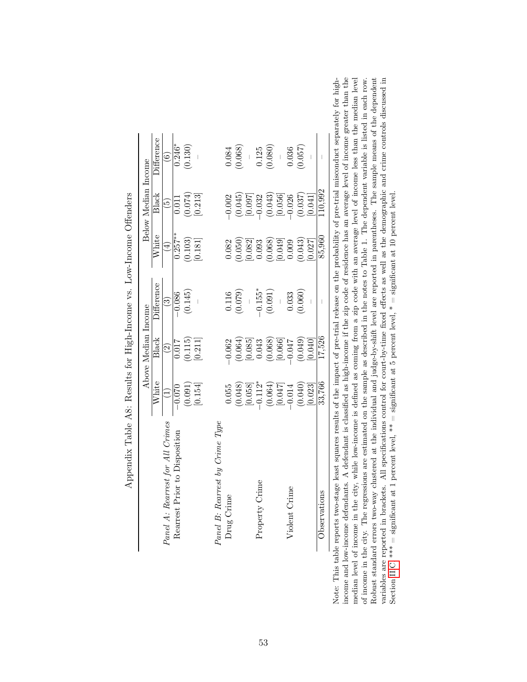|                                  |           | Above Median Income |                   |            | Below Median Income |                   |
|----------------------------------|-----------|---------------------|-------------------|------------|---------------------|-------------------|
|                                  | White     | Black               | <b>Jifference</b> | White      | Black               | Difference        |
| Panel A: Rearrest for All Crimes |           | $\widehat{\Omega}$  | ි                 | ₹          | $\widehat{5}$       | $\widehat{\circ}$ |
| Rearrest Prior to Disposition    | $-0.070$  | 0.017               | $-0.086$          | $0.257***$ | 0.011               | $0.246*$          |
|                                  | (0.091)   | (0.115)             | (0.145)           | (0.103)    | (0.074)             | (0.130)           |
|                                  | [0.154]   | [0.211]             |                   | 0.181      | [0.213]             |                   |
| Panel B: Rearrest by Crime Type  |           |                     |                   |            |                     |                   |
| Drug Crime                       | 0.055     | $-0.062$            | 0.116             | 0.082      | $-0.002$            | 0.084             |
|                                  | (0.048)   | (0.064)             | (0.079)           | (0.050)    | (0.045)             | (0.068)           |
|                                  | [0.058]   | [0.085]             |                   | [0.082]    | [0.097]             |                   |
| Property Crime                   | $-0.112*$ | 0.043               | $-0.155*$         | 0.093      | $-0.032$            | 0.125             |
|                                  | (0.064)   | (0.068)             | (0.091)           | (0.068)    | (0.043)             | (0.080)           |
|                                  | [0.047]   | [0.066]             |                   | [0.049]    | [0.056]             |                   |
| Violent Crime                    | $-0.014$  | $-0.047$            | 0.033             | 0.009      | $-0.026$            | 0.036             |
|                                  | (0.040)   | (0.049)             | (0.060)           | 0.043)     | (0.037)             | (0.057)           |
|                                  | [0.023]   | [0.040]             |                   | 0.027      | 0.041               |                   |
| Observations                     | 33,766    | 17,526              |                   | 85,960     | 10,992              |                   |

me Offenders Appendix Table A8: Results for High-Income vs. Low-Income Offenders  $I_{\text{row-In}}$  $\overline{v}$ Appendix Table A8: Results for High-Income

income and low-income defendants. A defendant is classified as high-income if the zip code of residence has an average level of income greater than the Robust standard errors two-way clustered at the individual and judge-by-shift level are reported in parentheses. The sample means of the dependent variables are reported in brackets. All specifications control for court-b for highmedian level of income in the city, while low-income is defined as coming from a zip code with an average level of income less than the median level of income in the city. The regressions are estimated on the sample as described in the notes to Table 1. The dependent variable is listed in each row. Note: This table reports two-stage least squares results of the impact of pre-trial release on the probability of pre-trial misconduct separately for highincome and low-income defendants. A defendant is classified as high-income if the zip code of residence has an average level of income greater than the median level of income in the city, while low-income is defined as coming from a zip code with an average level of income less than the median level of income in the city. The regressions are estimated on the sample as described in the notes to Table 1. The dependent variable is listed in each row. Robust standard errors two-way clustered at the individual and judge-by-shift level are reported in parentheses. The sample means of the dependent variables are reported in brackets. All specifications control for court-by-time fixed effects as well as the demographic and crime controls discussed in Section [II.](#page-17-0)[C.](#page-20-0) \*\*\* = significant at 1 percent level, \*\* = significant at 5 percent level, \* = significant at 10 percent level. Note: This tal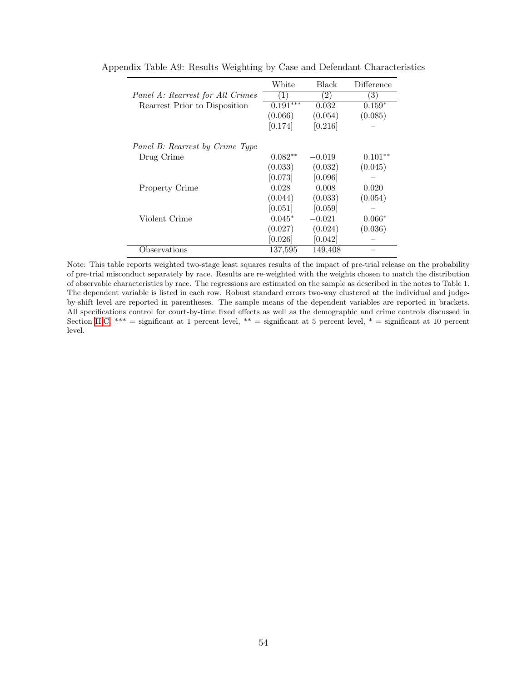|                                  | White      | Black            | Difference |
|----------------------------------|------------|------------------|------------|
| Panel A: Rearrest for All Crimes | $\perp$    | $\left(2\right)$ | 3)         |
| Rearrest Prior to Disposition    | $0.191***$ | 0.032            | $0.159*$   |
|                                  | (0.066)    | (0.054)          | (0.085)    |
|                                  | [0.174]    | [0.216]          |            |
| Panel B: Rearrest by Crime Type  |            |                  |            |
| Drug Crime                       | $0.082**$  | $-0.019$         | $0.101**$  |
|                                  | (0.033)    | (0.032)          | (0.045)    |
|                                  | [0.073]    | [0.096]          |            |
| <b>Property Crime</b>            | 0.028      | 0.008            | 0.020      |
|                                  | (0.044)    | (0.033)          | (0.054)    |
|                                  | [0.051]    | [0.059]          |            |
| Violent Crime                    | $0.045*$   | $-0.021$         | $0.066*$   |
|                                  | (0.027)    | (0.024)          | (0.036)    |
|                                  | [0.026]    | [0.042]          |            |
| Observations                     | 137,595    | 149,408          |            |

Appendix Table A9: Results Weighting by Case and Defendant Characteristics

Note: This table reports weighted two-stage least squares results of the impact of pre-trial release on the probability of pre-trial misconduct separately by race. Results are re-weighted with the weights chosen to match the distribution of observable characteristics by race. The regressions are estimated on the sample as described in the notes to Table 1. The dependent variable is listed in each row. Robust standard errors two-way clustered at the individual and judgeby-shift level are reported in parentheses. The sample means of the dependent variables are reported in brackets. All specifications control for court-by-time fixed effects as well as the demographic and crime controls discussed in Section [II.](#page-17-0)[C.](#page-20-0) \*\*\* = significant at 1 percent level, \*\* = significant at 5 percent level, \* = significant at 10 percent level.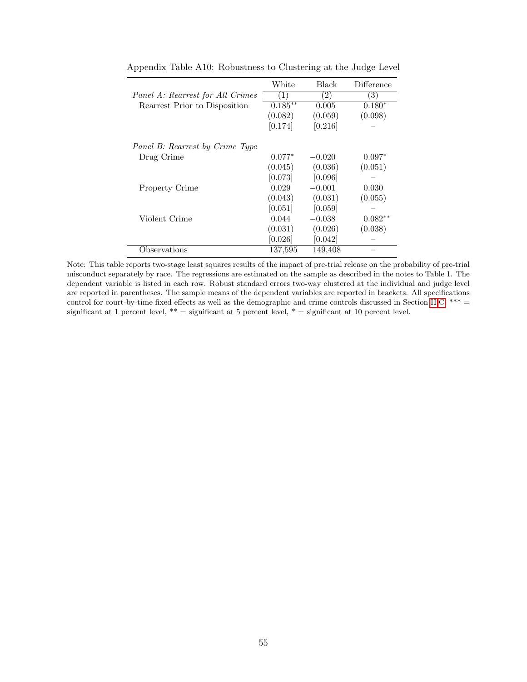|                                  | White     | Black    | Difference |
|----------------------------------|-----------|----------|------------|
| Panel A: Rearrest for All Crimes |           | 2)       | (3)        |
| Rearrest Prior to Disposition    | $0.185**$ | 0.005    | $0.180*$   |
|                                  | (0.082)   | (0.059)  | (0.098)    |
|                                  | [0.174]   | [0.216]  |            |
|                                  |           |          |            |
| Panel B: Rearrest by Crime Type  |           |          |            |
| Drug Crime                       | $0.077*$  | $-0.020$ | $0.097*$   |
|                                  | (0.045)   | (0.036)  | (0.051)    |
|                                  | [0.073]   | [0.096]  |            |
| Property Crime                   | 0.029     | $-0.001$ | 0.030      |
|                                  | (0.043)   | (0.031)  | (0.055)    |
|                                  | [0.051]   | [0.059]  |            |
| Violent Crime                    | 0.044     | $-0.038$ | $0.082**$  |
|                                  | (0.031)   | (0.026)  | (0.038)    |
|                                  | [0.026]   | [0.042]  |            |
| Observations                     | 137,595   | 149,408  |            |

Appendix Table A10: Robustness to Clustering at the Judge Level

Note: This table reports two-stage least squares results of the impact of pre-trial release on the probability of pre-trial misconduct separately by race. The regressions are estimated on the sample as described in the notes to Table 1. The dependent variable is listed in each row. Robust standard errors two-way clustered at the individual and judge level are reported in parentheses. The sample means of the dependent variables are reported in brackets. All specifications control for court-by-time fixed effects as well as the demographic and crime controls discussed in Section [II.](#page-17-0)[C.](#page-20-0) \*\*\*  $=$ significant at 1 percent level,  $** =$  significant at 5 percent level,  $* =$  significant at 10 percent level.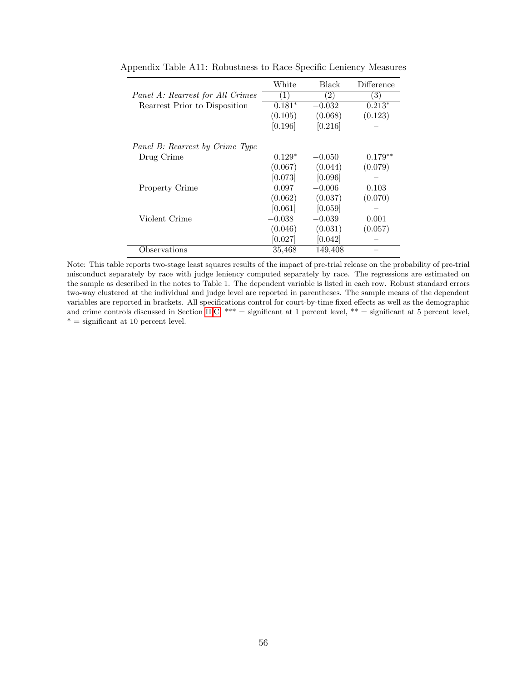|                                  | White             | Black    | Difference |
|----------------------------------|-------------------|----------|------------|
| Panel A: Rearrest for All Crimes | $\left( 1\right)$ | 2)       | 3)         |
| Rearrest Prior to Disposition    | $0.181*$          | $-0.032$ | $0.213*$   |
|                                  | (0.105)           | (0.068)  | (0.123)    |
|                                  | [0.196]           | [0.216]  |            |
| Panel B: Rearrest by Crime Type  |                   |          |            |
| Drug Crime                       | $0.129*$          | $-0.050$ | $0.179**$  |
|                                  | (0.067)           | (0.044)  | (0.079)    |
|                                  | [0.073]           | [0.096]  |            |
| <b>Property Crime</b>            | 0.097             | $-0.006$ | 0.103      |
|                                  | (0.062)           | (0.037)  | (0.070)    |
|                                  | [0.061]           | [0.059]  |            |
| Violent Crime                    | $-0.038$          | $-0.039$ | 0.001      |
|                                  | (0.046)           | (0.031)  | (0.057)    |
|                                  | [0.027]           | [0.042]  |            |
| Observations                     | 35,468            | 149,408  |            |

| Appendix Table A11: Robustness to Race-Specific Leniency Measures |  |  |  |  |  |  |
|-------------------------------------------------------------------|--|--|--|--|--|--|
|-------------------------------------------------------------------|--|--|--|--|--|--|

Note: This table reports two-stage least squares results of the impact of pre-trial release on the probability of pre-trial misconduct separately by race with judge leniency computed separately by race. The regressions are estimated on the sample as described in the notes to Table 1. The dependent variable is listed in each row. Robust standard errors two-way clustered at the individual and judge level are reported in parentheses. The sample means of the dependent variables are reported in brackets. All specifications control for court-by-time fixed effects as well as the demographic and crime controls discussed in Section [II.](#page-17-0)[C.](#page-20-0) \*\*\* = significant at 1 percent level, \*\* = significant at 5 percent level,  $* =$  significant at 10 percent level.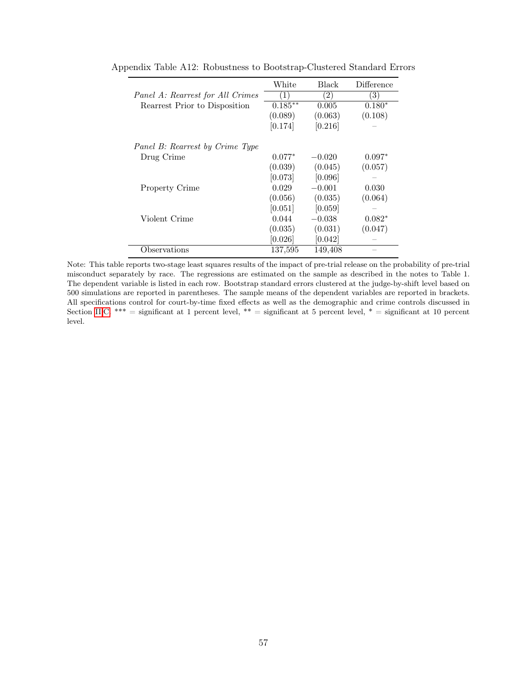|                                  | White      | <b>Black</b>     | Difference |
|----------------------------------|------------|------------------|------------|
| Panel A: Rearrest for All Crimes |            | $\left(2\right)$ | 3)         |
| Rearrest Prior to Disposition    | $0.185***$ | 0.005            | $0.180*$   |
|                                  | (0.089)    | (0.063)          | (0.108)    |
|                                  | [0.174]    | [0.216]          |            |
| Panel B: Rearrest by Crime Type  |            |                  |            |
| Drug Crime                       | $0.077*$   | $-0.020$         | $0.097*$   |
|                                  | (0.039)    | (0.045)          | (0.057)    |
|                                  | [0.073]    | [0.096]          |            |
| <b>Property Crime</b>            | 0.029      | $-0.001$         | 0.030      |
|                                  | (0.056)    | (0.035)          | (0.064)    |
|                                  | [0.051]    | [0.059]          |            |
| Violent Crime                    | 0.044      | $-0.038$         | $0.082*$   |
|                                  | (0.035)    | (0.031)          | (0.047)    |
|                                  | [0.026]    | [0.042]          |            |
| Observations                     | 137,595    | 149,408          |            |

Appendix Table A12: Robustness to Bootstrap-Clustered Standard Errors

Note: This table reports two-stage least squares results of the impact of pre-trial release on the probability of pre-trial misconduct separately by race. The regressions are estimated on the sample as described in the notes to Table 1. The dependent variable is listed in each row. Bootstrap standard errors clustered at the judge-by-shift level based on 500 simulations are reported in parentheses. The sample means of the dependent variables are reported in brackets. All specifications control for court-by-time fixed effects as well as the demographic and crime controls discussed in Section [II.](#page-17-0)[C.](#page-20-0) \*\*\* = significant at 1 percent level, \*\* = significant at 5 percent level, \* = significant at 10 percent level.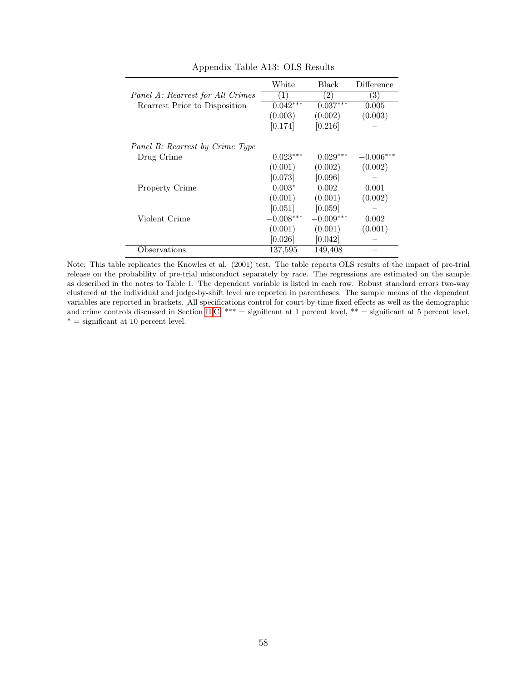|                                  | White       | Black       | Difference  |
|----------------------------------|-------------|-------------|-------------|
| Panel A: Rearrest for All Crimes | $\Box$      | 2)          | 3)          |
| Rearrest Prior to Disposition    | $0.042***$  | $0.037***$  | 0.005       |
|                                  | (0.003)     | (0.002)     | (0.003)     |
|                                  | [0.174]     | [0.216]     |             |
| Panel B: Rearrest by Crime Type  |             |             |             |
|                                  |             |             |             |
| Drug Crime                       | $0.023***$  | $0.029***$  | $-0.006***$ |
|                                  | (0.001)     | (0.002)     | (0.002)     |
|                                  | [0.073]     | [0.096]     |             |
| <b>Property Crime</b>            | $0.003*$    | 0.002       | 0.001       |
|                                  | (0.001)     | (0.001)     | (0.002)     |
|                                  | [0.051]     | [0.059]     |             |
| Violent Crime                    | $-0.008***$ | $-0.009***$ | 0.002       |
|                                  | (0.001)     | (0.001)     | (0.001)     |
|                                  | [0.026]     | [0.042]     |             |
| Observations                     | 137,595     | 149,408     |             |

Appendix Table A13: OLS Results

Note: This table replicates the Knowles et al. (2001) test. The table reports OLS results of the impact of pre-trial release on the probability of pre-trial misconduct separately by race. The regressions are estimated on the sample as described in the notes to Table 1. The dependent variable is listed in each row. Robust standard errors two-way clustered at the individual and judge-by-shift level are reported in parentheses. The sample means of the dependent variables are reported in brackets. All specifications control for court-by-time fixed effects as well as the demographic and crime controls discussed in Section [II.](#page-17-0)[C.](#page-20-0) \*\*\* = significant at 1 percent level, \*\* = significant at 5 percent level,  $* =$  significant at 10 percent level.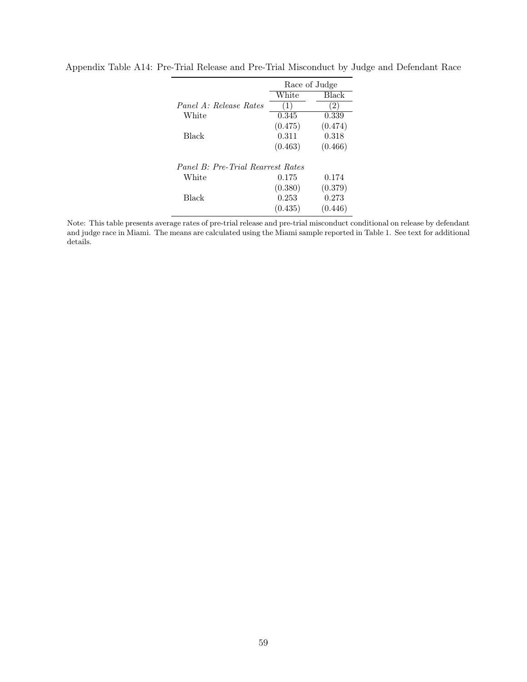|                                   |         | Race of Judge     |
|-----------------------------------|---------|-------------------|
|                                   | White   | Black             |
| Panel A: Release Rates            | (1)     | $\left( 2\right)$ |
| White                             | 0.345   | 0.339             |
|                                   | (0.475) | (0.474)           |
| Black                             | 0.311   | 0.318             |
|                                   | (0.463) | (0.466)           |
| Panel B: Pre-Trial Rearrest Rates |         |                   |
| White                             | 0.175   | 0.174             |
|                                   | (0.380) | (0.379)           |
| Black                             | 0.253   | 0.273             |
|                                   | (0.435) | (0.446)           |

Appendix Table A14: Pre-Trial Release and Pre-Trial Misconduct by Judge and Defendant Race

Note: This table presents average rates of pre-trial release and pre-trial misconduct conditional on release by defendant and judge race in Miami. The means are calculated using the Miami sample reported in Table 1. See text for additional details.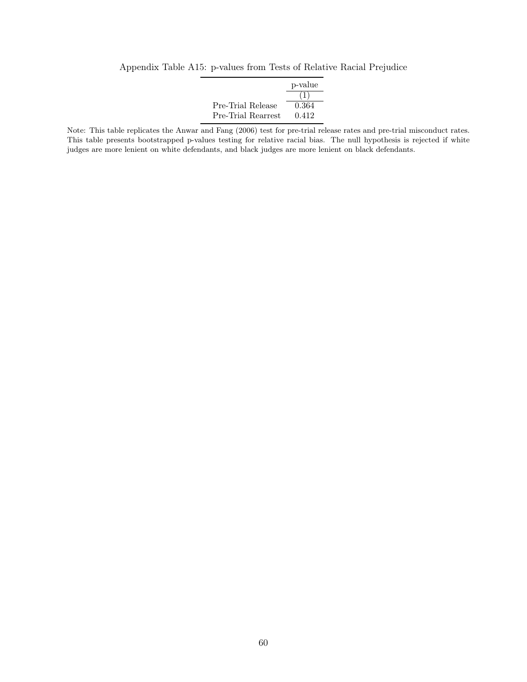# Appendix Table A15: p-values from Tests of Relative Racial Prejudice

|                    | p-value |
|--------------------|---------|
|                    | (1)     |
| Pre-Trial Release  | 0.364   |
| Pre-Trial Rearrest | 0.412   |

Note: This table replicates the Anwar and Fang (2006) test for pre-trial release rates and pre-trial misconduct rates. This table presents bootstrapped p-values testing for relative racial bias. The null hypothesis is rejected if white judges are more lenient on white defendants, and black judges are more lenient on black defendants.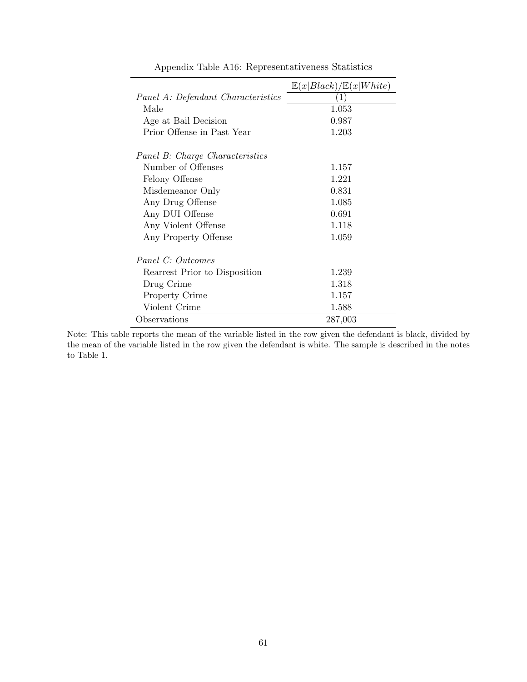|                                    | $\mathbb{E}(x Black)/\mathbb{E}(x White)$ |
|------------------------------------|-------------------------------------------|
| Panel A: Defendant Characteristics | (1)                                       |
| Male                               | 1.053                                     |
| Age at Bail Decision               | 0.987                                     |
| Prior Offense in Past Year         | 1.203                                     |
| Panel B: Charge Characteristics    |                                           |
| Number of Offenses                 | 1.157                                     |
| Felony Offense                     | 1.221                                     |
| Misdemeanor Only                   | 0.831                                     |
| Any Drug Offense                   | 1.085                                     |
| Any DUI Offense                    | 0.691                                     |
| Any Violent Offense                | 1.118                                     |
| Any Property Offense               | 1.059                                     |
| Panel C: Outcomes                  |                                           |
| Rearrest Prior to Disposition      | 1.239                                     |
| Drug Crime                         | 1.318                                     |
| <b>Property Crime</b>              | 1.157                                     |
| Violent Crime                      | 1.588                                     |
| Observations                       | 287,003                                   |

Appendix Table A16: Representativeness Statistics

Note: This table reports the mean of the variable listed in the row given the defendant is black, divided by the mean of the variable listed in the row given the defendant is white. The sample is described in the notes to Table 1.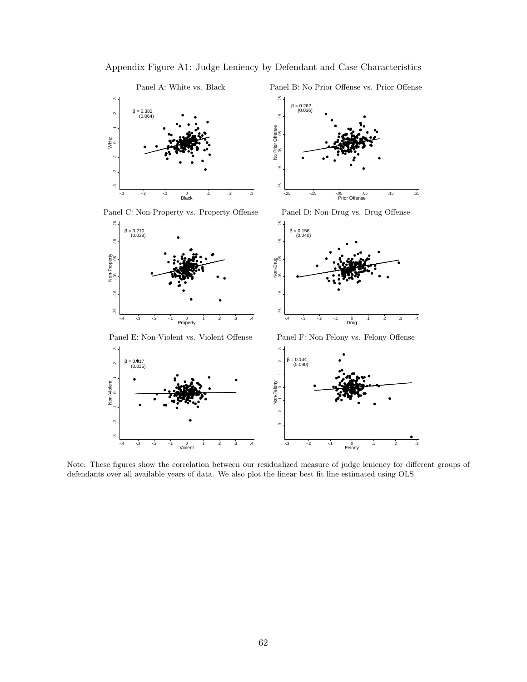

Appendix Figure A1: Judge Leniency by Defendant and Case Characteristics

Note: These figures show the correlation between our residualized measure of judge leniency for different groups of defendants over all available years of data. We also plot the linear best fit line estimated using OLS.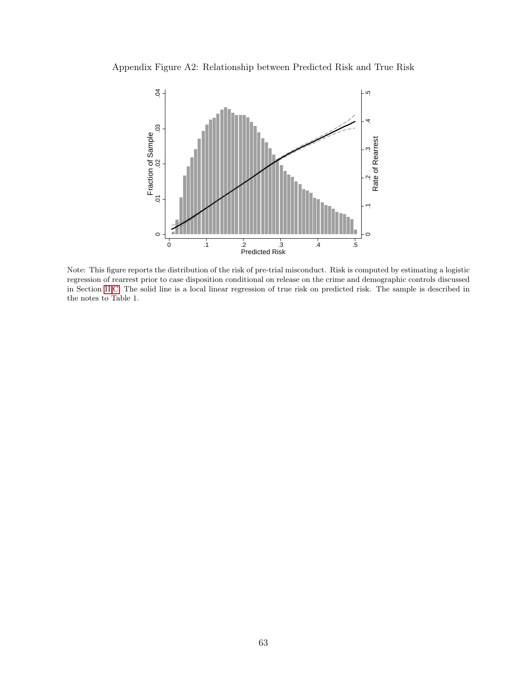Appendix Figure A2: Relationship between Predicted Risk and True Risk



Note: This figure reports the distribution of the risk of pre-trial misconduct. Risk is computed by estimating a logistic regression of rearrest prior to case disposition conditional on release on the crime and demographic controls discussed in Section [II.](#page-17-0)[C.](#page-20-0) The solid line is a local linear regression of true risk on predicted risk. The sample is described in the notes to Table 1.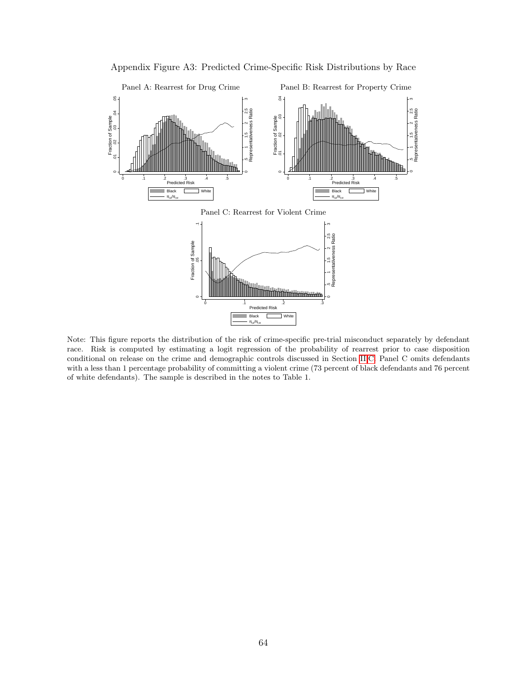

Appendix Figure A3: Predicted Crime-Specific Risk Distributions by Race

Note: This figure reports the distribution of the risk of crime-specific pre-trial misconduct separately by defendant race. Risk is computed by estimating a logit regression of the probability of rearrest prior to case disposition conditional on release on the crime and demographic controls discussed in Section [II.](#page-17-0)[C.](#page-20-0) Panel C omits defendants with a less than 1 percentage probability of committing a violent crime (73 percent of black defendants and 76 percent of white defendants). The sample is described in the notes to Table 1.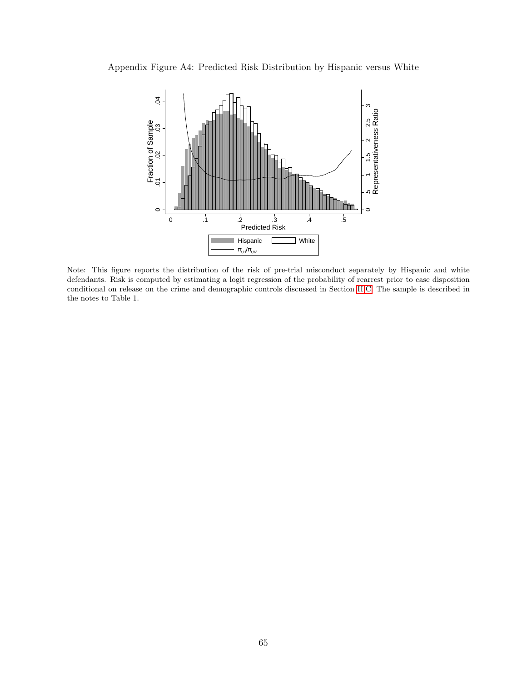



Note: This figure reports the distribution of the risk of pre-trial misconduct separately by Hispanic and white defendants. Risk is computed by estimating a logit regression of the probability of rearrest prior to case disposition conditional on release on the crime and demographic controls discussed in Section [II.](#page-17-0)[C.](#page-20-0) The sample is described in the notes to Table 1.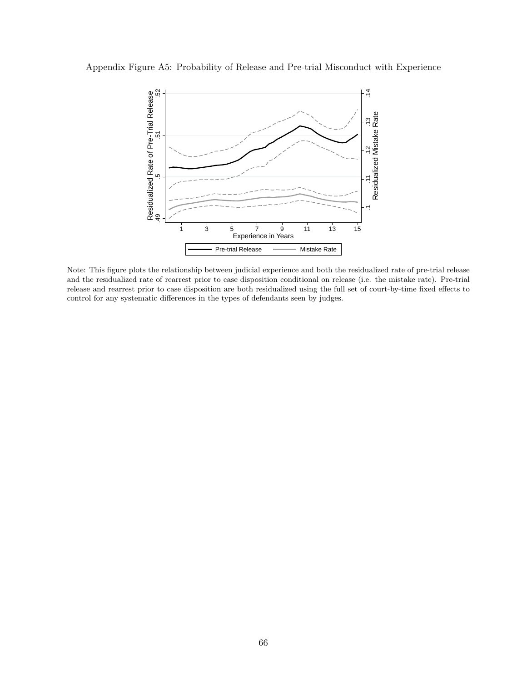



Note: This figure plots the relationship between judicial experience and both the residualized rate of pre-trial release and the residualized rate of rearrest prior to case disposition conditional on release (i.e. the mistake rate). Pre-trial release and rearrest prior to case disposition are both residualized using the full set of court-by-time fixed effects to control for any systematic differences in the types of defendants seen by judges.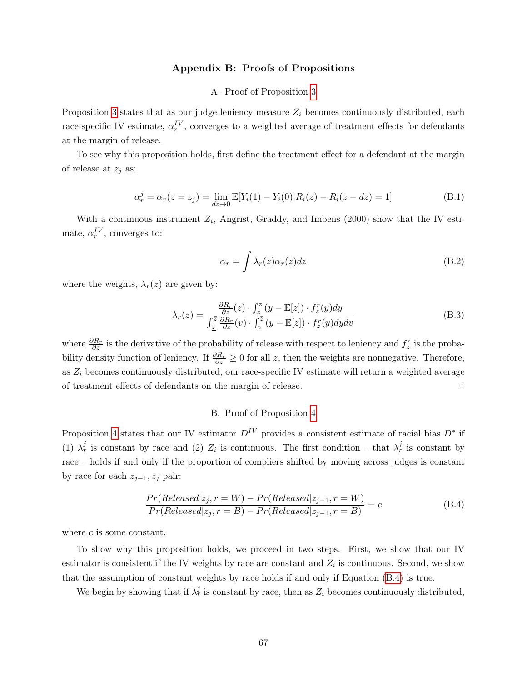### Appendix B: Proofs of Propositions

### A. Proof of Proposition [3](#page-13-0)

Proposition [3](#page-13-0) states that as our judge leniency measure  $Z_i$  becomes continuously distributed, each race-specific IV estimate,  $\alpha_r^{\{V\}}$ , converges to a weighted average of treatment effects for defendants at the margin of release.

To see why this proposition holds, first define the treatment effect for a defendant at the margin of release at  $z_j$  as:

$$
\alpha_r^j = \alpha_r(z = z_j) = \lim_{dz \to 0} \mathbb{E}[Y_i(1) - Y_i(0)|R_i(z) - R_i(z - dz) = 1]
$$
\n(B.1)

With a continuous instrument  $Z_i$ , Angrist, Graddy, and Imbens (2000) show that the IV estimate,  $\alpha_r^{IV}$ , converges to:

$$
\alpha_r = \int \lambda_r(z) \alpha_r(z) dz \tag{B.2}
$$

where the weights,  $\lambda_r(z)$  are given by:

$$
\lambda_r(z) = \frac{\frac{\partial R_r}{\partial z}(z) \cdot \int_z^{\bar{z}} (y - \mathbb{E}[z]) \cdot f_z^r(y) dy}{\int_{\bar{z}}^{\bar{z}} \frac{\partial R_r}{\partial z}(v) \cdot \int_v^{\bar{z}} (y - \mathbb{E}[z]) \cdot f_z^r(y) dy dv}
$$
(B.3)

where  $\frac{\partial R_r}{\partial z}$  is the derivative of the probability of release with respect to leniency and  $f_z^r$  is the probability density function of leniency. If  $\frac{\partial R_r}{\partial z} \geq 0$  for all z, then the weights are nonnegative. Therefore, as  $Z_i$  becomes continuously distributed, our race-specific IV estimate will return a weighted average of treatment effects of defendants on the margin of release.  $\Box$ 

#### B. Proof of Proposition [4](#page-14-0)

Proposition [4](#page-14-0) states that our IV estimator  $D^{IV}$  provides a consistent estimate of racial bias  $D^*$  if (1)  $\lambda_r^j$  is constant by race and (2)  $Z_i$  is continuous. The first condition – that  $\lambda_r^j$  is constant by race – holds if and only if the proportion of compliers shifted by moving across judges is constant by race for each  $z_{j-1}, z_j$  pair:

<span id="page-68-0"></span>
$$
Pr(Released|z_j, r = W) - Pr(Released|z_{j-1}, r = W)
$$
  

$$
Pr(Released|z_j, r = B) - Pr(Released|z_{j-1}, r = B) = c
$$
 (B.4)

where  $c$  is some constant.

To show why this proposition holds, we proceed in two steps. First, we show that our IV estimator is consistent if the IV weights by race are constant and  $Z_i$  is continuous. Second, we show that the assumption of constant weights by race holds if and only if Equation [\(B.4\)](#page-68-0) is true.

We begin by showing that if  $\lambda_r^j$  is constant by race, then as  $Z_i$  becomes continuously distributed,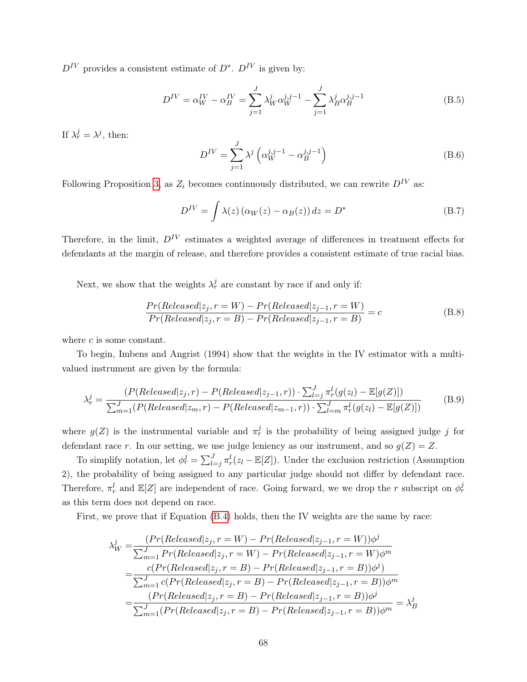$D^{IV}$  provides a consistent estimate of  $D^*$ .  $D^{IV}$  is given by:

$$
D^{IV} = \alpha_W^{IV} - \alpha_B^{IV} = \sum_{j=1}^{J} \lambda_W^j \alpha_W^{j, j-1} - \sum_{j=1}^{J} \lambda_B^j \alpha_B^{j, j-1}
$$
(B.5)

If  $\lambda_r^j = \lambda^j$ , then:

$$
D^{IV} = \sum_{j=1}^{J} \lambda^{j} \left( \alpha_W^{j,j-1} - \alpha_B^{j,j-1} \right)
$$
 (B.6)

Following Proposition [3,](#page-13-0) as  $Z_i$  becomes continuously distributed, we can rewrite  $D^{IV}$  as:

$$
D^{IV} = \int \lambda(z) \left( \alpha_W(z) - \alpha_B(z) \right) dz = D^*
$$
\n(B.7)

Therefore, in the limit,  $D^{IV}$  estimates a weighted average of differences in treatment effects for defendants at the margin of release, and therefore provides a consistent estimate of true racial bias.

Next, we show that the weights  $\lambda_r^j$  are constant by race if and only if:

$$
\frac{Pr(Released|z_j, r = W) - Pr(Released|z_{j-1}, r = W)}{Pr(Released|z_j, r = B) - Pr(Released|z_{j-1}, r = B)} = c
$$
\n(B.8)

where  $c$  is some constant.

To begin, Imbens and Angrist (1994) show that the weights in the IV estimator with a multivalued instrument are given by the formula:

$$
\lambda_r^j = \frac{(P(Released|z_j, r) - P(Released|z_{j-1}, r)) \cdot \sum_{l=j}^J \pi_r^l(g(z_l) - \mathbb{E}[g(Z)])}{\sum_{m=1}^J (P(Released|z_m, r) - P(Released|z_{m-1}, r)) \cdot \sum_{l=m}^J \pi_r^l(g(z_l) - \mathbb{E}[g(Z)])}
$$
(B.9)

where  $g(Z)$  is the instrumental variable and  $\pi_r^j$  is the probability of being assigned judge j for defendant race r. In our setting, we use judge leniency as our instrument, and so  $g(Z) = Z$ .

To simplify notation, let  $\phi_r^j = \sum_{l=j}^J \pi_r^l(z_l - \mathbb{E}[Z])$ . Under the exclusion restriction (Assumption 2), the probability of being assigned to any particular judge should not differ by defendant race. Therefore,  $\pi_r^l$  and  $\mathbb{E}[Z]$  are independent of race. Going forward, we we drop the r subscript on  $\phi_r^j$ as this term does not depend on race.

First, we prove that if Equation [\(B.4\)](#page-68-0) holds, then the IV weights are the same by race:

$$
\begin{aligned} \lambda_W^j=&\frac{(Pr(Released|z_j,r=W)-Pr(Released|z_{j-1},r=W))\phi^j}{\sum_{m=1}^J Pr(Released|z_j,r=W)-Pr(Released|z_{j-1},r=W)\phi^m}\\=&\frac{c(Pr(Released|z_j,r=B)-Pr(Released|z_{j-1},r=B))\phi^j)}{\sum_{m=1}^J c(Pr(Released|z_j,r=B)-Pr(Released|z_{j-1},r=B))\phi^m}\\=&\frac{(Pr(Released|z_j,r=B)-Pr(Released|z_{j-1},r=B))\phi^j}{\sum_{m=1}^J (Pr(Released|z_j,r=B)-Pr(Released|z_{j-1},r=B))\phi^m}=\lambda_B^j \end{aligned}
$$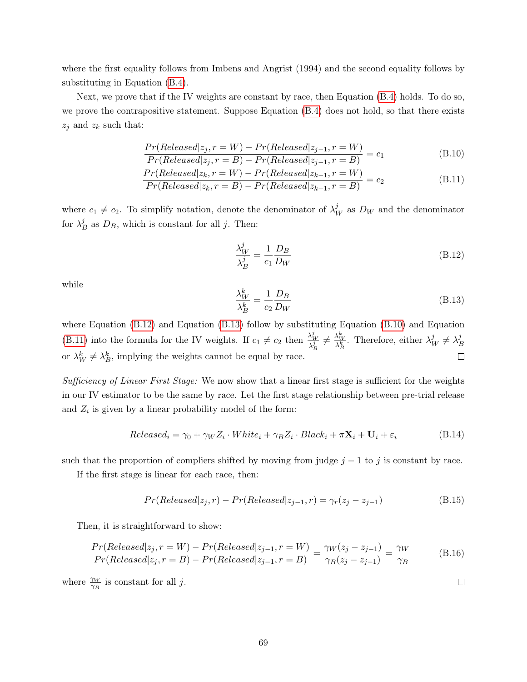where the first equality follows from Imbens and Angrist (1994) and the second equality follows by substituting in Equation [\(B.4\)](#page-68-0).

Next, we prove that if the IV weights are constant by race, then Equation [\(B.4\)](#page-68-0) holds. To do so, we prove the contrapositive statement. Suppose Equation [\(B.4\)](#page-68-0) does not hold, so that there exists  $z_i$  and  $z_k$  such that:

$$
\frac{Pr(Released|z_j, r = W) - Pr(Released|z_{j-1}, r = W)}{Pr(Released|z_j, r = B) - Pr(Released|z_{j-1}, r = B)} = c_1
$$
\n(B.10)

$$
\frac{Pr(Released|z_k, r = W) - Pr(Released|z_{k-1}, r = W)}{Pr(Released|z_k, r = B) - Pr(Released|z_{k-1}, r = B)} = c_2
$$
\n(B.11)

where  $c_1 \neq c_2$ . To simplify notation, denote the denominator of  $\lambda_W^j$  as  $D_W$  and the denominator for  $\lambda_I^j$  $B_B^j$  as  $D_B$ , which is constant for all j. Then:

<span id="page-70-3"></span><span id="page-70-2"></span><span id="page-70-0"></span>
$$
\frac{\lambda_W^j}{\lambda_B^j} = \frac{1}{c_1} \frac{D_B}{D_W} \tag{B.12}
$$

while

<span id="page-70-1"></span>
$$
\frac{\lambda_W^k}{\lambda_B^k} = \frac{1}{c_2} \frac{D_B}{D_W} \tag{B.13}
$$

 $\Box$ 

where Equation [\(B.12\)](#page-70-0) and Equation [\(B.13\)](#page-70-1) follow by substituting Equation [\(B.10\)](#page-70-2) and Equation [\(B.11\)](#page-70-3) into the formula for the IV weights. If  $c_1 \neq c_2$  then  $\frac{\lambda_W^j}{\lambda_B^j} \neq \frac{\lambda_W^k}{\lambda_B^k}$ . Therefore, either  $\lambda_W^j \neq \lambda_H^j$ B or  $\lambda_W^k \neq \lambda_B^k$ , implying the weights cannot be equal by race.

Sufficiency of Linear First Stage: We now show that a linear first stage is sufficient for the weights in our IV estimator to be the same by race. Let the first stage relationship between pre-trial release and  $Z_i$  is given by a linear probability model of the form:

$$
Released_i = \gamma_0 + \gamma_W Z_i \cdot White_i + \gamma_B Z_i \cdot Black_i + \pi \mathbf{X}_i + \mathbf{U}_i + \varepsilon_i
$$
\n(B.14)

such that the proportion of compliers shifted by moving from judge  $j - 1$  to j is constant by race.

If the first stage is linear for each race, then:

$$
Pr(Released|z_j, r) - Pr(Released|z_{j-1}, r) = \gamma_r(z_j - z_{j-1})
$$
\n(B.15)

Then, it is straightforward to show:

$$
\frac{Pr(Released|z_j, r = W) - Pr(Released|z_{j-1}, r = W)}{Pr(Released|z_j, r = B) - Pr(Released|z_{j-1}, r = B)} = \frac{\gamma_W(z_j - z_{j-1})}{\gamma_B(z_j - z_{j-1})} = \frac{\gamma_W}{\gamma_B}
$$
(B.16)

where  $\frac{\gamma_W}{\gamma_B}$  is constant for all j.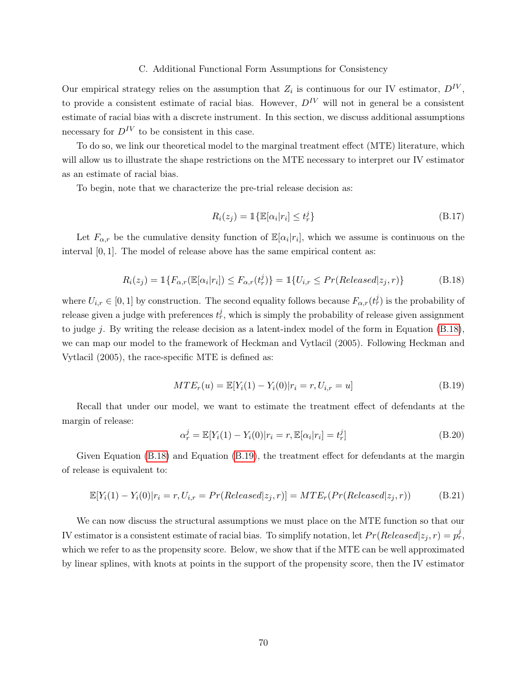#### C. Additional Functional Form Assumptions for Consistency

Our empirical strategy relies on the assumption that  $Z_i$  is continuous for our IV estimator,  $D^{IV}$ , to provide a consistent estimate of racial bias. However,  $D^{IV}$  will not in general be a consistent estimate of racial bias with a discrete instrument. In this section, we discuss additional assumptions necessary for  $D^{IV}$  to be consistent in this case.

To do so, we link our theoretical model to the marginal treatment effect (MTE) literature, which will allow us to illustrate the shape restrictions on the MTE necessary to interpret our IV estimator as an estimate of racial bias.

To begin, note that we characterize the pre-trial release decision as:

$$
R_i(z_j) = \mathbb{1}\{\mathbb{E}[\alpha_i|r_i] \le t_r^j\} \tag{B.17}
$$

Let  $F_{\alpha,r}$  be the cumulative density function of  $\mathbb{E}[\alpha_i|r_i]$ , which we assume is continuous on the interval [0, 1]. The model of release above has the same empirical content as:

<span id="page-71-0"></span>
$$
R_i(z_j) = \mathbb{1}\{F_{\alpha,r}(\mathbb{E}[\alpha_i|r_i]) \leq F_{\alpha,r}(t_r^j)\} = \mathbb{1}\{U_{i,r} \leq Pr(Released|z_j,r)\}
$$
(B.18)

where  $U_{i,r} \in [0,1]$  by construction. The second equality follows because  $F_{\alpha,r}(t_r^j)$  is the probability of release given a judge with preferences  $t_r^j$ , which is simply the probability of release given assignment to judge j. By writing the release decision as a latent-index model of the form in Equation [\(B.18\)](#page-71-0), we can map our model to the framework of Heckman and Vytlacil (2005). Following Heckman and Vytlacil (2005), the race-specific MTE is defined as:

<span id="page-71-1"></span>
$$
MTE_r(u) = \mathbb{E}[Y_i(1) - Y_i(0)|r_i = r, U_{i,r} = u]
$$
\n(B.19)

Recall that under our model, we want to estimate the treatment effect of defendants at the margin of release:

$$
\alpha_r^j = \mathbb{E}[Y_i(1) - Y_i(0)|r_i = r, \mathbb{E}[\alpha_i|r_i] = t_r^j]
$$
\n(B.20)

Given Equation [\(B.18\)](#page-71-0) and Equation [\(B.19\)](#page-71-1), the treatment effect for defendants at the margin of release is equivalent to:

$$
\mathbb{E}[Y_i(1) - Y_i(0)|r_i = r, U_{i,r} = Pr(Released|z_j, r)] = MTE_r(Pr(Released|z_j, r))
$$
\n(B.21)

We can now discuss the structural assumptions we must place on the MTE function so that our IV estimator is a consistent estimate of racial bias. To simplify notation, let  $Pr(Released|z_j, r) = p_r^j$ , which we refer to as the propensity score. Below, we show that if the MTE can be well approximated by linear splines, with knots at points in the support of the propensity score, then the IV estimator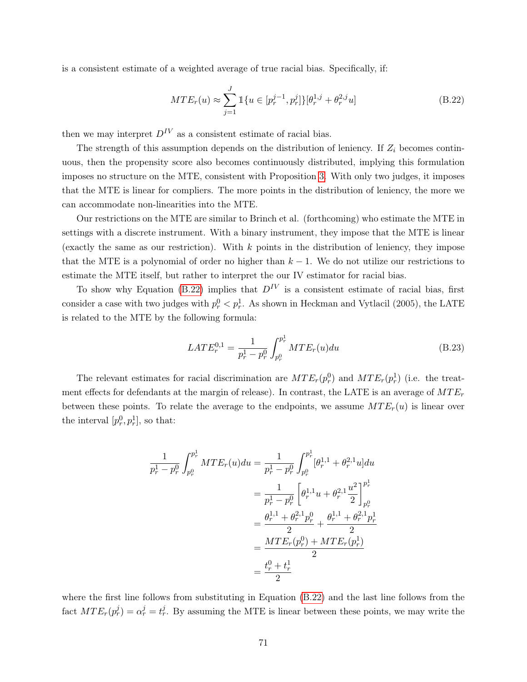is a consistent estimate of a weighted average of true racial bias. Specifically, if:

<span id="page-72-0"></span>
$$
MTE_r(u) \approx \sum_{j=1}^{J} \mathbb{1}\{u \in [p_r^{j-1}, p_r^j] \} [\theta_r^{1,j} + \theta_r^{2,j} u]
$$
(B.22)

then we may interpret  $D^{IV}$  as a consistent estimate of racial bias.

The strength of this assumption depends on the distribution of leniency. If  $Z_i$  becomes continuous, then the propensity score also becomes continuously distributed, implying this formulation imposes no structure on the MTE, consistent with Proposition [3.](#page-13-0) With only two judges, it imposes that the MTE is linear for compliers. The more points in the distribution of leniency, the more we can accommodate non-linearities into the MTE.

Our restrictions on the MTE are similar to Brinch et al. (forthcoming) who estimate the MTE in settings with a discrete instrument. With a binary instrument, they impose that the MTE is linear (exactly the same as our restriction). With  $k$  points in the distribution of leniency, they impose that the MTE is a polynomial of order no higher than  $k-1$ . We do not utilize our restrictions to estimate the MTE itself, but rather to interpret the our IV estimator for racial bias.

To show why Equation [\(B.22\)](#page-72-0) implies that  $D^{IV}$  is a consistent estimate of racial bias, first consider a case with two judges with  $p_r^0 < p_r^1$ . As shown in Heckman and Vytlacil (2005), the LATE is related to the MTE by the following formula:

$$
LATE_r^{0,1} = \frac{1}{p_r^1 - p_r^0} \int_{p_r^0}^{p_r^1} MTE_r(u) du
$$
 (B.23)

The relevant estimates for racial discrimination are  $MTE_r(p_r^0)$  and  $MTE_r(p_r^1)$  (i.e. the treatment effects for defendants at the margin of release). In contrast, the LATE is an average of  $MTE_r$ between these points. To relate the average to the endpoints, we assume  $MTE_r(u)$  is linear over the interval  $[p_r^0, p_r^1]$ , so that:

$$
\frac{1}{p_r^1 - p_r^0} \int_{p_r^0}^{p_r^1} MTE_r(u) du = \frac{1}{p_r^1 - p_r^0} \int_{p_r^0}^{p_r^1} [\theta_r^{1,1} + \theta_r^{2,1} u] du
$$

$$
= \frac{1}{p_r^1 - p_r^0} \left[ \theta_r^{1,1} u + \theta_r^{2,1} \frac{u^2}{2} \right]_{p_r^0}^{p_r^1}
$$

$$
= \frac{\theta_r^{1,1} + \theta_r^{2,1} p_r^0}{2} + \frac{\theta_r^{1,1} + \theta_r^{2,1} p_r^1}{2}
$$

$$
= \frac{MTE_r(p_r^0) + MTE_r(p_r^1)}{2}
$$

$$
= \frac{t_r^0 + t_r^1}{2}
$$

where the first line follows from substituting in Equation [\(B.22\)](#page-72-0) and the last line follows from the fact  $MTE_r(p_r^j) = \alpha_r^j = t_r^j$ . By assuming the MTE is linear between these points, we may write the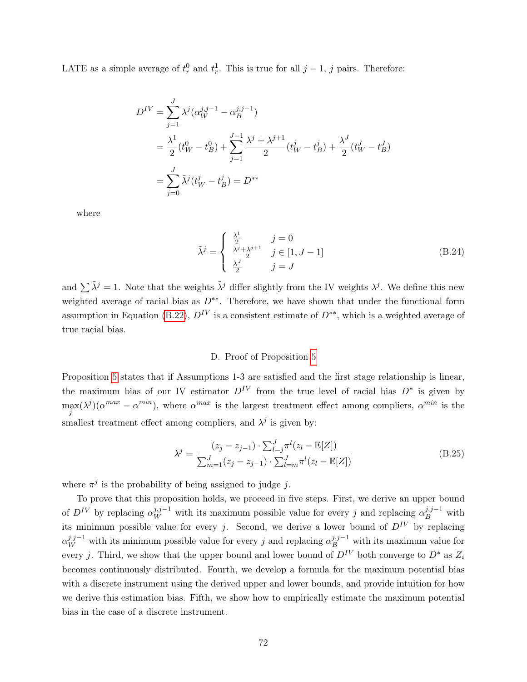LATE as a simple average of  $t_r^0$  and  $t_r^1$ . This is true for all  $j-1$ , j pairs. Therefore:

$$
D^{IV} = \sum_{j=1}^{J} \lambda^{j} (\alpha_W^{j,j-1} - \alpha_B^{j,j-1})
$$
  
=  $\frac{\lambda^{1}}{2} (t_W^{0} - t_B^{0}) + \sum_{j=1}^{J-1} \frac{\lambda^{j} + \lambda^{j+1}}{2} (t_W^{j} - t_B^{j}) + \frac{\lambda^{J}}{2} (t_W^{J} - t_B^{J})$   
=  $\sum_{j=0}^{J} \tilde{\lambda}^{j} (t_W^{j} - t_B^{j}) = D^{**}$ 

where

$$
\tilde{\lambda}^{j} = \begin{cases}\n\frac{\lambda^{1}}{2} & j = 0 \\
\frac{\lambda^{j} + \lambda^{j+1}}{2} & j \in [1, J-1] \\
\frac{\lambda^{j}}{2} & j = J\n\end{cases}
$$
\n(B.24)

and  $\sum \tilde{\lambda}^j = 1$ . Note that the weights  $\tilde{\lambda}^j$  differ slightly from the IV weights  $\lambda^j$ . We define this new weighted average of racial bias as  $D^{**}$ . Therefore, we have shown that under the functional form assumption in Equation [\(B.22\)](#page-72-0),  $D^{IV}$  is a consistent estimate of  $D^{**}$ , which is a weighted average of true racial bias.

### D. Proof of Proposition [5](#page-15-0)

Proposition [5](#page-15-0) states that if Assumptions 1-3 are satisfied and the first stage relationship is linear, the maximum bias of our IV estimator  $D^{IV}$  from the true level of racial bias  $D^*$  is given by  $\max_j(\lambda^j)(\alpha^{max}-\alpha^{min})$ , where  $\alpha^{max}$  is the largest treatment effect among compliers,  $\alpha^{min}$  is the smallest treatment effect among compliers, and  $\lambda^j$  is given by:

$$
\lambda^{j} = \frac{(z_{j} - z_{j-1}) \cdot \sum_{l=j}^{J} \pi^{l}(z_{l} - \mathbb{E}[Z])}{\sum_{m=1}^{J} (z_{j} - z_{j-1}) \cdot \sum_{l=m}^{J} \pi^{l}(z_{l} - \mathbb{E}[Z])}
$$
(B.25)

where  $\pi^{j}$  is the probability of being assigned to judge j.

To prove that this proposition holds, we proceed in five steps. First, we derive an upper bound of  $D^{IV}$  by replacing  $\alpha_W^{j,j-1}$  with its maximum possible value for every j and replacing  $\alpha_B^{j,j-1}$  with its minimum possible value for every j. Second, we derive a lower bound of  $D^{IV}$  by replacing  $\alpha_W^{j,j-1}$  with its minimum possible value for every j and replacing  $\alpha_B^{j,j-1}$  with its maximum value for every j. Third, we show that the upper bound and lower bound of  $D^{IV}$  both converge to  $D^*$  as  $Z_i$ becomes continuously distributed. Fourth, we develop a formula for the maximum potential bias with a discrete instrument using the derived upper and lower bounds, and provide intuition for how we derive this estimation bias. Fifth, we show how to empirically estimate the maximum potential bias in the case of a discrete instrument.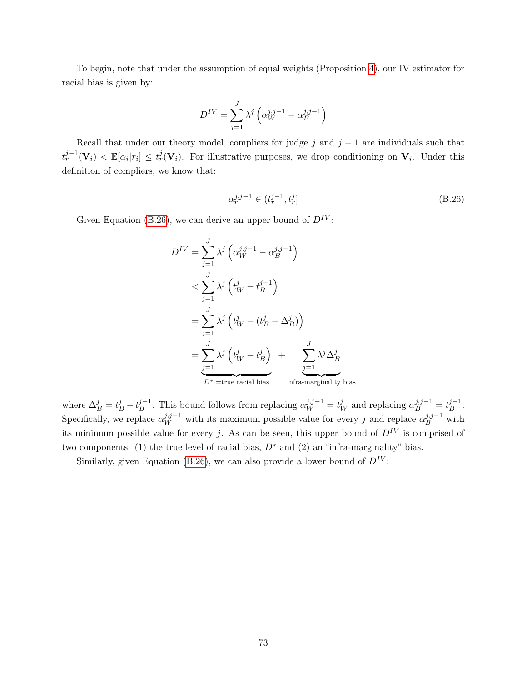To begin, note that under the assumption of equal weights (Proposition [4\)](#page-14-0), our IV estimator for racial bias is given by:

<span id="page-74-0"></span>
$$
D^{IV} = \sum_{j=1}^{J} \lambda^j \left( \alpha_W^{j,j-1} - \alpha_B^{j,j-1} \right)
$$

Recall that under our theory model, compliers for judge j and  $j - 1$  are individuals such that  $t_r^{j-1}(\mathbf{V}_i) < \mathbb{E}[\alpha_i|r_i] \leq t_r^j(\mathbf{V}_i)$ . For illustrative purposes, we drop conditioning on  $\mathbf{V}_i$ . Under this definition of compliers, we know that:

$$
\alpha_r^{j,j-1} \in (t_r^{j-1}, t_r^j] \tag{B.26}
$$

Given Equation [\(B.26\)](#page-74-0), we can derive an upper bound of  $D^{IV}$ :

$$
D^{IV} = \sum_{j=1}^{J} \lambda^{j} \left( \alpha_W^{j,j-1} - \alpha_B^{j,j-1} \right)
$$
  

$$
< \sum_{j=1}^{J} \lambda^{j} \left( t_W^{j} - t_B^{j-1} \right)
$$
  

$$
= \sum_{j=1}^{J} \lambda^{j} \left( t_W^{j} - (t_B^{j} - \Delta_B^{j}) \right)
$$
  

$$
= \sum_{j=1}^{J} \lambda^{j} \left( t_W^{j} - t_B^{j} \right) + \sum_{\substack{j=1 \ \text{of } \lambda^{j} \Delta_B^{j}}} \lambda^{j} \Delta_B^{j}
$$
  

$$
D^* = \text{true racial bias} \qquad \text{infra-marginality bias}
$$

where  $\Delta_B^j = t_B^j - t_B^{j-1}$  $j^{-1}$ . This bound follows from replacing  $\alpha_W^{j,j-1} = t_W^j$  and replacing  $\alpha_B^{j,j-1} = t_B^{j-1}$  $B^{-1}$ . Specifically, we replace  $\alpha_W^{j,j-1}$  with its maximum possible value for every j and replace  $\alpha_B^{j,j-1}$  with its minimum possible value for every j. As can be seen, this upper bound of  $D^{IV}$  is comprised of two components: (1) the true level of racial bias,  $D^*$  and (2) an "infra-marginality" bias.

Similarly, given Equation [\(B.26\)](#page-74-0), we can also provide a lower bound of  $D^{IV}$ :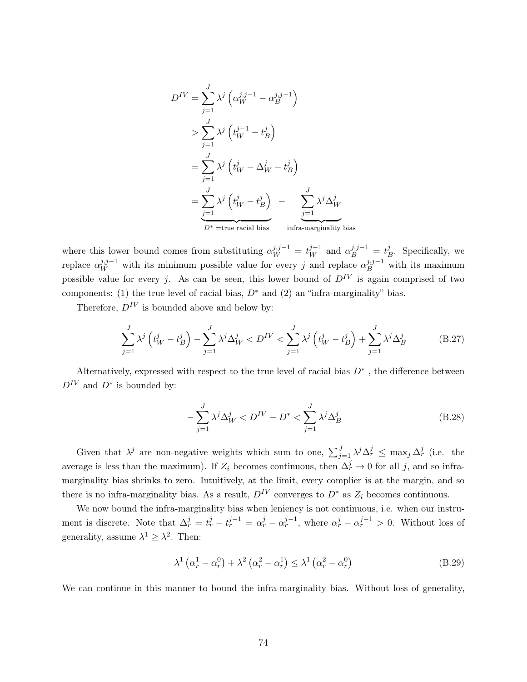$$
D^{IV} = \sum_{j=1}^{J} \lambda^{j} \left( \alpha_W^{j, j-1} - \alpha_B^{j, j-1} \right)
$$
  
\n
$$
> \sum_{j=1}^{J} \lambda^{j} \left( t_W^{j-1} - t_B^{j} \right)
$$
  
\n
$$
= \sum_{j=1}^{J} \lambda^{j} \left( t_W^{j} - \Delta_W^{j} - t_B^{j} \right)
$$
  
\n
$$
= \sum_{j=1}^{J} \lambda^{j} \left( t_W^{j} - t_B^{j} \right) - \sum_{\substack{j=1 \ \text{of } \lambda^{j} \Delta_W^{j}}} \lambda^{j} \Delta_W^{j}
$$
  
\n
$$
D^* = \text{true racial bias} \qquad \text{infra-marginality bias}
$$

where this lower bound comes from substituting  $\alpha_W^{j,j-1} = t_W^{j-1}$  and  $\alpha_B^{j,j-1} = t_H^{j}$  $B<sub>B</sub>$ . Specifically, we replace  $\alpha_W^{j,j-1}$  with its minimum possible value for every j and replace  $\alpha_B^{j,j-1}$  with its maximum possible value for every j. As can be seen, this lower bound of  $D^{IV}$  is again comprised of two components: (1) the true level of racial bias,  $D^*$  and (2) an "infra-marginality" bias.

Therefore,  $D^{IV}$  is bounded above and below by:

$$
\sum_{j=1}^{J} \lambda^j \left( t_W^j - t_B^j \right) - \sum_{j=1}^{J} \lambda^j \Delta_W^j < D^{IV} < \sum_{j=1}^{J} \lambda^j \left( t_W^j - t_B^j \right) + \sum_{j=1}^{J} \lambda^j \Delta_B^j \tag{B.27}
$$

Alternatively, expressed with respect to the true level of racial bias  $D^*$ , the difference between  $D^{IV}$  and  $D^*$  is bounded by:

<span id="page-75-0"></span>
$$
-\sum_{j=1}^{J} \lambda^{j} \Delta_{W}^{j} < D^{IV} - D^{*} < \sum_{j=1}^{J} \lambda^{j} \Delta_{B}^{j} \tag{B.28}
$$

Given that  $\lambda^j$  are non-negative weights which sum to one,  $\sum_{j=1}^J \lambda^j \Delta_r^j \leq \max_j \Delta_r^j$  (i.e. the average is less than the maximum). If  $Z_i$  becomes continuous, then  $\Delta_r^j \to 0$  for all j, and so inframarginality bias shrinks to zero. Intuitively, at the limit, every complier is at the margin, and so there is no infra-marginality bias. As a result,  $D^{IV}$  converges to  $D^*$  as  $Z_i$  becomes continuous.

We now bound the infra-marginality bias when leniency is not continuous, i.e. when our instrument is discrete. Note that  $\Delta_r^j = t_r^j - t_r^{j-1} = \alpha_r^j - \alpha_r^{j-1}$ , where  $\alpha_r^j - \alpha_r^{j-1} > 0$ . Without loss of generality, assume  $\lambda^1 \geq \lambda^2$ . Then:

$$
\lambda^{1}\left(\alpha_{r}^{1}-\alpha_{r}^{0}\right)+\lambda^{2}\left(\alpha_{r}^{2}-\alpha_{r}^{1}\right)\leq\lambda^{1}\left(\alpha_{r}^{2}-\alpha_{r}^{0}\right)
$$
\n(B.29)

We can continue in this manner to bound the infra-marginality bias. Without loss of generality,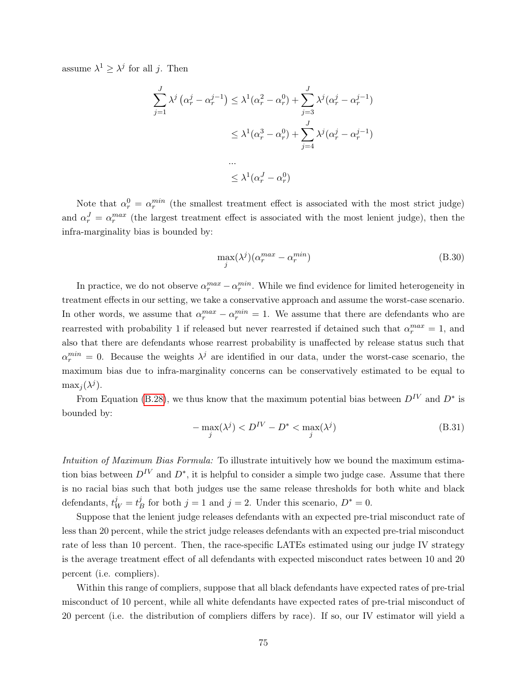assume  $\lambda^1 \geq \lambda^j$  for all j. Then

$$
\sum_{j=1}^{J} \lambda^j \left( \alpha_r^j - \alpha_r^{j-1} \right) \leq \lambda^1 (\alpha_r^2 - \alpha_r^0) + \sum_{j=3}^{J} \lambda^j (\alpha_r^j - \alpha_r^{j-1})
$$
  

$$
\leq \lambda^1 (\alpha_r^3 - \alpha_r^0) + \sum_{j=4}^{J} \lambda^j (\alpha_r^j - \alpha_r^{j-1})
$$
  

$$
\dots
$$
  

$$
\leq \lambda^1 (\alpha_r^J - \alpha_r^0)
$$

Note that  $\alpha_r^0 = \alpha_r^{min}$  (the smallest treatment effect is associated with the most strict judge) and  $\alpha_r^J = \alpha_r^{max}$  (the largest treatment effect is associated with the most lenient judge), then the infra-marginality bias is bounded by:

$$
\max_{j} (\lambda^{j}) (\alpha_r^{max} - \alpha_r^{min})
$$
\n(B.30)

In practice, we do not observe  $\alpha_r^{max} - \alpha_r^{min}$ . While we find evidence for limited heterogeneity in treatment effects in our setting, we take a conservative approach and assume the worst-case scenario. In other words, we assume that  $\alpha_r^{max} - \alpha_r^{min} = 1$ . We assume that there are defendants who are rearrested with probability 1 if released but never rearrested if detained such that  $\alpha_r^{max} = 1$ , and also that there are defendants whose rearrest probability is unaffected by release status such that  $\alpha_r^{min} = 0$ . Because the weights  $\lambda^j$  are identified in our data, under the worst-case scenario, the maximum bias due to infra-marginality concerns can be conservatively estimated to be equal to  $\max_j (\lambda^j)$ .

From Equation [\(B.28\)](#page-75-0), we thus know that the maximum potential bias between  $D^{IV}$  and  $D^*$  is bounded by:

$$
-\max_{j}(\lambda^{j}) < D^{IV} - D^{*} < \max_{j}(\lambda^{j})\tag{B.31}
$$

Intuition of Maximum Bias Formula: To illustrate intuitively how we bound the maximum estimation bias between  $D^{IV}$  and  $D^*$ , it is helpful to consider a simple two judge case. Assume that there is no racial bias such that both judges use the same release thresholds for both white and black defendants,  $t_W^j = t_H^j$  $\frac{j}{B}$  for both  $j = 1$  and  $j = 2$ . Under this scenario,  $D^* = 0$ .

Suppose that the lenient judge releases defendants with an expected pre-trial misconduct rate of less than 20 percent, while the strict judge releases defendants with an expected pre-trial misconduct rate of less than 10 percent. Then, the race-specific LATEs estimated using our judge IV strategy is the average treatment effect of all defendants with expected misconduct rates between 10 and 20 percent (i.e. compliers).

Within this range of compliers, suppose that all black defendants have expected rates of pre-trial misconduct of 10 percent, while all white defendants have expected rates of pre-trial misconduct of 20 percent (i.e. the distribution of compliers differs by race). If so, our IV estimator will yield a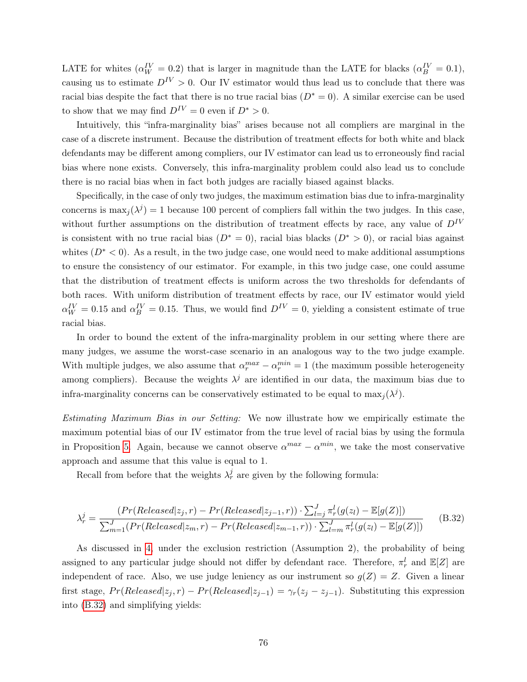LATE for whites  $(\alpha_W^{IV} = 0.2)$  that is larger in magnitude than the LATE for blacks  $(\alpha_B^{IV} = 0.1)$ , causing us to estimate  $D^{IV} > 0$ . Our IV estimator would thus lead us to conclude that there was racial bias despite the fact that there is no true racial bias  $(D^* = 0)$ . A similar exercise can be used to show that we may find  $D^{IV} = 0$  even if  $D^* > 0$ .

Intuitively, this "infra-marginality bias" arises because not all compliers are marginal in the case of a discrete instrument. Because the distribution of treatment effects for both white and black defendants may be different among compliers, our IV estimator can lead us to erroneously find racial bias where none exists. Conversely, this infra-marginality problem could also lead us to conclude there is no racial bias when in fact both judges are racially biased against blacks.

Specifically, in the case of only two judges, the maximum estimation bias due to infra-marginality concerns is  $\max_j (\lambda^j) = 1$  because 100 percent of compliers fall within the two judges. In this case, without further assumptions on the distribution of treatment effects by race, any value of  $D^{IV}$ is consistent with no true racial bias  $(D^* = 0)$ , racial bias blacks  $(D^* > 0)$ , or racial bias against whites  $(D^* < 0)$ . As a result, in the two judge case, one would need to make additional assumptions to ensure the consistency of our estimator. For example, in this two judge case, one could assume that the distribution of treatment effects is uniform across the two thresholds for defendants of both races. With uniform distribution of treatment effects by race, our IV estimator would yield  $\alpha_W^{IV} = 0.15$  and  $\alpha_B^{IV} = 0.15$ . Thus, we would find  $D^{IV} = 0$ , yielding a consistent estimate of true racial bias.

In order to bound the extent of the infra-marginality problem in our setting where there are many judges, we assume the worst-case scenario in an analogous way to the two judge example. With multiple judges, we also assume that  $\alpha_r^{max} - \alpha_r^{min} = 1$  (the maximum possible heterogeneity among compliers). Because the weights  $\lambda^j$  are identified in our data, the maximum bias due to infra-marginality concerns can be conservatively estimated to be equal to  $\max_j(\lambda^j)$ .

Estimating Maximum Bias in our Setting: We now illustrate how we empirically estimate the maximum potential bias of our IV estimator from the true level of racial bias by using the formula in Proposition [5.](#page-15-0) Again, because we cannot observe  $\alpha^{max} - \alpha^{min}$ , we take the most conservative approach and assume that this value is equal to 1.

Recall from before that the weights  $\lambda_r^j$  are given by the following formula:

<span id="page-77-0"></span>
$$
\lambda_r^j = \frac{(Pr(Released|z_j, r) - Pr(Released|z_{j-1}, r)) \cdot \sum_{l=j}^J \pi_r^l(g(z_l) - \mathbb{E}[g(Z)])}{\sum_{m=1}^J (Pr(Released|z_m, r) - Pr(Released|z_{m-1}, r)) \cdot \sum_{l=m}^J \pi_r^l(g(z_l) - \mathbb{E}[g(Z)])}
$$
(B.32)

As discussed in [4,](#page-14-0) under the exclusion restriction (Assumption 2), the probability of being assigned to any particular judge should not differ by defendant race. Therefore,  $\pi_r^l$  and  $\mathbb{E}[Z]$  are independent of race. Also, we use judge leniency as our instrument so  $g(Z) = Z$ . Given a linear first stage,  $Pr(Released|z_j, r) - Pr(Released|z_{j-1}) = \gamma_r(z_j - z_{j-1})$ . Substituting this expression into [\(B.32\)](#page-77-0) and simplifying yields: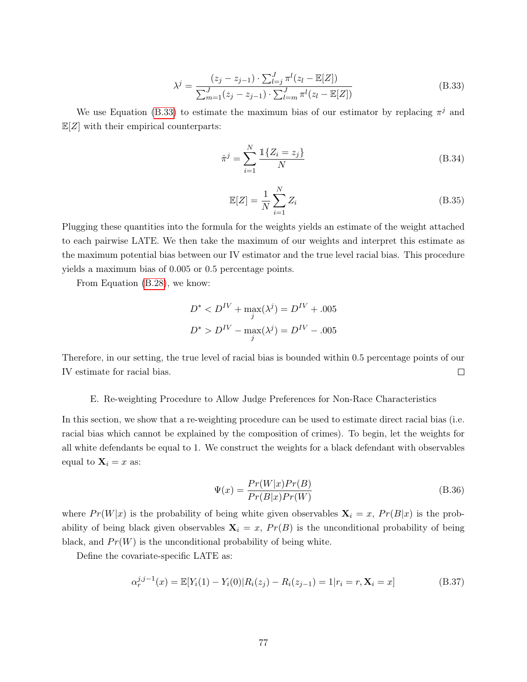<span id="page-78-0"></span>
$$
\lambda^{j} = \frac{(z_{j} - z_{j-1}) \cdot \sum_{l=j}^{J} \pi^{l}(z_{l} - \mathbb{E}[Z])}{\sum_{m=1}^{J} (z_{j} - z_{j-1}) \cdot \sum_{l=m}^{J} \pi^{l}(z_{l} - \mathbb{E}[Z])}
$$
(B.33)

We use Equation [\(B.33\)](#page-78-0) to estimate the maximum bias of our estimator by replacing  $\pi^{j}$  and  $\mathbb{E}[Z]$  with their empirical counterparts:

$$
\hat{\pi}^j = \sum_{i=1}^N \frac{\mathbb{1}\{Z_i = z_j\}}{N}
$$
 (B.34)

$$
\mathbb{E}[Z] = \frac{1}{N} \sum_{i=1}^{N} Z_i
$$
\n(B.35)

Plugging these quantities into the formula for the weights yields an estimate of the weight attached to each pairwise LATE. We then take the maximum of our weights and interpret this estimate as the maximum potential bias between our IV estimator and the true level racial bias. This procedure yields a maximum bias of 0.005 or 0.5 percentage points.

From Equation [\(B.28\)](#page-75-0), we know:

$$
D^* < D^{IV} + \max_j(\lambda^j) = D^{IV} + .005
$$
\n
$$
D^* > D^{IV} - \max_j(\lambda^j) = D^{IV} - .005
$$

Therefore, in our setting, the true level of racial bias is bounded within 0.5 percentage points of our  $\Box$ IV estimate for racial bias.

#### E. Re-weighting Procedure to Allow Judge Preferences for Non-Race Characteristics

In this section, we show that a re-weighting procedure can be used to estimate direct racial bias (i.e. racial bias which cannot be explained by the composition of crimes). To begin, let the weights for all white defendants be equal to 1. We construct the weights for a black defendant with observables equal to  $X_i = x$  as:

$$
\Psi(x) = \frac{Pr(W|x)Pr(B)}{Pr(B|x)Pr(W)}\tag{B.36}
$$

where  $Pr(W|x)$  is the probability of being white given observables  $X_i = x$ ,  $Pr(B|x)$  is the probability of being black given observables  $X_i = x$ ,  $Pr(B)$  is the unconditional probability of being black, and  $Pr(W)$  is the unconditional probability of being white.

Define the covariate-specific LATE as:

$$
\alpha_r^{j,j-1}(x) = \mathbb{E}[Y_i(1) - Y_i(0)|R_i(z_j) - R_i(z_{j-1})] = 1|r_i = r, \mathbf{X}_i = x]
$$
(B.37)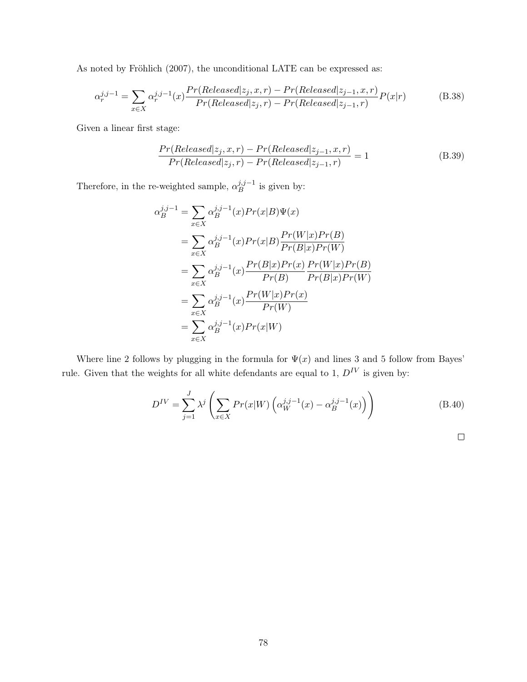As noted by Fröhlich (2007), the unconditional LATE can be expressed as:

$$
\alpha_r^{j,j-1} = \sum_{x \in X} \alpha_r^{j,j-1}(x) \frac{Pr(Released|z_j, x, r) - Pr(Released|z_{j-1}, x, r)}{Pr(Released|z_j, r) - Pr(Released|z_{j-1}, r)} P(x|r)
$$
(B.38)

Given a linear first stage:

$$
\frac{Pr(Released|z_j, x, r) - Pr(Released|z_{j-1}, x, r)}{Pr(Released|z_j, r) - Pr(Released|z_{j-1}, r)} = 1
$$
\n(B.39)

Therefore, in the re-weighted sample,  $\alpha_B^{j,j-1}$  $B^{j,j-1}$  is given by:

$$
\alpha_B^{j,j-1} = \sum_{x \in X} \alpha_B^{j,j-1}(x) Pr(x|B) \Psi(x)
$$
  
\n
$$
= \sum_{x \in X} \alpha_B^{j,j-1}(x) Pr(x|B) \frac{Pr(W|x)Pr(B)}{Pr(B|x)Pr(W)}
$$
  
\n
$$
= \sum_{x \in X} \alpha_B^{j,j-1}(x) \frac{Pr(B|x)Pr(x)}{Pr(B)} \frac{Pr(W|x)Pr(B)}{Pr(B|x)Pr(W)}
$$
  
\n
$$
= \sum_{x \in X} \alpha_B^{j,j-1}(x) \frac{Pr(W|x)Pr(x)}{Pr(W)}
$$
  
\n
$$
= \sum_{x \in X} \alpha_B^{j,j-1}(x) Pr(x|W)
$$

Where line 2 follows by plugging in the formula for  $\Psi(x)$  and lines 3 and 5 follow from Bayes' rule. Given that the weights for all white defendants are equal to 1,  $D^{IV}$  is given by:

$$
D^{IV} = \sum_{j=1}^{J} \lambda^j \left( \sum_{x \in X} Pr(x|W) \left( \alpha_W^{j,j-1}(x) - \alpha_B^{j,j-1}(x) \right) \right)
$$
(B.40)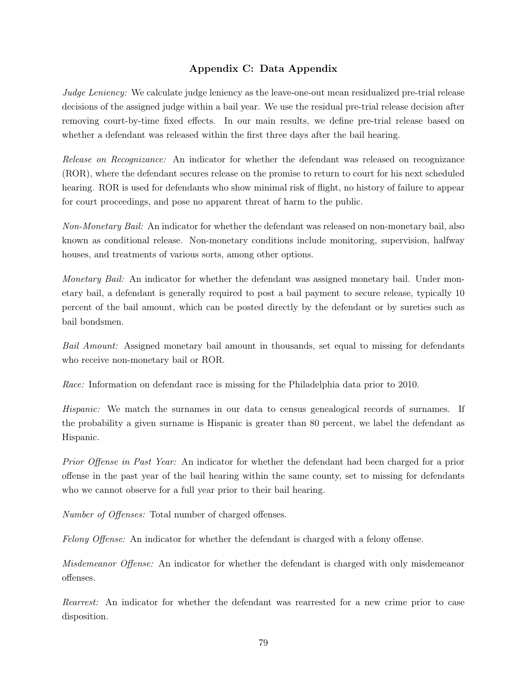# Appendix C: Data Appendix

Judge Leniency: We calculate judge leniency as the leave-one-out mean residualized pre-trial release decisions of the assigned judge within a bail year. We use the residual pre-trial release decision after removing court-by-time fixed effects. In our main results, we define pre-trial release based on whether a defendant was released within the first three days after the bail hearing.

Release on Recognizance: An indicator for whether the defendant was released on recognizance (ROR), where the defendant secures release on the promise to return to court for his next scheduled hearing. ROR is used for defendants who show minimal risk of flight, no history of failure to appear for court proceedings, and pose no apparent threat of harm to the public.

Non-Monetary Bail: An indicator for whether the defendant was released on non-monetary bail, also known as conditional release. Non-monetary conditions include monitoring, supervision, halfway houses, and treatments of various sorts, among other options.

Monetary Bail: An indicator for whether the defendant was assigned monetary bail. Under monetary bail, a defendant is generally required to post a bail payment to secure release, typically 10 percent of the bail amount, which can be posted directly by the defendant or by sureties such as bail bondsmen.

Bail Amount: Assigned monetary bail amount in thousands, set equal to missing for defendants who receive non-monetary bail or ROR.

Race: Information on defendant race is missing for the Philadelphia data prior to 2010.

Hispanic: We match the surnames in our data to census genealogical records of surnames. If the probability a given surname is Hispanic is greater than 80 percent, we label the defendant as Hispanic.

Prior Offense in Past Year: An indicator for whether the defendant had been charged for a prior offense in the past year of the bail hearing within the same county, set to missing for defendants who we cannot observe for a full year prior to their bail hearing.

Number of Offenses: Total number of charged offenses.

Felony Offense: An indicator for whether the defendant is charged with a felony offense.

Misdemeanor Offense: An indicator for whether the defendant is charged with only misdemeanor offenses.

Rearrest: An indicator for whether the defendant was rearrested for a new crime prior to case disposition.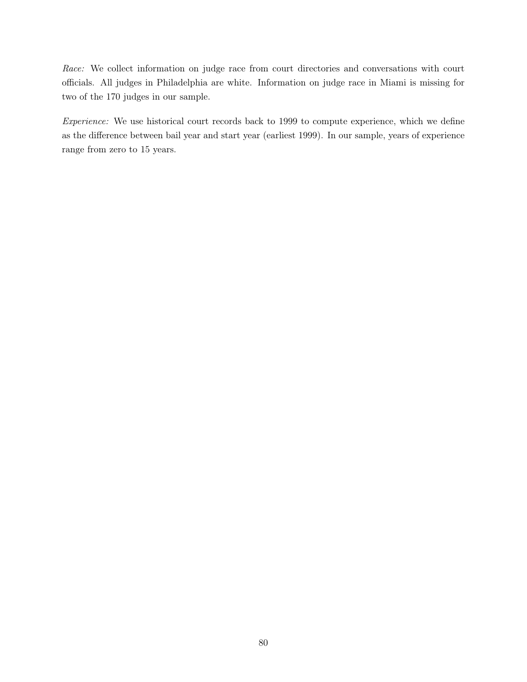Race: We collect information on judge race from court directories and conversations with court officials. All judges in Philadelphia are white. Information on judge race in Miami is missing for two of the 170 judges in our sample.

Experience: We use historical court records back to 1999 to compute experience, which we define as the difference between bail year and start year (earliest 1999). In our sample, years of experience range from zero to 15 years.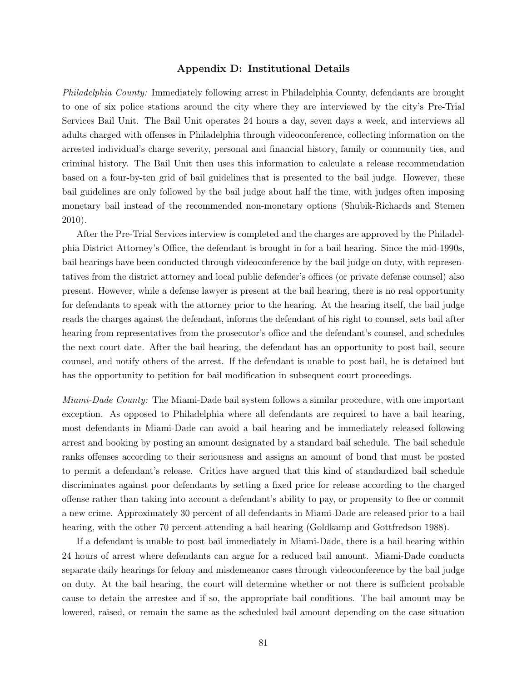## Appendix D: Institutional Details

Philadelphia County: Immediately following arrest in Philadelphia County, defendants are brought to one of six police stations around the city where they are interviewed by the city's Pre-Trial Services Bail Unit. The Bail Unit operates 24 hours a day, seven days a week, and interviews all adults charged with offenses in Philadelphia through videoconference, collecting information on the arrested individual's charge severity, personal and financial history, family or community ties, and criminal history. The Bail Unit then uses this information to calculate a release recommendation based on a four-by-ten grid of bail guidelines that is presented to the bail judge. However, these bail guidelines are only followed by the bail judge about half the time, with judges often imposing monetary bail instead of the recommended non-monetary options (Shubik-Richards and Stemen 2010).

After the Pre-Trial Services interview is completed and the charges are approved by the Philadelphia District Attorney's Office, the defendant is brought in for a bail hearing. Since the mid-1990s, bail hearings have been conducted through videoconference by the bail judge on duty, with representatives from the district attorney and local public defender's offices (or private defense counsel) also present. However, while a defense lawyer is present at the bail hearing, there is no real opportunity for defendants to speak with the attorney prior to the hearing. At the hearing itself, the bail judge reads the charges against the defendant, informs the defendant of his right to counsel, sets bail after hearing from representatives from the prosecutor's office and the defendant's counsel, and schedules the next court date. After the bail hearing, the defendant has an opportunity to post bail, secure counsel, and notify others of the arrest. If the defendant is unable to post bail, he is detained but has the opportunity to petition for bail modification in subsequent court proceedings.

Miami-Dade County: The Miami-Dade bail system follows a similar procedure, with one important exception. As opposed to Philadelphia where all defendants are required to have a bail hearing, most defendants in Miami-Dade can avoid a bail hearing and be immediately released following arrest and booking by posting an amount designated by a standard bail schedule. The bail schedule ranks offenses according to their seriousness and assigns an amount of bond that must be posted to permit a defendant's release. Critics have argued that this kind of standardized bail schedule discriminates against poor defendants by setting a fixed price for release according to the charged offense rather than taking into account a defendant's ability to pay, or propensity to flee or commit a new crime. Approximately 30 percent of all defendants in Miami-Dade are released prior to a bail hearing, with the other 70 percent attending a bail hearing (Goldkamp and Gottfredson 1988).

If a defendant is unable to post bail immediately in Miami-Dade, there is a bail hearing within 24 hours of arrest where defendants can argue for a reduced bail amount. Miami-Dade conducts separate daily hearings for felony and misdemeanor cases through videoconference by the bail judge on duty. At the bail hearing, the court will determine whether or not there is sufficient probable cause to detain the arrestee and if so, the appropriate bail conditions. The bail amount may be lowered, raised, or remain the same as the scheduled bail amount depending on the case situation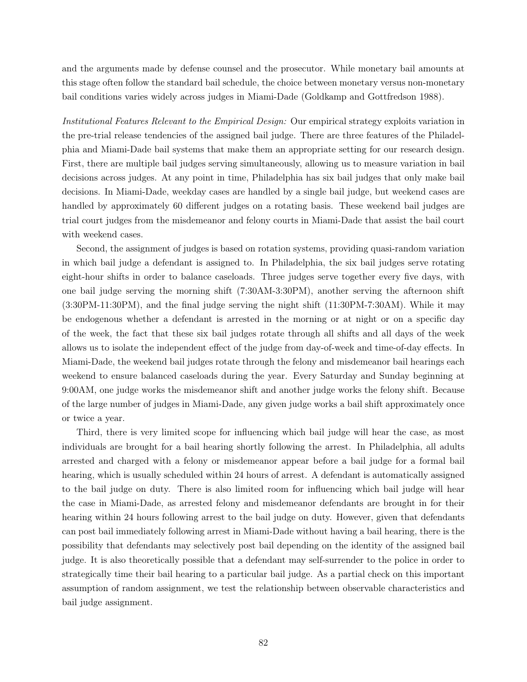and the arguments made by defense counsel and the prosecutor. While monetary bail amounts at this stage often follow the standard bail schedule, the choice between monetary versus non-monetary bail conditions varies widely across judges in Miami-Dade (Goldkamp and Gottfredson 1988).

Institutional Features Relevant to the Empirical Design: Our empirical strategy exploits variation in the pre-trial release tendencies of the assigned bail judge. There are three features of the Philadelphia and Miami-Dade bail systems that make them an appropriate setting for our research design. First, there are multiple bail judges serving simultaneously, allowing us to measure variation in bail decisions across judges. At any point in time, Philadelphia has six bail judges that only make bail decisions. In Miami-Dade, weekday cases are handled by a single bail judge, but weekend cases are handled by approximately 60 different judges on a rotating basis. These weekend bail judges are trial court judges from the misdemeanor and felony courts in Miami-Dade that assist the bail court with weekend cases.

Second, the assignment of judges is based on rotation systems, providing quasi-random variation in which bail judge a defendant is assigned to. In Philadelphia, the six bail judges serve rotating eight-hour shifts in order to balance caseloads. Three judges serve together every five days, with one bail judge serving the morning shift (7:30AM-3:30PM), another serving the afternoon shift (3:30PM-11:30PM), and the final judge serving the night shift (11:30PM-7:30AM). While it may be endogenous whether a defendant is arrested in the morning or at night or on a specific day of the week, the fact that these six bail judges rotate through all shifts and all days of the week allows us to isolate the independent effect of the judge from day-of-week and time-of-day effects. In Miami-Dade, the weekend bail judges rotate through the felony and misdemeanor bail hearings each weekend to ensure balanced caseloads during the year. Every Saturday and Sunday beginning at 9:00AM, one judge works the misdemeanor shift and another judge works the felony shift. Because of the large number of judges in Miami-Dade, any given judge works a bail shift approximately once or twice a year.

Third, there is very limited scope for influencing which bail judge will hear the case, as most individuals are brought for a bail hearing shortly following the arrest. In Philadelphia, all adults arrested and charged with a felony or misdemeanor appear before a bail judge for a formal bail hearing, which is usually scheduled within 24 hours of arrest. A defendant is automatically assigned to the bail judge on duty. There is also limited room for influencing which bail judge will hear the case in Miami-Dade, as arrested felony and misdemeanor defendants are brought in for their hearing within 24 hours following arrest to the bail judge on duty. However, given that defendants can post bail immediately following arrest in Miami-Dade without having a bail hearing, there is the possibility that defendants may selectively post bail depending on the identity of the assigned bail judge. It is also theoretically possible that a defendant may self-surrender to the police in order to strategically time their bail hearing to a particular bail judge. As a partial check on this important assumption of random assignment, we test the relationship between observable characteristics and bail judge assignment.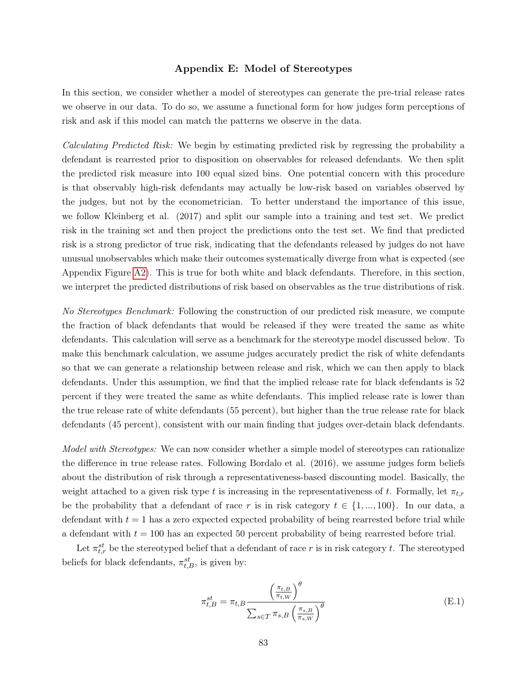## Appendix E: Model of Stereotypes

In this section, we consider whether a model of stereotypes can generate the pre-trial release rates we observe in our data. To do so, we assume a functional form for how judges form perceptions of risk and ask if this model can match the patterns we observe in the data.

Calculating Predicted Risk: We begin by estimating predicted risk by regressing the probability a defendant is rearrested prior to disposition on observables for released defendants. We then split the predicted risk measure into 100 equal sized bins. One potential concern with this procedure is that observably high-risk defendants may actually be low-risk based on variables observed by the judges, but not by the econometrician. To better understand the importance of this issue, we follow Kleinberg et al. (2017) and split our sample into a training and test set. We predict risk in the training set and then project the predictions onto the test set. We find that predicted risk is a strong predictor of true risk, indicating that the defendants released by judges do not have unusual unobservables which make their outcomes systematically diverge from what is expected (see Appendix Figure [A2\)](#page-64-0). This is true for both white and black defendants. Therefore, in this section, we interpret the predicted distributions of risk based on observables as the true distributions of risk.

No Stereotypes Benchmark: Following the construction of our predicted risk measure, we compute the fraction of black defendants that would be released if they were treated the same as white defendants. This calculation will serve as a benchmark for the stereotype model discussed below. To make this benchmark calculation, we assume judges accurately predict the risk of white defendants so that we can generate a relationship between release and risk, which we can then apply to black defendants. Under this assumption, we find that the implied release rate for black defendants is 52 percent if they were treated the same as white defendants. This implied release rate is lower than the true release rate of white defendants (55 percent), but higher than the true release rate for black defendants (45 percent), consistent with our main finding that judges over-detain black defendants.

Model with Stereotypes: We can now consider whether a simple model of stereotypes can rationalize the difference in true release rates. Following Bordalo et al. (2016), we assume judges form beliefs about the distribution of risk through a representativeness-based discounting model. Basically, the weight attached to a given risk type t is increasing in the representativeness of t. Formally, let  $\pi_{t,r}$ be the probability that a defendant of race r is in risk category  $t \in \{1, ..., 100\}$ . In our data, a defendant with  $t = 1$  has a zero expected expected probability of being rearrested before trial while a defendant with  $t = 100$  has an expected 50 percent probability of being rearrested before trial.

Let  $\pi_{t,r}^{st}$  be the stereotyped belief that a defendant of race r is in risk category t. The stereotyped beliefs for black defendants,  $\pi_{t,B}^{st}$ , is given by:

<span id="page-84-0"></span>
$$
\pi_{t,B}^{st} = \pi_{t,B} \frac{\left(\frac{\pi_{t,B}}{\pi_{t,W}}\right)^{\theta}}{\sum_{s \in T} \pi_{s,B} \left(\frac{\pi_{s,B}}{\pi_{s,W}}\right)^{\theta}}
$$
(E.1)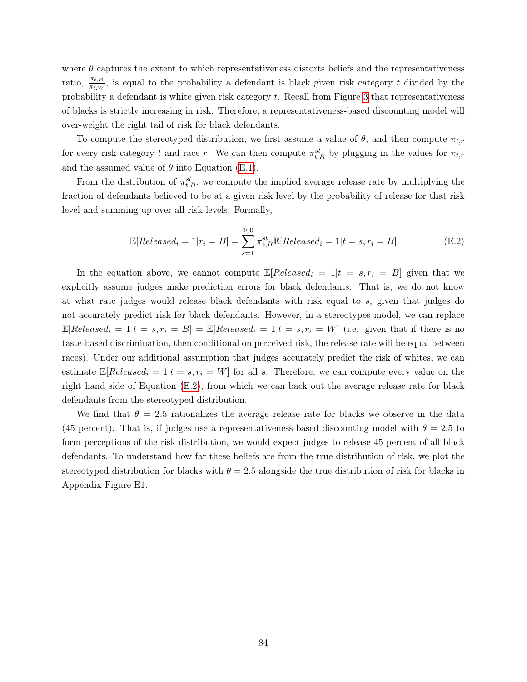where  $\theta$  captures the extent to which representativeness distorts beliefs and the representativeness ratio,  $\frac{\pi_{t,B}}{\pi_{t,W}}$ , is equal to the probability a defendant is black given risk category t divided by the probability a defendant is white given risk category t. Recall from Figure [3](#page-46-0) that representativeness of blacks is strictly increasing in risk. Therefore, a representativeness-based discounting model will over-weight the right tail of risk for black defendants.

To compute the stereotyped distribution, we first assume a value of  $\theta$ , and then compute  $\pi_{tr}$ for every risk category t and race r. We can then compute  $\pi_{t,B}^{st}$  by plugging in the values for  $\pi_{t,r}$ and the assumed value of  $\theta$  into Equation [\(E.1\)](#page-84-0).

From the distribution of  $\pi_{t,B}^{st}$ , we compute the implied average release rate by multiplying the fraction of defendants believed to be at a given risk level by the probability of release for that risk level and summing up over all risk levels. Formally,

<span id="page-85-0"></span>
$$
\mathbb{E}[Released_i = 1 | r_i = B] = \sum_{s=1}^{100} \pi_{s,B}^{st} \mathbb{E}[Released_i = 1 | t = s, r_i = B]
$$
(E.2)

In the equation above, we cannot compute  $\mathbb{E}[Released_i = 1|t = s, r_i = B]$  given that we explicitly assume judges make prediction errors for black defendants. That is, we do not know at what rate judges would release black defendants with risk equal to s, given that judges do not accurately predict risk for black defendants. However, in a stereotypes model, we can replace  $\mathbb{E}[Released_i = 1|t = s, r_i = B] = \mathbb{E}[Released_i = 1|t = s, r_i = W]$  (i.e. given that if there is no taste-based discrimination, then conditional on perceived risk, the release rate will be equal between races). Under our additional assumption that judges accurately predict the risk of whites, we can estimate  $\mathbb{E}[Released_i = 1 | t = s, r_i = W]$  for all s. Therefore, we can compute every value on the right hand side of Equation [\(E.2\)](#page-85-0), from which we can back out the average release rate for black defendants from the stereotyped distribution.

We find that  $\theta = 2.5$  rationalizes the average release rate for blacks we observe in the data (45 percent). That is, if judges use a representativeness-based discounting model with  $\theta = 2.5$  to form perceptions of the risk distribution, we would expect judges to release 45 percent of all black defendants. To understand how far these beliefs are from the true distribution of risk, we plot the stereotyped distribution for blacks with  $\theta = 2.5$  alongside the true distribution of risk for blacks in Appendix Figure E1.